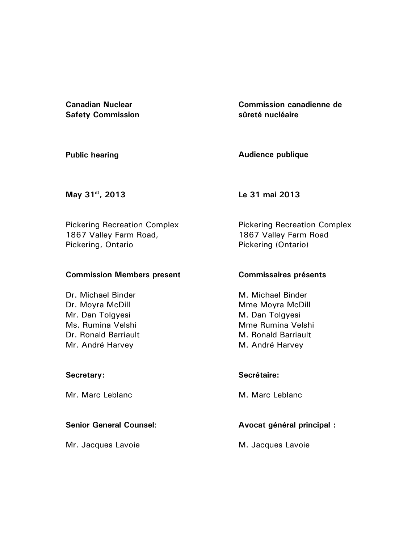**Canadian Nuclear Safety Commission**  **Commission canadienne de sûreté nucléaire** 

**Public hearing** 

**Audience publique**

**May 31st, 2013** 

**Le 31 mai 2013** 

Pickering Recreation Complex 1867 Valley Farm Road, Pickering, Ontario

#### **Commission Members present**

Dr. Michael Binder Dr. Moyra McDill Mr. Dan Tolgyesi Ms. Rumina Velshi Dr. Ronald Barriault Mr. André Harvey

## **Secretary:**

Mr. Marc Leblanc

## **Senior General Counsel**:

Mr. Jacques Lavoie

Pickering Recreation Complex 1867 Valley Farm Road Pickering (Ontario)

## **Commissaires présents**

M. Michael Binder Mme Moyra McDill M. Dan Tolgyesi Mme Rumina Velshi M. Ronald Barriault M. André Harvey

## **Secrétaire:**

M. Marc Leblanc

# **Avocat général principal :**

M. Jacques Lavoie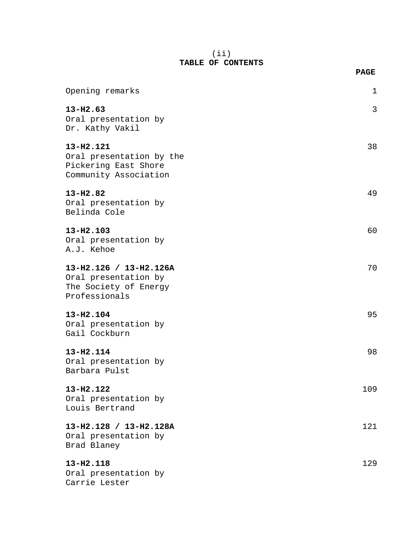#### (ii) **TABLE OF CONTENTS**

|                                                                                          | <b>PAGE</b> |
|------------------------------------------------------------------------------------------|-------------|
| Opening remarks                                                                          | 1           |
| $13 - H2.63$<br>Oral presentation by<br>Dr. Kathy Vakil                                  | 3           |
| 13-H2.121<br>Oral presentation by the<br>Pickering East Shore<br>Community Association   | 38          |
| $13 - H2.82$<br>Oral presentation by<br>Belinda Cole                                     | 49          |
| 13-H2.103<br>Oral presentation by<br>A.J. Kehoe                                          | 60          |
| 13-H2.126 / 13-H2.126A<br>Oral presentation by<br>The Society of Energy<br>Professionals | 70          |
| 13-H2.104<br>Oral presentation by<br>Gail Cockburn                                       | 95          |
| 13-H2.114<br>Oral presentation by<br>Barbara Pulst                                       | 98          |
| $13 - H2.122$<br>Oral presentation by<br>Louis Bertrand                                  | 109         |
| 13-H2.128 / 13-H2.128A<br>Oral presentation by<br>Brad Blaney                            | 121         |
| 13-H2.118<br>Oral presentation by<br>Carrie Lester                                       | 129         |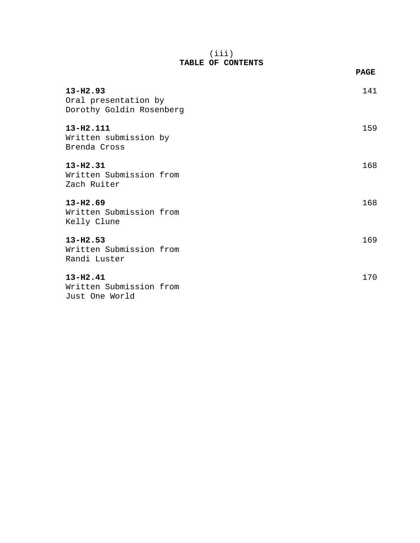#### (iii) **TABLE OF CONTENTS**

|                                                                                                    | <b>PAGE</b> |
|----------------------------------------------------------------------------------------------------|-------------|
| $13 - H2.93$<br>Oral presentation by<br>Dorothy Goldin Rosenberg                                   | 141         |
| 13-H2.111<br>Written submission by<br>Brenda Cross                                                 | 159         |
| $13 - H2.31$<br>Written Submission from<br>Zach Ruiter                                             | 168         |
| $13 - H2.69$<br>Written Submission from<br>Kelly Clune                                             | 168         |
| $13 - H2.53$<br>Written Submission from<br>Randi Luster                                            | 169         |
| $13 - H2.41$<br>Written Submission from<br>$\sim$ $\sim$ $\sim$ $\sim$ $\sim$ $\sim$ $\sim$ $\sim$ | 170         |

Just One World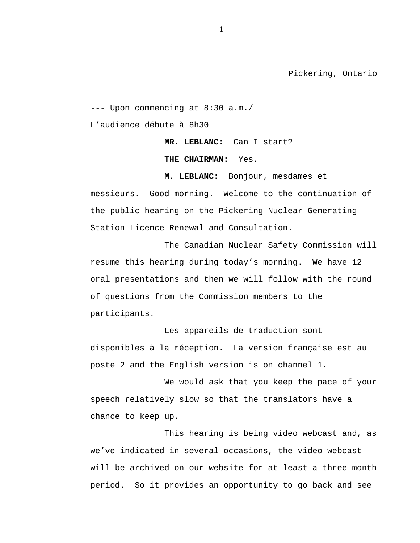Pickering, Ontario

--- Upon commencing at 8:30 a.m./

L'audience débute à 8h30

**MR. LEBLANC:** Can I start?

**THE CHAIRMAN:** Yes.

**M. LEBLANC:** Bonjour, mesdames et messieurs. Good morning. Welcome to the continuation of the public hearing on the Pickering Nuclear Generating Station Licence Renewal and Consultation.

The Canadian Nuclear Safety Commission will resume this hearing during today's morning. We have 12 oral presentations and then we will follow with the round of questions from the Commission members to the participants.

Les appareils de traduction sont disponibles à la réception. La version française est au poste 2 and the English version is on channel 1.

We would ask that you keep the pace of your speech relatively slow so that the translators have a chance to keep up.

This hearing is being video webcast and, as we've indicated in several occasions, the video webcast will be archived on our website for at least a three-month period. So it provides an opportunity to go back and see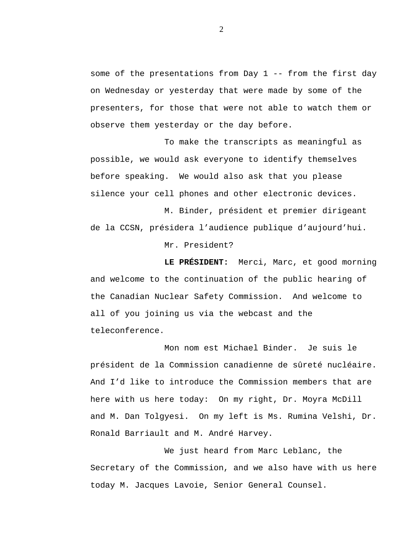some of the presentations from Day 1 -- from the first day on Wednesday or yesterday that were made by some of the presenters, for those that were not able to watch them or observe them yesterday or the day before.

To make the transcripts as meaningful as possible, we would ask everyone to identify themselves before speaking. We would also ask that you please silence your cell phones and other electronic devices.

M. Binder, président et premier dirigeant de la CCSN, présidera l'audience publique d'aujourd'hui.

Mr. President?

**LE PRÉSIDENT:** Merci, Marc, et good morning and welcome to the continuation of the public hearing of the Canadian Nuclear Safety Commission. And welcome to all of you joining us via the webcast and the teleconference.

Mon nom est Michael Binder. Je suis le président de la Commission canadienne de sûreté nucléaire. And I'd like to introduce the Commission members that are here with us here today: On my right, Dr. Moyra McDill and M. Dan Tolgyesi. On my left is Ms. Rumina Velshi, Dr. Ronald Barriault and M. André Harvey.

We just heard from Marc Leblanc, the Secretary of the Commission, and we also have with us here today M. Jacques Lavoie, Senior General Counsel.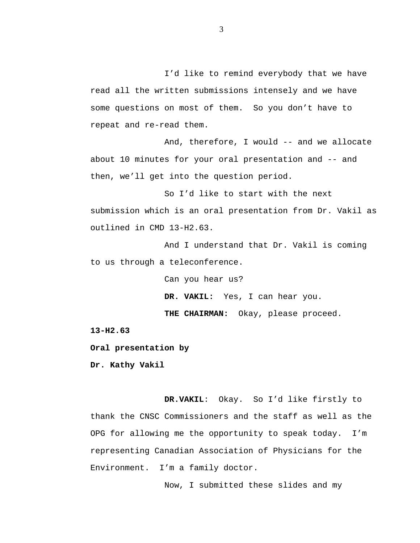I'd like to remind everybody that we have read all the written submissions intensely and we have some questions on most of them. So you don't have to repeat and re-read them.

And, therefore, I would -- and we allocate about 10 minutes for your oral presentation and -- and then, we'll get into the question period.

So I'd like to start with the next submission which is an oral presentation from Dr. Vakil as outlined in CMD 13-H2.63.

And I understand that Dr. Vakil is coming to us through a teleconference.

Can you hear us?

**DR. VAKIL:** Yes, I can hear you.

**THE CHAIRMAN:** Okay, please proceed.

**13-H2.63**

**Oral presentation by**

**Dr. Kathy Vakil**

**DR.VAKIL**: Okay. So I'd like firstly to thank the CNSC Commissioners and the staff as well as the OPG for allowing me the opportunity to speak today. I'm representing Canadian Association of Physicians for the Environment. I'm a family doctor.

Now, I submitted these slides and my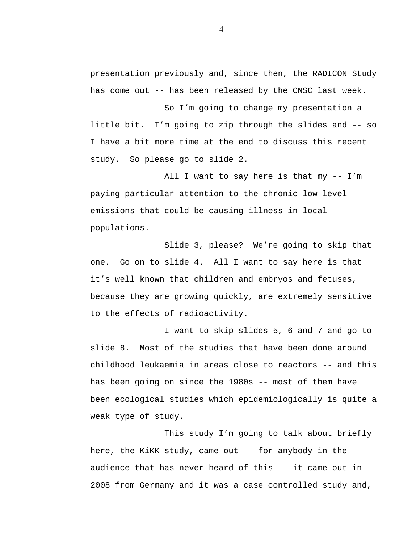presentation previously and, since then, the RADICON Study has come out -- has been released by the CNSC last week.

So I'm going to change my presentation a little bit. I'm going to zip through the slides and -- so I have a bit more time at the end to discuss this recent study. So please go to slide 2.

All I want to say here is that my -- I'm paying particular attention to the chronic low level emissions that could be causing illness in local populations.

Slide 3, please? We're going to skip that one. Go on to slide 4. All I want to say here is that it's well known that children and embryos and fetuses, because they are growing quickly, are extremely sensitive to the effects of radioactivity.

I want to skip slides 5, 6 and 7 and go to slide 8. Most of the studies that have been done around childhood leukaemia in areas close to reactors -- and this has been going on since the 1980s -- most of them have been ecological studies which epidemiologically is quite a weak type of study.

This study I'm going to talk about briefly here, the KiKK study, came out -- for anybody in the audience that has never heard of this -- it came out in 2008 from Germany and it was a case controlled study and,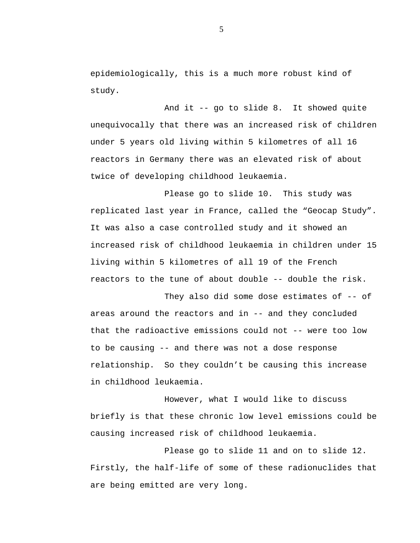epidemiologically, this is a much more robust kind of study.

And it -- go to slide 8. It showed quite unequivocally that there was an increased risk of children under 5 years old living within 5 kilometres of all 16 reactors in Germany there was an elevated risk of about twice of developing childhood leukaemia.

Please go to slide 10. This study was replicated last year in France, called the "Geocap Study". It was also a case controlled study and it showed an increased risk of childhood leukaemia in children under 15 living within 5 kilometres of all 19 of the French reactors to the tune of about double -- double the risk.

They also did some dose estimates of -- of areas around the reactors and in -- and they concluded that the radioactive emissions could not -- were too low to be causing -- and there was not a dose response relationship. So they couldn't be causing this increase in childhood leukaemia.

However, what I would like to discuss briefly is that these chronic low level emissions could be causing increased risk of childhood leukaemia.

Please go to slide 11 and on to slide 12. Firstly, the half-life of some of these radionuclides that are being emitted are very long.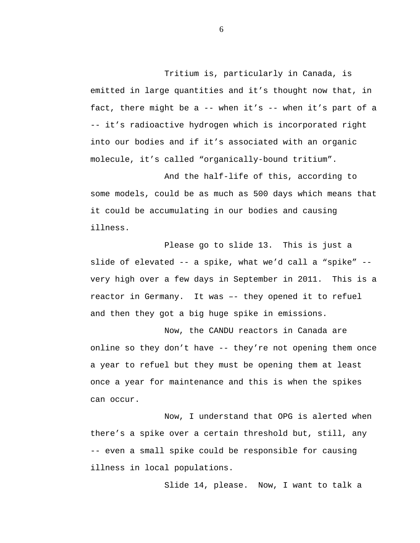Tritium is, particularly in Canada, is emitted in large quantities and it's thought now that, in fact, there might be a -- when it's -- when it's part of a -- it's radioactive hydrogen which is incorporated right into our bodies and if it's associated with an organic molecule, it's called "organically-bound tritium".

And the half-life of this, according to some models, could be as much as 500 days which means that it could be accumulating in our bodies and causing illness.

Please go to slide 13. This is just a slide of elevated -- a spike, what we'd call a "spike" - very high over a few days in September in 2011. This is a reactor in Germany. It was –- they opened it to refuel and then they got a big huge spike in emissions.

Now, the CANDU reactors in Canada are online so they don't have -- they're not opening them once a year to refuel but they must be opening them at least once a year for maintenance and this is when the spikes can occur.

Now, I understand that OPG is alerted when there's a spike over a certain threshold but, still, any -- even a small spike could be responsible for causing illness in local populations.

Slide 14, please. Now, I want to talk a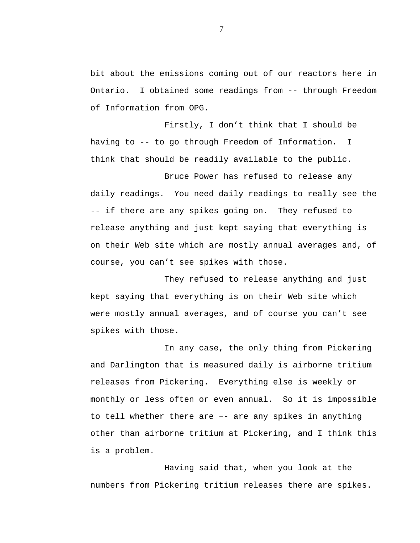bit about the emissions coming out of our reactors here in Ontario. I obtained some readings from -- through Freedom of Information from OPG.

Firstly, I don't think that I should be having to -- to go through Freedom of Information. I think that should be readily available to the public.

Bruce Power has refused to release any daily readings. You need daily readings to really see the -- if there are any spikes going on. They refused to release anything and just kept saying that everything is on their Web site which are mostly annual averages and, of course, you can't see spikes with those.

They refused to release anything and just kept saying that everything is on their Web site which were mostly annual averages, and of course you can't see spikes with those.

In any case, the only thing from Pickering and Darlington that is measured daily is airborne tritium releases from Pickering. Everything else is weekly or monthly or less often or even annual. So it is impossible to tell whether there are –- are any spikes in anything other than airborne tritium at Pickering, and I think this is a problem.

Having said that, when you look at the numbers from Pickering tritium releases there are spikes.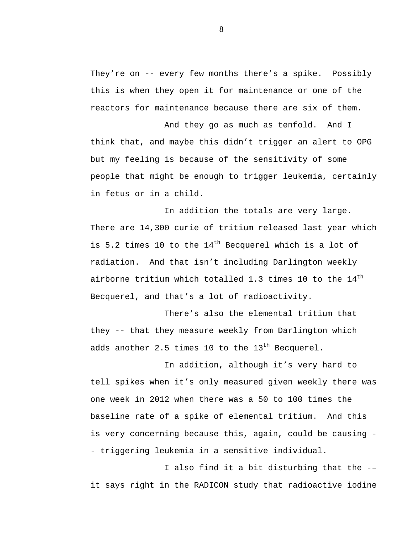They're on -- every few months there's a spike. Possibly this is when they open it for maintenance or one of the reactors for maintenance because there are six of them.

And they go as much as tenfold. And I think that, and maybe this didn't trigger an alert to OPG but my feeling is because of the sensitivity of some people that might be enough to trigger leukemia, certainly in fetus or in a child.

In addition the totals are very large. There are 14,300 curie of tritium released last year which is 5.2 times 10 to the  $14<sup>th</sup>$  Becquerel which is a lot of radiation. And that isn't including Darlington weekly airborne tritium which totalled 1.3 times 10 to the  $14<sup>th</sup>$ Becquerel, and that's a lot of radioactivity.

There's also the elemental tritium that they -- that they measure weekly from Darlington which adds another 2.5 times 10 to the  $13<sup>th</sup>$  Becquerel.

In addition, although it's very hard to tell spikes when it's only measured given weekly there was one week in 2012 when there was a 50 to 100 times the baseline rate of a spike of elemental tritium. And this is very concerning because this, again, could be causing - - triggering leukemia in a sensitive individual.

I also find it a bit disturbing that the -– it says right in the RADICON study that radioactive iodine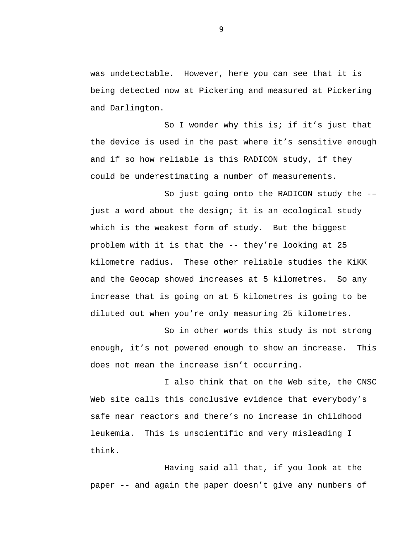was undetectable. However, here you can see that it is being detected now at Pickering and measured at Pickering and Darlington.

So I wonder why this is; if it's just that the device is used in the past where it's sensitive enough and if so how reliable is this RADICON study, if they could be underestimating a number of measurements.

So just going onto the RADICON study the -– just a word about the design; it is an ecological study which is the weakest form of study. But the biggest problem with it is that the -- they're looking at 25 kilometre radius. These other reliable studies the KiKK and the Geocap showed increases at 5 kilometres. So any increase that is going on at 5 kilometres is going to be diluted out when you're only measuring 25 kilometres.

So in other words this study is not strong enough, it's not powered enough to show an increase. This does not mean the increase isn't occurring.

I also think that on the Web site, the CNSC Web site calls this conclusive evidence that everybody's safe near reactors and there's no increase in childhood leukemia. This is unscientific and very misleading I think.

Having said all that, if you look at the paper -- and again the paper doesn't give any numbers of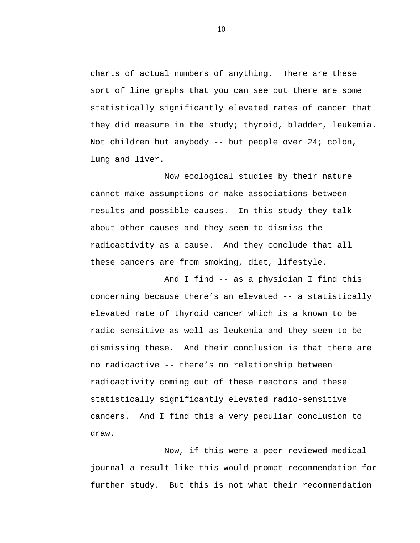charts of actual numbers of anything. There are these sort of line graphs that you can see but there are some statistically significantly elevated rates of cancer that they did measure in the study; thyroid, bladder, leukemia. Not children but anybody -- but people over 24; colon, lung and liver.

Now ecological studies by their nature cannot make assumptions or make associations between results and possible causes. In this study they talk about other causes and they seem to dismiss the radioactivity as a cause. And they conclude that all these cancers are from smoking, diet, lifestyle.

And I find -- as a physician I find this concerning because there's an elevated -- a statistically elevated rate of thyroid cancer which is a known to be radio-sensitive as well as leukemia and they seem to be dismissing these. And their conclusion is that there are no radioactive -- there's no relationship between radioactivity coming out of these reactors and these statistically significantly elevated radio-sensitive cancers. And I find this a very peculiar conclusion to draw.

Now, if this were a peer-reviewed medical journal a result like this would prompt recommendation for further study. But this is not what their recommendation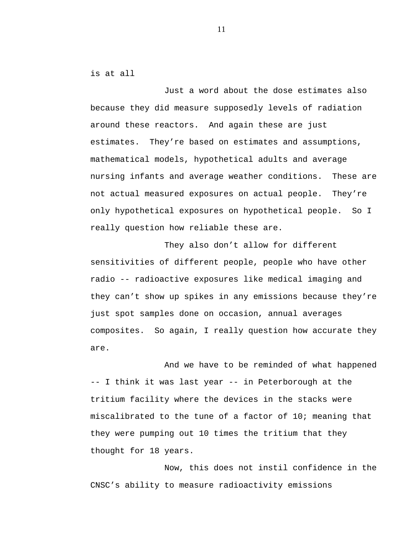is at all

Just a word about the dose estimates also because they did measure supposedly levels of radiation around these reactors. And again these are just estimates. They're based on estimates and assumptions, mathematical models, hypothetical adults and average nursing infants and average weather conditions. These are not actual measured exposures on actual people. They're only hypothetical exposures on hypothetical people. So I really question how reliable these are.

They also don't allow for different sensitivities of different people, people who have other radio -- radioactive exposures like medical imaging and they can't show up spikes in any emissions because they're just spot samples done on occasion, annual averages composites. So again, I really question how accurate they are.

And we have to be reminded of what happened -- I think it was last year -- in Peterborough at the tritium facility where the devices in the stacks were miscalibrated to the tune of a factor of 10; meaning that they were pumping out 10 times the tritium that they thought for 18 years.

Now, this does not instil confidence in the CNSC's ability to measure radioactivity emissions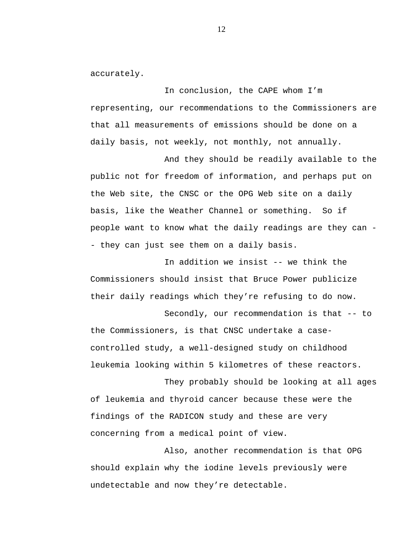accurately.

In conclusion, the CAPE whom I'm representing, our recommendations to the Commissioners are that all measurements of emissions should be done on a daily basis, not weekly, not monthly, not annually.

And they should be readily available to the public not for freedom of information, and perhaps put on the Web site, the CNSC or the OPG Web site on a daily basis, like the Weather Channel or something. So if people want to know what the daily readings are they can - - they can just see them on a daily basis.

In addition we insist -- we think the Commissioners should insist that Bruce Power publicize their daily readings which they're refusing to do now.

Secondly, our recommendation is that -- to the Commissioners, is that CNSC undertake a casecontrolled study, a well-designed study on childhood leukemia looking within 5 kilometres of these reactors.

They probably should be looking at all ages of leukemia and thyroid cancer because these were the findings of the RADICON study and these are very concerning from a medical point of view.

Also, another recommendation is that OPG should explain why the iodine levels previously were undetectable and now they're detectable.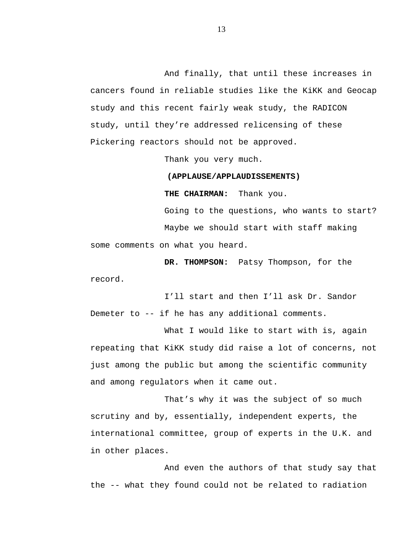And finally, that until these increases in cancers found in reliable studies like the KiKK and Geocap study and this recent fairly weak study, the RADICON study, until they're addressed relicensing of these Pickering reactors should not be approved.

Thank you very much.

#### **(APPLAUSE/APPLAUDISSEMENTS)**

**THE CHAIRMAN:** Thank you.

Going to the questions, who wants to start? Maybe we should start with staff making some comments on what you heard.

**DR. THOMPSON:** Patsy Thompson, for the record.

I'll start and then I'll ask Dr. Sandor Demeter to -- if he has any additional comments.

What I would like to start with is, again repeating that KiKK study did raise a lot of concerns, not just among the public but among the scientific community and among regulators when it came out.

That's why it was the subject of so much scrutiny and by, essentially, independent experts, the international committee, group of experts in the U.K. and in other places.

And even the authors of that study say that the -- what they found could not be related to radiation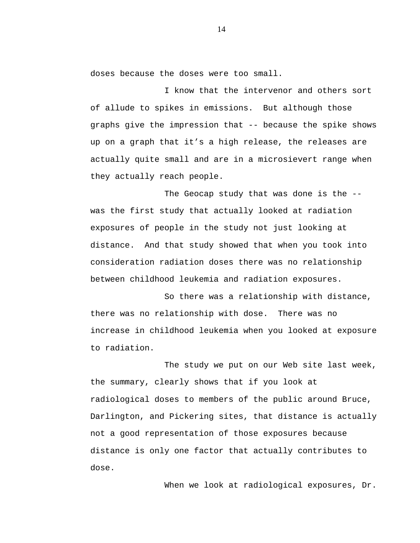doses because the doses were too small.

I know that the intervenor and others sort of allude to spikes in emissions. But although those graphs give the impression that -- because the spike shows up on a graph that it's a high release, the releases are actually quite small and are in a microsievert range when they actually reach people.

The Geocap study that was done is the - was the first study that actually looked at radiation exposures of people in the study not just looking at distance. And that study showed that when you took into consideration radiation doses there was no relationship between childhood leukemia and radiation exposures.

So there was a relationship with distance, there was no relationship with dose. There was no increase in childhood leukemia when you looked at exposure to radiation.

The study we put on our Web site last week, the summary, clearly shows that if you look at radiological doses to members of the public around Bruce, Darlington, and Pickering sites, that distance is actually not a good representation of those exposures because distance is only one factor that actually contributes to dose.

When we look at radiological exposures, Dr.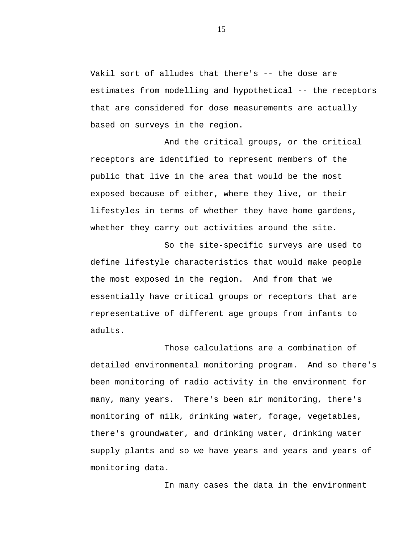Vakil sort of alludes that there's -- the dose are estimates from modelling and hypothetical -- the receptors that are considered for dose measurements are actually based on surveys in the region.

And the critical groups, or the critical receptors are identified to represent members of the public that live in the area that would be the most exposed because of either, where they live, or their lifestyles in terms of whether they have home gardens, whether they carry out activities around the site.

So the site-specific surveys are used to define lifestyle characteristics that would make people the most exposed in the region. And from that we essentially have critical groups or receptors that are representative of different age groups from infants to adults.

Those calculations are a combination of detailed environmental monitoring program. And so there's been monitoring of radio activity in the environment for many, many years. There's been air monitoring, there's monitoring of milk, drinking water, forage, vegetables, there's groundwater, and drinking water, drinking water supply plants and so we have years and years and years of monitoring data.

In many cases the data in the environment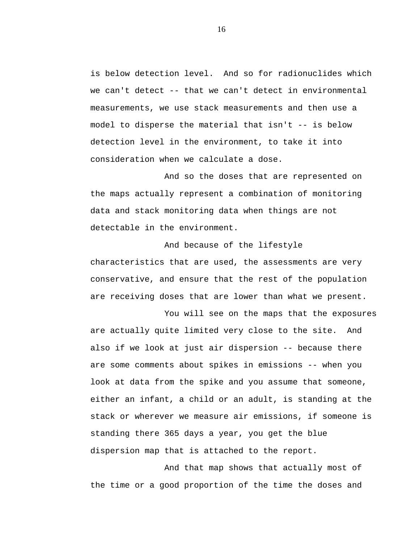is below detection level. And so for radionuclides which we can't detect -- that we can't detect in environmental measurements, we use stack measurements and then use a model to disperse the material that isn't -- is below detection level in the environment, to take it into consideration when we calculate a dose.

And so the doses that are represented on the maps actually represent a combination of monitoring data and stack monitoring data when things are not detectable in the environment.

And because of the lifestyle characteristics that are used, the assessments are very conservative, and ensure that the rest of the population are receiving doses that are lower than what we present.

You will see on the maps that the exposures are actually quite limited very close to the site. And also if we look at just air dispersion -- because there are some comments about spikes in emissions -- when you look at data from the spike and you assume that someone, either an infant, a child or an adult, is standing at the stack or wherever we measure air emissions, if someone is standing there 365 days a year, you get the blue dispersion map that is attached to the report.

And that map shows that actually most of the time or a good proportion of the time the doses and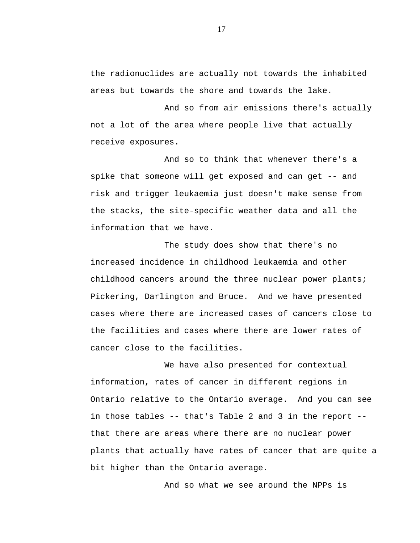the radionuclides are actually not towards the inhabited areas but towards the shore and towards the lake.

And so from air emissions there's actually not a lot of the area where people live that actually receive exposures.

And so to think that whenever there's a spike that someone will get exposed and can get -- and risk and trigger leukaemia just doesn't make sense from the stacks, the site-specific weather data and all the information that we have.

The study does show that there's no increased incidence in childhood leukaemia and other childhood cancers around the three nuclear power plants; Pickering, Darlington and Bruce. And we have presented cases where there are increased cases of cancers close to the facilities and cases where there are lower rates of cancer close to the facilities.

We have also presented for contextual information, rates of cancer in different regions in Ontario relative to the Ontario average. And you can see in those tables -- that's Table 2 and 3 in the report - that there are areas where there are no nuclear power plants that actually have rates of cancer that are quite a bit higher than the Ontario average.

And so what we see around the NPPs is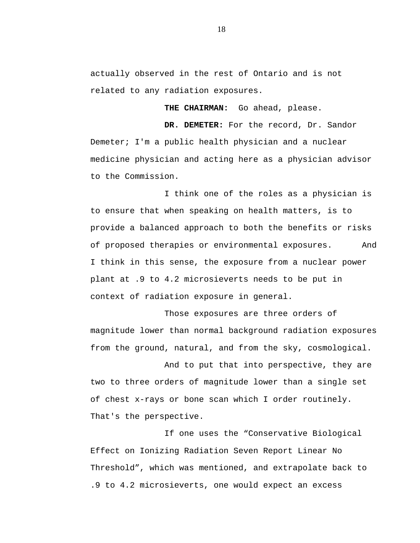actually observed in the rest of Ontario and is not related to any radiation exposures.

**THE CHAIRMAN:** Go ahead, please.

**DR. DEMETER:** For the record, Dr. Sandor Demeter; I'm a public health physician and a nuclear medicine physician and acting here as a physician advisor to the Commission.

I think one of the roles as a physician is to ensure that when speaking on health matters, is to provide a balanced approach to both the benefits or risks of proposed therapies or environmental exposures. And I think in this sense, the exposure from a nuclear power plant at .9 to 4.2 microsieverts needs to be put in context of radiation exposure in general.

Those exposures are three orders of magnitude lower than normal background radiation exposures from the ground, natural, and from the sky, cosmological.

And to put that into perspective, they are two to three orders of magnitude lower than a single set of chest x-rays or bone scan which I order routinely. That's the perspective.

If one uses the "Conservative Biological Effect on Ionizing Radiation Seven Report Linear No Threshold", which was mentioned, and extrapolate back to .9 to 4.2 microsieverts, one would expect an excess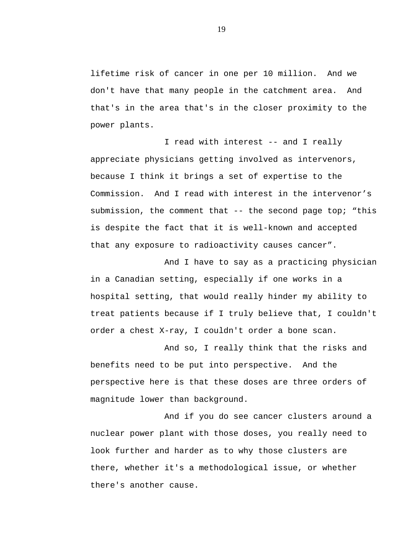lifetime risk of cancer in one per 10 million. And we don't have that many people in the catchment area. And that's in the area that's in the closer proximity to the power plants.

I read with interest -- and I really appreciate physicians getting involved as intervenors, because I think it brings a set of expertise to the Commission. And I read with interest in the intervenor's submission, the comment that -- the second page top; "this is despite the fact that it is well-known and accepted that any exposure to radioactivity causes cancer".

And I have to say as a practicing physician in a Canadian setting, especially if one works in a hospital setting, that would really hinder my ability to treat patients because if I truly believe that, I couldn't order a chest X-ray, I couldn't order a bone scan.

And so, I really think that the risks and benefits need to be put into perspective. And the perspective here is that these doses are three orders of magnitude lower than background.

And if you do see cancer clusters around a nuclear power plant with those doses, you really need to look further and harder as to why those clusters are there, whether it's a methodological issue, or whether there's another cause.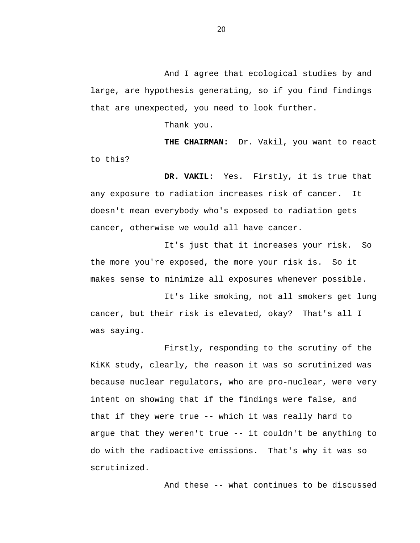And I agree that ecological studies by and large, are hypothesis generating, so if you find findings that are unexpected, you need to look further.

Thank you.

**THE CHAIRMAN:** Dr. Vakil, you want to react to this?

**DR. VAKIL:** Yes. Firstly, it is true that any exposure to radiation increases risk of cancer. It doesn't mean everybody who's exposed to radiation gets cancer, otherwise we would all have cancer.

It's just that it increases your risk. So the more you're exposed, the more your risk is. So it makes sense to minimize all exposures whenever possible.

It's like smoking, not all smokers get lung cancer, but their risk is elevated, okay? That's all I was saying.

Firstly, responding to the scrutiny of the KiKK study, clearly, the reason it was so scrutinized was because nuclear regulators, who are pro-nuclear, were very intent on showing that if the findings were false, and that if they were true -- which it was really hard to argue that they weren't true -- it couldn't be anything to do with the radioactive emissions. That's why it was so scrutinized.

And these -- what continues to be discussed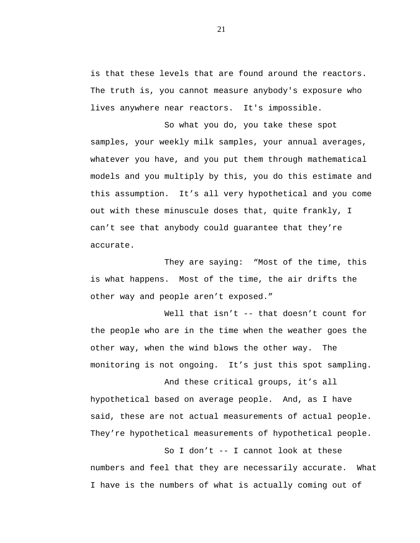is that these levels that are found around the reactors. The truth is, you cannot measure anybody's exposure who lives anywhere near reactors. It's impossible.

So what you do, you take these spot samples, your weekly milk samples, your annual averages, whatever you have, and you put them through mathematical models and you multiply by this, you do this estimate and this assumption. It's all very hypothetical and you come out with these minuscule doses that, quite frankly, I can't see that anybody could guarantee that they're accurate.

They are saying: "Most of the time, this is what happens. Most of the time, the air drifts the other way and people aren't exposed."

Well that isn't -- that doesn't count for the people who are in the time when the weather goes the other way, when the wind blows the other way. The monitoring is not ongoing. It's just this spot sampling.

And these critical groups, it's all hypothetical based on average people. And, as I have said, these are not actual measurements of actual people. They're hypothetical measurements of hypothetical people.

So I don't -- I cannot look at these numbers and feel that they are necessarily accurate. What I have is the numbers of what is actually coming out of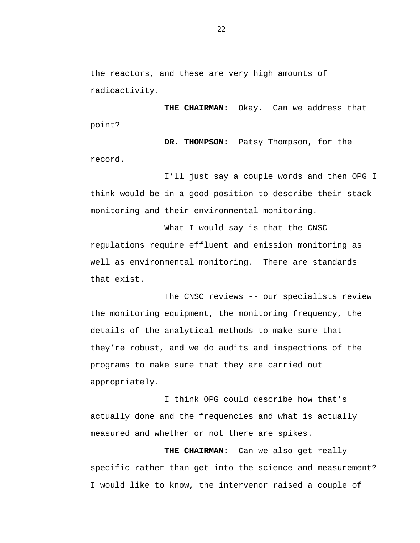the reactors, and these are very high amounts of radioactivity.

**THE CHAIRMAN:** Okay. Can we address that point?

**DR. THOMPSON:** Patsy Thompson, for the record.

I'll just say a couple words and then OPG I think would be in a good position to describe their stack monitoring and their environmental monitoring.

What I would say is that the CNSC regulations require effluent and emission monitoring as well as environmental monitoring. There are standards that exist.

The CNSC reviews -- our specialists review the monitoring equipment, the monitoring frequency, the details of the analytical methods to make sure that they're robust, and we do audits and inspections of the programs to make sure that they are carried out appropriately.

I think OPG could describe how that's actually done and the frequencies and what is actually measured and whether or not there are spikes.

**THE CHAIRMAN:** Can we also get really specific rather than get into the science and measurement? I would like to know, the intervenor raised a couple of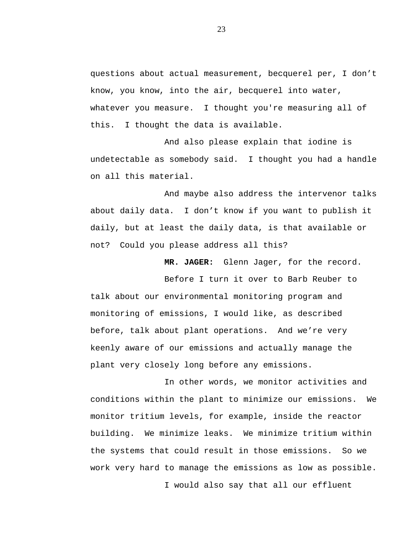questions about actual measurement, becquerel per, I don't know, you know, into the air, becquerel into water, whatever you measure. I thought you're measuring all of this. I thought the data is available.

And also please explain that iodine is undetectable as somebody said. I thought you had a handle on all this material.

And maybe also address the intervenor talks about daily data. I don't know if you want to publish it daily, but at least the daily data, is that available or not? Could you please address all this?

**MR. JAGER:** Glenn Jager, for the record.

Before I turn it over to Barb Reuber to talk about our environmental monitoring program and monitoring of emissions, I would like, as described before, talk about plant operations. And we're very keenly aware of our emissions and actually manage the plant very closely long before any emissions.

In other words, we monitor activities and conditions within the plant to minimize our emissions. We monitor tritium levels, for example, inside the reactor building. We minimize leaks. We minimize tritium within the systems that could result in those emissions. So we work very hard to manage the emissions as low as possible. I would also say that all our effluent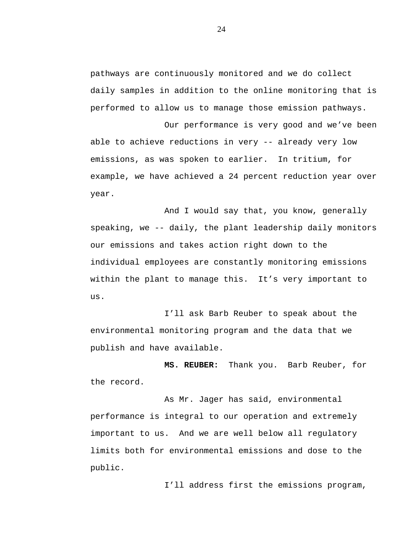pathways are continuously monitored and we do collect daily samples in addition to the online monitoring that is performed to allow us to manage those emission pathways.

Our performance is very good and we've been able to achieve reductions in very -- already very low emissions, as was spoken to earlier. In tritium, for example, we have achieved a 24 percent reduction year over year.

And I would say that, you know, generally speaking, we -- daily, the plant leadership daily monitors our emissions and takes action right down to the individual employees are constantly monitoring emissions within the plant to manage this. It's very important to us.

I'll ask Barb Reuber to speak about the environmental monitoring program and the data that we publish and have available.

**MS. REUBER:** Thank you. Barb Reuber, for the record.

As Mr. Jager has said, environmental performance is integral to our operation and extremely important to us. And we are well below all regulatory limits both for environmental emissions and dose to the public.

I'll address first the emissions program,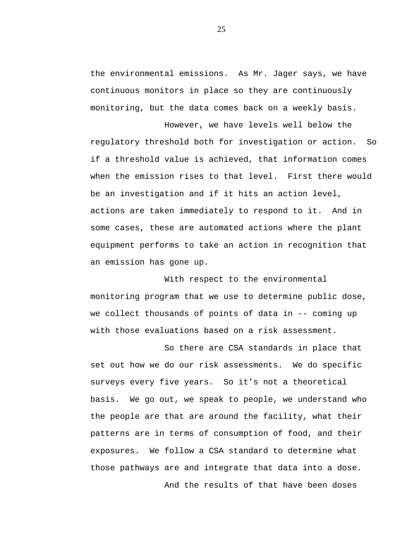the environmental emissions. As Mr. Jager says, we have continuous monitors in place so they are continuously monitoring, but the data comes back on a weekly basis.

However, we have levels well below the regulatory threshold both for investigation or action. So if a threshold value is achieved, that information comes when the emission rises to that level. First there would be an investigation and if it hits an action level, actions are taken immediately to respond to it. And in some cases, these are automated actions where the plant equipment performs to take an action in recognition that an emission has gone up.

With respect to the environmental monitoring program that we use to determine public dose, we collect thousands of points of data in -- coming up with those evaluations based on a risk assessment.

So there are CSA standards in place that set out how we do our risk assessments. We do specific surveys every five years. So it's not a theoretical basis. We go out, we speak to people, we understand who the people are that are around the facility, what their patterns are in terms of consumption of food, and their exposures. We follow a CSA standard to determine what those pathways are and integrate that data into a dose. And the results of that have been doses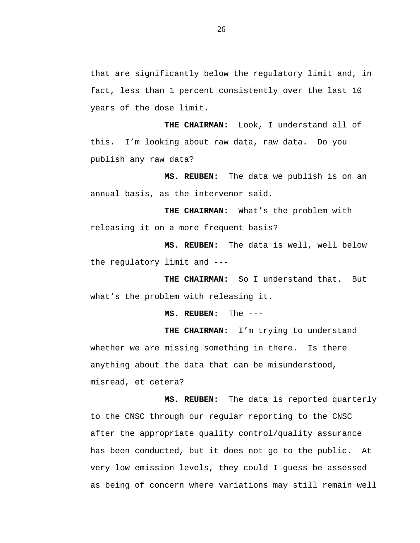that are significantly below the regulatory limit and, in fact, less than 1 percent consistently over the last 10 years of the dose limit.

**THE CHAIRMAN:** Look, I understand all of this. I'm looking about raw data, raw data. Do you publish any raw data?

**MS. REUBEN:** The data we publish is on an annual basis, as the intervenor said.

**THE CHAIRMAN:** What's the problem with releasing it on a more frequent basis?

**MS. REUBEN:** The data is well, well below the regulatory limit and ---

**THE CHAIRMAN:** So I understand that. But what's the problem with releasing it.

**MS. REUBEN:** The ---

**THE CHAIRMAN:** I'm trying to understand whether we are missing something in there. Is there anything about the data that can be misunderstood, misread, et cetera?

**MS. REUBEN:** The data is reported quarterly to the CNSC through our regular reporting to the CNSC after the appropriate quality control/quality assurance has been conducted, but it does not go to the public. At very low emission levels, they could I guess be assessed as being of concern where variations may still remain well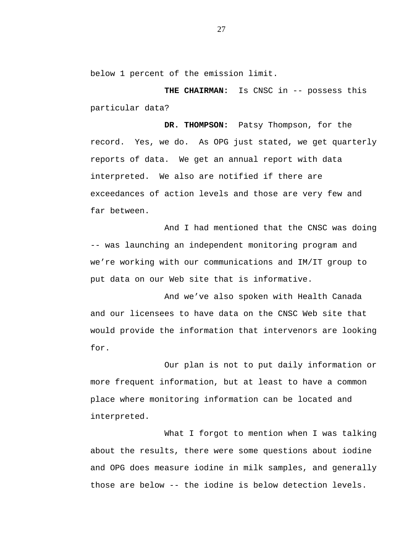below 1 percent of the emission limit.

**THE CHAIRMAN:** Is CNSC in -- possess this particular data?

**DR. THOMPSON:** Patsy Thompson, for the record. Yes, we do. As OPG just stated, we get quarterly reports of data. We get an annual report with data interpreted. We also are notified if there are exceedances of action levels and those are very few and far between.

And I had mentioned that the CNSC was doing -- was launching an independent monitoring program and we're working with our communications and IM/IT group to put data on our Web site that is informative.

And we've also spoken with Health Canada and our licensees to have data on the CNSC Web site that would provide the information that intervenors are looking for.

Our plan is not to put daily information or more frequent information, but at least to have a common place where monitoring information can be located and interpreted.

What I forgot to mention when I was talking about the results, there were some questions about iodine and OPG does measure iodine in milk samples, and generally those are below -- the iodine is below detection levels.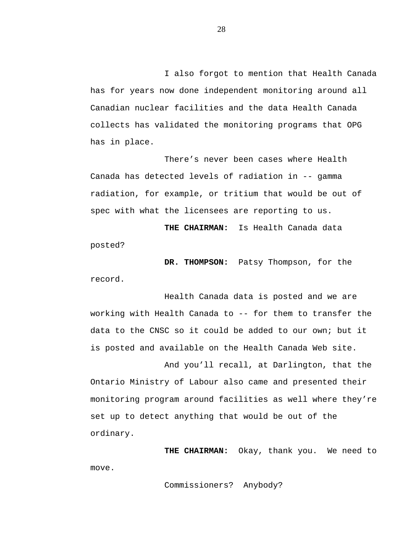I also forgot to mention that Health Canada has for years now done independent monitoring around all Canadian nuclear facilities and the data Health Canada collects has validated the monitoring programs that OPG has in place.

There's never been cases where Health Canada has detected levels of radiation in -- gamma radiation, for example, or tritium that would be out of spec with what the licensees are reporting to us.

**THE CHAIRMAN:** Is Health Canada data posted?

**DR. THOMPSON:** Patsy Thompson, for the record.

Health Canada data is posted and we are working with Health Canada to -- for them to transfer the data to the CNSC so it could be added to our own; but it is posted and available on the Health Canada Web site.

And you'll recall, at Darlington, that the Ontario Ministry of Labour also came and presented their monitoring program around facilities as well where they're set up to detect anything that would be out of the ordinary.

**THE CHAIRMAN:** Okay, thank you. We need to move.

Commissioners? Anybody?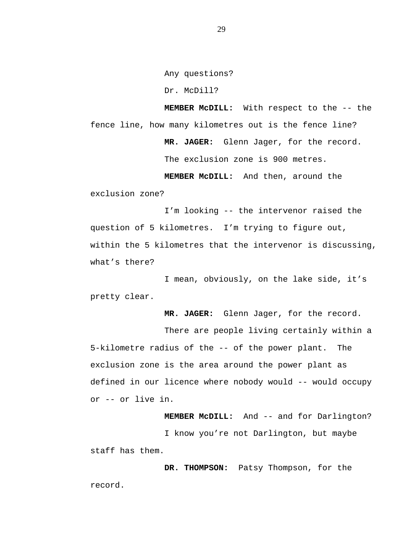Any questions?

Dr. McDill?

**MEMBER McDILL:** With respect to the -- the fence line, how many kilometres out is the fence line? **MR. JAGER:** Glenn Jager, for the record. The exclusion zone is 900 metres. **MEMBER McDILL:** And then, around the

exclusion zone?

I'm looking -- the intervenor raised the question of 5 kilometres. I'm trying to figure out, within the 5 kilometres that the intervenor is discussing, what's there?

I mean, obviously, on the lake side, it's pretty clear.

**MR. JAGER:** Glenn Jager, for the record.

There are people living certainly within a 5-kilometre radius of the -- of the power plant. The exclusion zone is the area around the power plant as defined in our licence where nobody would -- would occupy or -- or live in.

**MEMBER McDILL:** And -- and for Darlington? I know you're not Darlington, but maybe staff has them.

**DR. THOMPSON:** Patsy Thompson, for the record.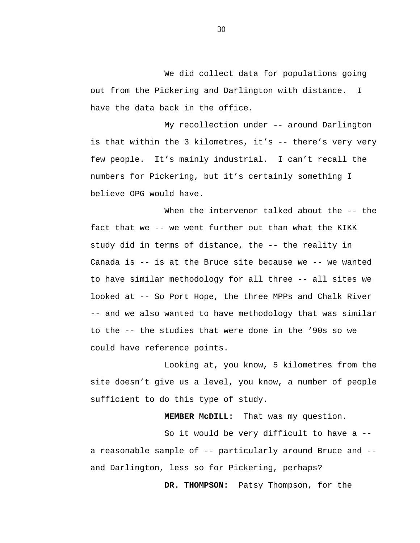We did collect data for populations going out from the Pickering and Darlington with distance. I have the data back in the office.

My recollection under -- around Darlington is that within the 3 kilometres, it's -- there's very very few people. It's mainly industrial. I can't recall the numbers for Pickering, but it's certainly something I believe OPG would have.

When the intervenor talked about the -- the fact that we -- we went further out than what the KIKK study did in terms of distance, the -- the reality in Canada is -- is at the Bruce site because we -- we wanted to have similar methodology for all three -- all sites we looked at -- So Port Hope, the three MPPs and Chalk River -- and we also wanted to have methodology that was similar to the -- the studies that were done in the '90s so we could have reference points.

Looking at, you know, 5 kilometres from the site doesn't give us a level, you know, a number of people sufficient to do this type of study.

**MEMBER McDILL:** That was my question.

So it would be very difficult to have a - a reasonable sample of -- particularly around Bruce and - and Darlington, less so for Pickering, perhaps?

**DR. THOMPSON:** Patsy Thompson, for the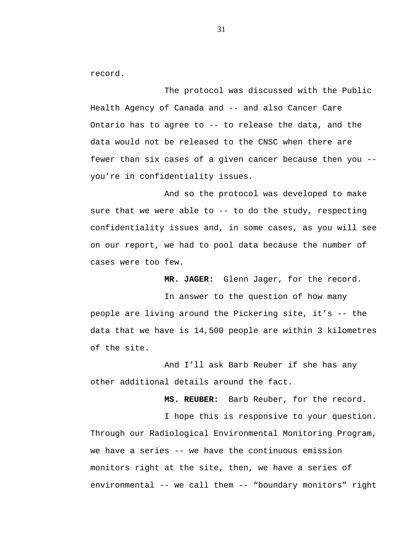record.

The protocol was discussed with the Public Health Agency of Canada and -- and also Cancer Care Ontario has to agree to -- to release the data, and the data would not be released to the CNSC when there are fewer than six cases of a given cancer because then you - you're in confidentiality issues.

And so the protocol was developed to make sure that we were able to -- to do the study, respecting confidentiality issues and, in some cases, as you will see on our report, we had to pool data because the number of cases were too few.

**MR. JAGER:** Glenn Jager, for the record.

In answer to the question of how many people are living around the Pickering site, it's -- the data that we have is 14,500 people are within 3 kilometres of the site.

And I'll ask Barb Reuber if she has any other additional details around the fact.

**MS. REUBER:** Barb Reuber, for the record.

I hope this is responsive to your question. Through our Radiological Environmental Monitoring Program, we have a series -- we have the continuous emission monitors right at the site, then, we have a series of environmental -- we call them -- "boundary monitors" right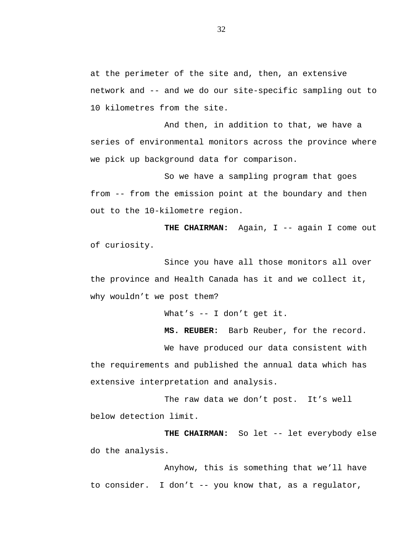at the perimeter of the site and, then, an extensive network and -- and we do our site-specific sampling out to 10 kilometres from the site.

And then, in addition to that, we have a series of environmental monitors across the province where we pick up background data for comparison.

So we have a sampling program that goes from -- from the emission point at the boundary and then out to the 10-kilometre region.

THE CHAIRMAN: Again, I -- again I come out of curiosity.

Since you have all those monitors all over the province and Health Canada has it and we collect it, why wouldn't we post them?

What's -- I don't get it.

**MS. REUBER:** Barb Reuber, for the record.

We have produced our data consistent with the requirements and published the annual data which has extensive interpretation and analysis.

The raw data we don't post. It's well below detection limit.

**THE CHAIRMAN:** So let -- let everybody else do the analysis.

Anyhow, this is something that we'll have to consider. I don't -- you know that, as a regulator,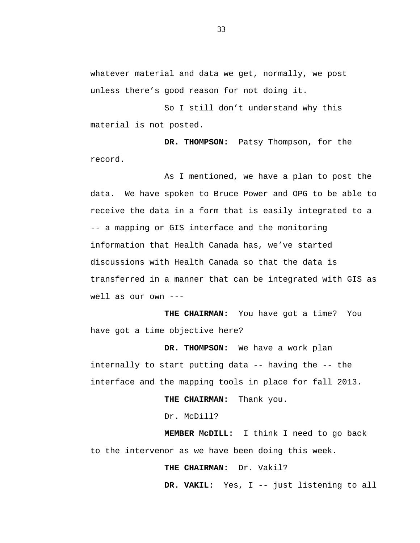whatever material and data we get, normally, we post unless there's good reason for not doing it.

So I still don't understand why this material is not posted.

**DR. THOMPSON:** Patsy Thompson, for the record.

As I mentioned, we have a plan to post the data. We have spoken to Bruce Power and OPG to be able to receive the data in a form that is easily integrated to a -- a mapping or GIS interface and the monitoring information that Health Canada has, we've started discussions with Health Canada so that the data is transferred in a manner that can be integrated with GIS as well as our own ---

**THE CHAIRMAN:** You have got a time? You have got a time objective here?

**DR. THOMPSON:** We have a work plan internally to start putting data -- having the -- the interface and the mapping tools in place for fall 2013.

**THE CHAIRMAN:** Thank you.

Dr. McDill?

**MEMBER McDILL:** I think I need to go back to the intervenor as we have been doing this week.

**THE CHAIRMAN:** Dr. Vakil?

**DR. VAKIL:** Yes, I -- just listening to all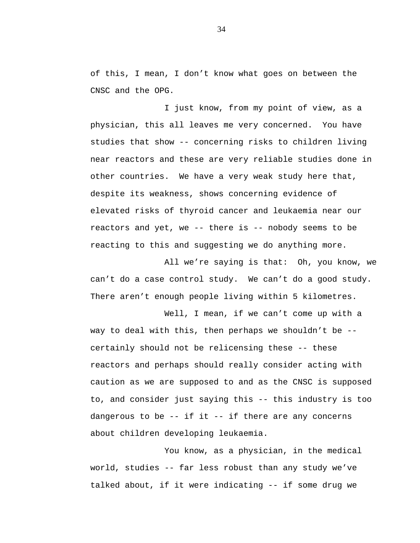of this, I mean, I don't know what goes on between the CNSC and the OPG.

I just know, from my point of view, as a physician, this all leaves me very concerned. You have studies that show -- concerning risks to children living near reactors and these are very reliable studies done in other countries. We have a very weak study here that, despite its weakness, shows concerning evidence of elevated risks of thyroid cancer and leukaemia near our reactors and yet, we -- there is -- nobody seems to be reacting to this and suggesting we do anything more.

All we're saying is that: Oh, you know, we can't do a case control study. We can't do a good study. There aren't enough people living within 5 kilometres.

Well, I mean, if we can't come up with a way to deal with this, then perhaps we shouldn't be - certainly should not be relicensing these -- these reactors and perhaps should really consider acting with caution as we are supposed to and as the CNSC is supposed to, and consider just saying this -- this industry is too dangerous to be -- if it -- if there are any concerns about children developing leukaemia.

You know, as a physician, in the medical world, studies -- far less robust than any study we've talked about, if it were indicating -- if some drug we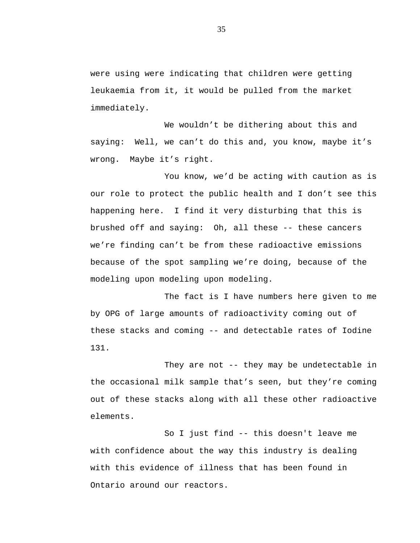were using were indicating that children were getting leukaemia from it, it would be pulled from the market immediately.

We wouldn't be dithering about this and saying: Well, we can't do this and, you know, maybe it's wrong. Maybe it's right.

You know, we'd be acting with caution as is our role to protect the public health and I don't see this happening here. I find it very disturbing that this is brushed off and saying: Oh, all these -- these cancers we're finding can't be from these radioactive emissions because of the spot sampling we're doing, because of the modeling upon modeling upon modeling.

The fact is I have numbers here given to me by OPG of large amounts of radioactivity coming out of these stacks and coming -- and detectable rates of Iodine 131.

They are not -- they may be undetectable in the occasional milk sample that's seen, but they're coming out of these stacks along with all these other radioactive elements.

So I just find -- this doesn't leave me with confidence about the way this industry is dealing with this evidence of illness that has been found in Ontario around our reactors.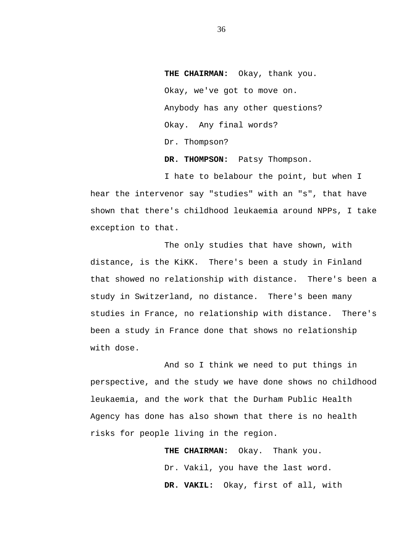**THE CHAIRMAN:** Okay, thank you. Okay, we've got to move on. Anybody has any other questions? Okay. Any final words? Dr. Thompson? **DR. THOMPSON:** Patsy Thompson.

I hate to belabour the point, but when I hear the intervenor say "studies" with an "s", that have shown that there's childhood leukaemia around NPPs, I take exception to that.

The only studies that have shown, with distance, is the KiKK. There's been a study in Finland that showed no relationship with distance. There's been a study in Switzerland, no distance. There's been many studies in France, no relationship with distance. There's been a study in France done that shows no relationship with dose.

And so I think we need to put things in perspective, and the study we have done shows no childhood leukaemia, and the work that the Durham Public Health Agency has done has also shown that there is no health risks for people living in the region.

> **THE CHAIRMAN:** Okay. Thank you. Dr. Vakil, you have the last word. **DR. VAKIL:** Okay, first of all, with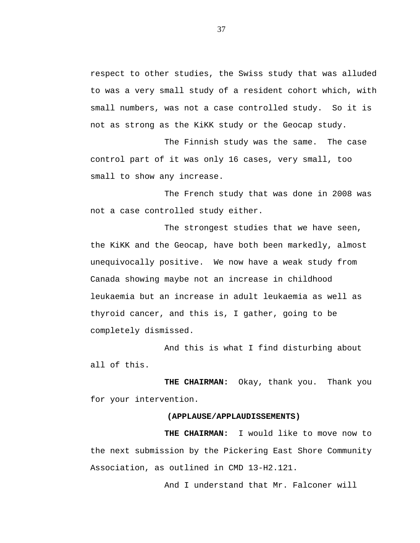respect to other studies, the Swiss study that was alluded to was a very small study of a resident cohort which, with small numbers, was not a case controlled study. So it is not as strong as the KiKK study or the Geocap study.

The Finnish study was the same. The case control part of it was only 16 cases, very small, too small to show any increase.

The French study that was done in 2008 was not a case controlled study either.

The strongest studies that we have seen, the KiKK and the Geocap, have both been markedly, almost unequivocally positive. We now have a weak study from Canada showing maybe not an increase in childhood leukaemia but an increase in adult leukaemia as well as thyroid cancer, and this is, I gather, going to be completely dismissed.

And this is what I find disturbing about all of this.

**THE CHAIRMAN:** Okay, thank you. Thank you for your intervention.

## **(APPLAUSE/APPLAUDISSEMENTS)**

**THE CHAIRMAN:** I would like to move now to the next submission by the Pickering East Shore Community Association, as outlined in CMD 13-H2.121.

And I understand that Mr. Falconer will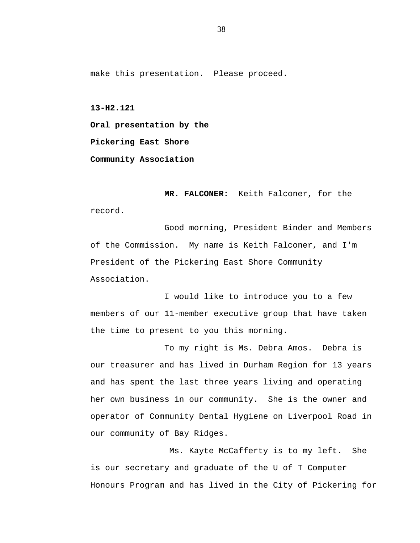make this presentation. Please proceed.

**13-H2.121**

**Oral presentation by the**

**Pickering East Shore** 

**Community Association**

**MR. FALCONER:** Keith Falconer, for the record.

Good morning, President Binder and Members of the Commission. My name is Keith Falconer, and I'm President of the Pickering East Shore Community Association.

I would like to introduce you to a few members of our 11-member executive group that have taken the time to present to you this morning.

To my right is Ms. Debra Amos. Debra is our treasurer and has lived in Durham Region for 13 years and has spent the last three years living and operating her own business in our community. She is the owner and operator of Community Dental Hygiene on Liverpool Road in our community of Bay Ridges.

Ms. Kayte McCafferty is to my left. She is our secretary and graduate of the U of T Computer Honours Program and has lived in the City of Pickering for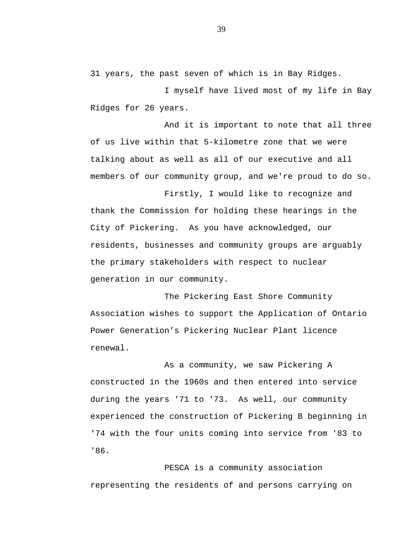31 years, the past seven of which is in Bay Ridges.

I myself have lived most of my life in Bay Ridges for 26 years.

And it is important to note that all three of us live within that 5-kilometre zone that we were talking about as well as all of our executive and all members of our community group, and we're proud to do so.

Firstly, I would like to recognize and thank the Commission for holding these hearings in the City of Pickering. As you have acknowledged, our residents, businesses and community groups are arguably the primary stakeholders with respect to nuclear generation in our community.

The Pickering East Shore Community Association wishes to support the Application of Ontario Power Generation's Pickering Nuclear Plant licence renewal.

As a community, we saw Pickering A constructed in the 1960s and then entered into service during the years '71 to '73. As well, our community experienced the construction of Pickering B beginning in '74 with the four units coming into service from '83 to '86.

PESCA is a community association representing the residents of and persons carrying on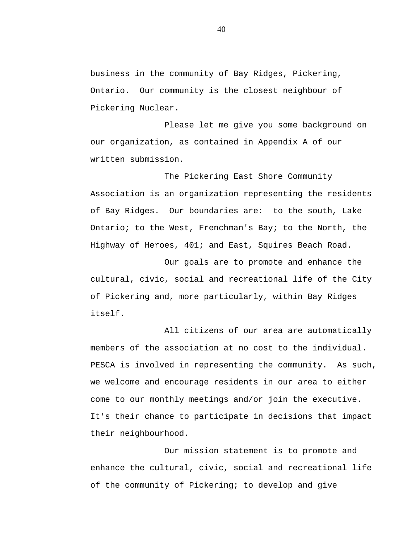business in the community of Bay Ridges, Pickering, Ontario. Our community is the closest neighbour of Pickering Nuclear.

Please let me give you some background on our organization, as contained in Appendix A of our written submission.

The Pickering East Shore Community Association is an organization representing the residents of Bay Ridges. Our boundaries are: to the south, Lake Ontario; to the West, Frenchman's Bay; to the North, the Highway of Heroes, 401; and East, Squires Beach Road.

Our goals are to promote and enhance the cultural, civic, social and recreational life of the City of Pickering and, more particularly, within Bay Ridges itself.

All citizens of our area are automatically members of the association at no cost to the individual. PESCA is involved in representing the community. As such, we welcome and encourage residents in our area to either come to our monthly meetings and/or join the executive. It's their chance to participate in decisions that impact their neighbourhood.

Our mission statement is to promote and enhance the cultural, civic, social and recreational life of the community of Pickering; to develop and give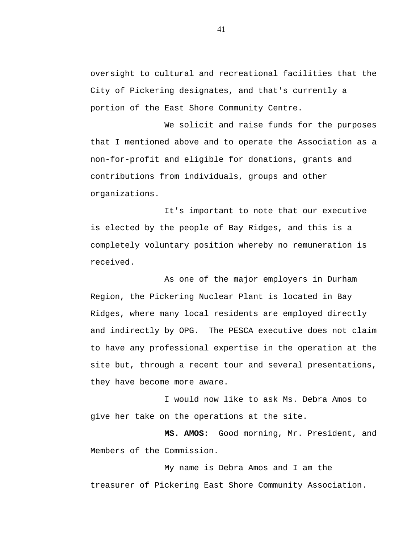oversight to cultural and recreational facilities that the City of Pickering designates, and that's currently a portion of the East Shore Community Centre.

We solicit and raise funds for the purposes that I mentioned above and to operate the Association as a non-for-profit and eligible for donations, grants and contributions from individuals, groups and other organizations.

It's important to note that our executive is elected by the people of Bay Ridges, and this is a completely voluntary position whereby no remuneration is received.

As one of the major employers in Durham Region, the Pickering Nuclear Plant is located in Bay Ridges, where many local residents are employed directly and indirectly by OPG. The PESCA executive does not claim to have any professional expertise in the operation at the site but, through a recent tour and several presentations, they have become more aware.

I would now like to ask Ms. Debra Amos to give her take on the operations at the site.

**MS. AMOS:** Good morning, Mr. President, and Members of the Commission.

My name is Debra Amos and I am the treasurer of Pickering East Shore Community Association.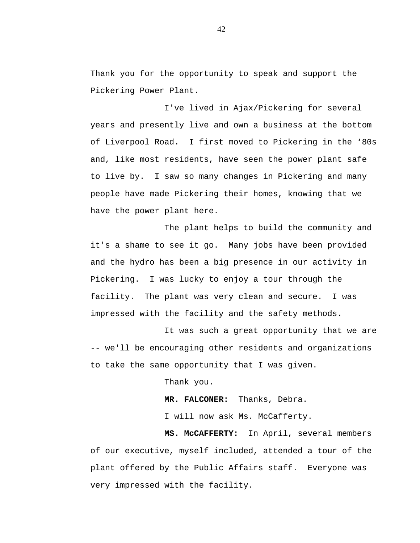Thank you for the opportunity to speak and support the Pickering Power Plant.

I've lived in Ajax/Pickering for several years and presently live and own a business at the bottom of Liverpool Road. I first moved to Pickering in the '80s and, like most residents, have seen the power plant safe to live by. I saw so many changes in Pickering and many people have made Pickering their homes, knowing that we have the power plant here.

The plant helps to build the community and it's a shame to see it go. Many jobs have been provided and the hydro has been a big presence in our activity in Pickering. I was lucky to enjoy a tour through the facility. The plant was very clean and secure. I was impressed with the facility and the safety methods.

It was such a great opportunity that we are -- we'll be encouraging other residents and organizations to take the same opportunity that I was given.

Thank you.

**MR. FALCONER:** Thanks, Debra.

I will now ask Ms. McCafferty.

**MS. McCAFFERTY:** In April, several members of our executive, myself included, attended a tour of the plant offered by the Public Affairs staff. Everyone was very impressed with the facility.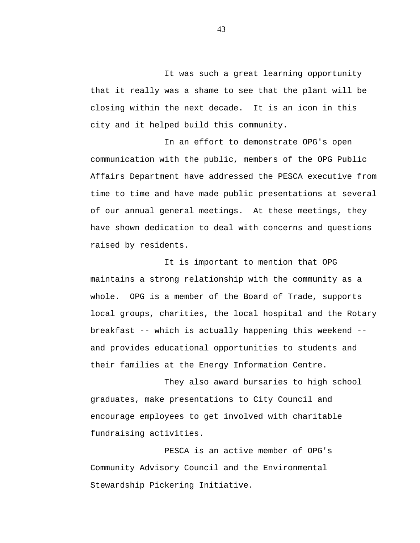It was such a great learning opportunity that it really was a shame to see that the plant will be closing within the next decade. It is an icon in this city and it helped build this community.

In an effort to demonstrate OPG's open communication with the public, members of the OPG Public Affairs Department have addressed the PESCA executive from time to time and have made public presentations at several of our annual general meetings. At these meetings, they have shown dedication to deal with concerns and questions raised by residents.

It is important to mention that OPG maintains a strong relationship with the community as a whole. OPG is a member of the Board of Trade, supports local groups, charities, the local hospital and the Rotary breakfast -- which is actually happening this weekend - and provides educational opportunities to students and their families at the Energy Information Centre.

They also award bursaries to high school graduates, make presentations to City Council and encourage employees to get involved with charitable fundraising activities.

PESCA is an active member of OPG's Community Advisory Council and the Environmental Stewardship Pickering Initiative.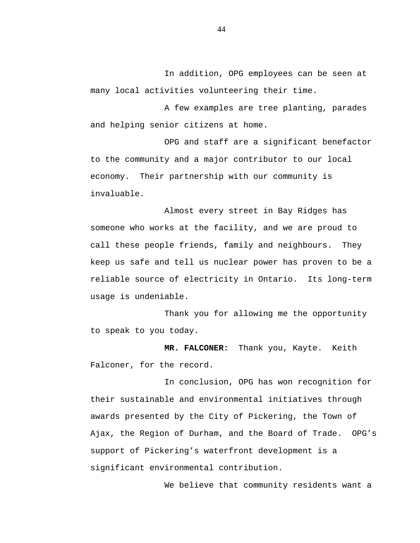In addition, OPG employees can be seen at many local activities volunteering their time.

A few examples are tree planting, parades and helping senior citizens at home.

OPG and staff are a significant benefactor to the community and a major contributor to our local economy. Their partnership with our community is invaluable.

Almost every street in Bay Ridges has someone who works at the facility, and we are proud to call these people friends, family and neighbours. They keep us safe and tell us nuclear power has proven to be a reliable source of electricity in Ontario. Its long-term usage is undeniable.

Thank you for allowing me the opportunity to speak to you today.

**MR. FALCONER:** Thank you, Kayte. Keith Falconer, for the record.

In conclusion, OPG has won recognition for their sustainable and environmental initiatives through awards presented by the City of Pickering, the Town of Ajax, the Region of Durham, and the Board of Trade. OPG's support of Pickering's waterfront development is a significant environmental contribution.

We believe that community residents want a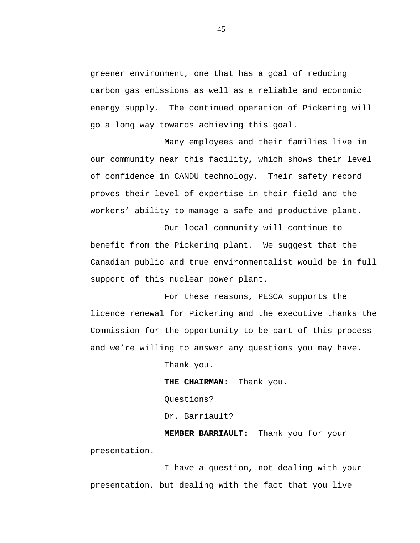greener environment, one that has a goal of reducing carbon gas emissions as well as a reliable and economic energy supply. The continued operation of Pickering will go a long way towards achieving this goal.

Many employees and their families live in our community near this facility, which shows their level of confidence in CANDU technology. Their safety record proves their level of expertise in their field and the workers' ability to manage a safe and productive plant.

Our local community will continue to benefit from the Pickering plant. We suggest that the Canadian public and true environmentalist would be in full support of this nuclear power plant.

For these reasons, PESCA supports the licence renewal for Pickering and the executive thanks the Commission for the opportunity to be part of this process and we're willing to answer any questions you may have.

Thank you.

**THE CHAIRMAN:** Thank you. Questions? Dr. Barriault?

**MEMBER BARRIAULT:** Thank you for your presentation.

I have a question, not dealing with your presentation, but dealing with the fact that you live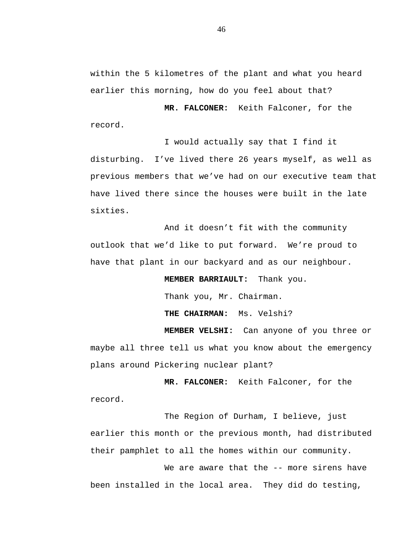within the 5 kilometres of the plant and what you heard earlier this morning, how do you feel about that?

**MR. FALCONER:** Keith Falconer, for the record.

I would actually say that I find it disturbing. I've lived there 26 years myself, as well as previous members that we've had on our executive team that have lived there since the houses were built in the late sixties.

And it doesn't fit with the community outlook that we'd like to put forward. We're proud to have that plant in our backyard and as our neighbour.

**MEMBER BARRIAULT:** Thank you.

Thank you, Mr. Chairman.

**THE CHAIRMAN:** Ms. Velshi?

**MEMBER VELSHI:** Can anyone of you three or maybe all three tell us what you know about the emergency plans around Pickering nuclear plant?

**MR. FALCONER:** Keith Falconer, for the record.

The Region of Durham, I believe, just earlier this month or the previous month, had distributed their pamphlet to all the homes within our community.

We are aware that the -- more sirens have been installed in the local area. They did do testing,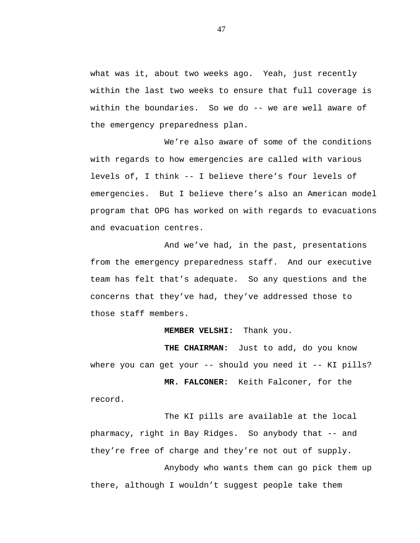what was it, about two weeks ago. Yeah, just recently within the last two weeks to ensure that full coverage is within the boundaries. So we do -- we are well aware of the emergency preparedness plan.

We're also aware of some of the conditions with regards to how emergencies are called with various levels of, I think -- I believe there's four levels of emergencies. But I believe there's also an American model program that OPG has worked on with regards to evacuations and evacuation centres.

And we've had, in the past, presentations from the emergency preparedness staff. And our executive team has felt that's adequate. So any questions and the concerns that they've had, they've addressed those to those staff members.

## **MEMBER VELSHI:** Thank you.

**THE CHAIRMAN:** Just to add, do you know where you can get your -- should you need it -- KI pills?

**MR. FALCONER:** Keith Falconer, for the record.

The KI pills are available at the local pharmacy, right in Bay Ridges. So anybody that -- and they're free of charge and they're not out of supply. Anybody who wants them can go pick them up there, although I wouldn't suggest people take them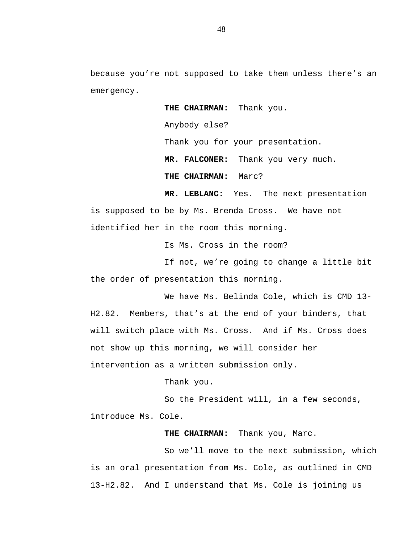because you're not supposed to take them unless there's an emergency.

**THE CHAIRMAN:** Thank you.

Anybody else?

Thank you for your presentation.

**MR. FALCONER:** Thank you very much.

**THE CHAIRMAN:** Marc?

**MR. LEBLANC:** Yes. The next presentation is supposed to be by Ms. Brenda Cross. We have not identified her in the room this morning.

Is Ms. Cross in the room?

If not, we're going to change a little bit the order of presentation this morning.

We have Ms. Belinda Cole, which is CMD 13- H2.82. Members, that's at the end of your binders, that will switch place with Ms. Cross. And if Ms. Cross does not show up this morning, we will consider her intervention as a written submission only.

Thank you.

So the President will, in a few seconds, introduce Ms. Cole.

**THE CHAIRMAN:** Thank you, Marc.

So we'll move to the next submission, which is an oral presentation from Ms. Cole, as outlined in CMD 13-H2.82. And I understand that Ms. Cole is joining us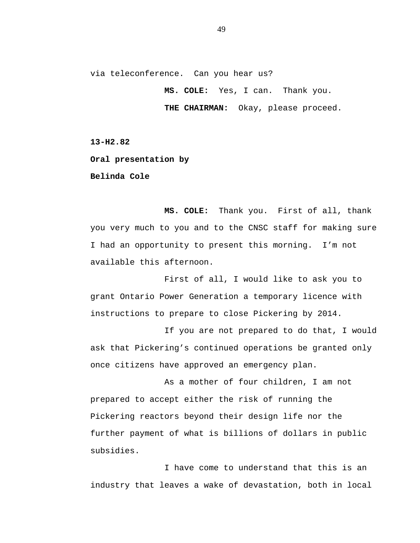via teleconference. Can you hear us?

**MS. COLE:** Yes, I can. Thank you.

**THE CHAIRMAN:** Okay, please proceed.

**13-H2.82**

**Oral presentation by**

**Belinda Cole**

**MS. COLE:** Thank you. First of all, thank you very much to you and to the CNSC staff for making sure I had an opportunity to present this morning. I'm not available this afternoon.

First of all, I would like to ask you to grant Ontario Power Generation a temporary licence with instructions to prepare to close Pickering by 2014.

If you are not prepared to do that, I would ask that Pickering's continued operations be granted only once citizens have approved an emergency plan.

As a mother of four children, I am not prepared to accept either the risk of running the Pickering reactors beyond their design life nor the further payment of what is billions of dollars in public subsidies.

I have come to understand that this is an industry that leaves a wake of devastation, both in local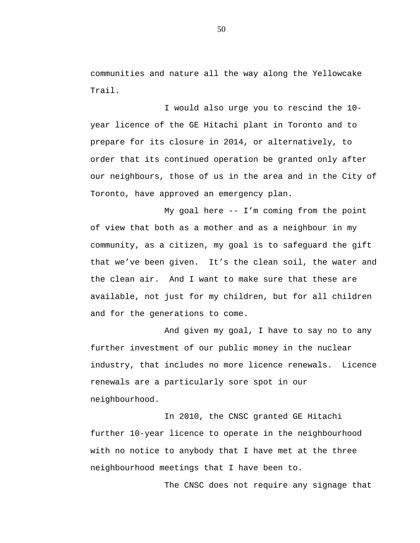communities and nature all the way along the Yellowcake Trail.

I would also urge you to rescind the 10 year licence of the GE Hitachi plant in Toronto and to prepare for its closure in 2014, or alternatively, to order that its continued operation be granted only after our neighbours, those of us in the area and in the City of Toronto, have approved an emergency plan.

My goal here -- I'm coming from the point of view that both as a mother and as a neighbour in my community, as a citizen, my goal is to safeguard the gift that we've been given. It's the clean soil, the water and the clean air. And I want to make sure that these are available, not just for my children, but for all children and for the generations to come.

And given my goal, I have to say no to any further investment of our public money in the nuclear industry, that includes no more licence renewals. Licence renewals are a particularly sore spot in our neighbourhood.

In 2010, the CNSC granted GE Hitachi further 10-year licence to operate in the neighbourhood with no notice to anybody that I have met at the three neighbourhood meetings that I have been to.

The CNSC does not require any signage that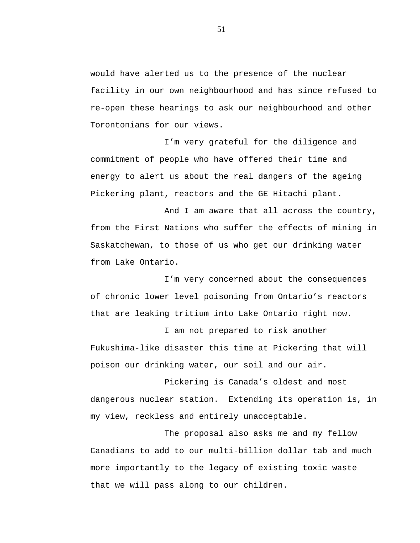would have alerted us to the presence of the nuclear facility in our own neighbourhood and has since refused to re-open these hearings to ask our neighbourhood and other Torontonians for our views.

I'm very grateful for the diligence and commitment of people who have offered their time and energy to alert us about the real dangers of the ageing Pickering plant, reactors and the GE Hitachi plant.

And I am aware that all across the country, from the First Nations who suffer the effects of mining in Saskatchewan, to those of us who get our drinking water from Lake Ontario.

I'm very concerned about the consequences of chronic lower level poisoning from Ontario's reactors that are leaking tritium into Lake Ontario right now.

I am not prepared to risk another Fukushima-like disaster this time at Pickering that will poison our drinking water, our soil and our air.

Pickering is Canada's oldest and most dangerous nuclear station. Extending its operation is, in my view, reckless and entirely unacceptable.

The proposal also asks me and my fellow Canadians to add to our multi-billion dollar tab and much more importantly to the legacy of existing toxic waste that we will pass along to our children.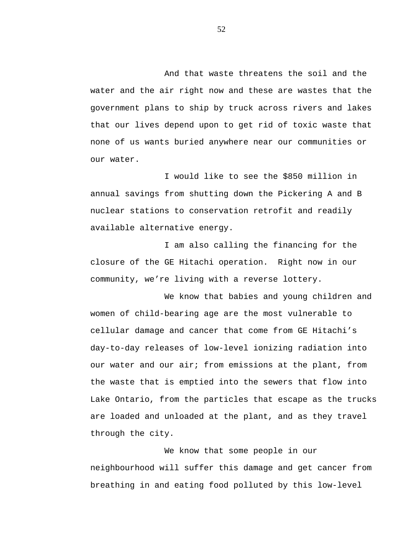And that waste threatens the soil and the water and the air right now and these are wastes that the government plans to ship by truck across rivers and lakes that our lives depend upon to get rid of toxic waste that none of us wants buried anywhere near our communities or our water.

I would like to see the \$850 million in annual savings from shutting down the Pickering A and B nuclear stations to conservation retrofit and readily available alternative energy.

I am also calling the financing for the closure of the GE Hitachi operation. Right now in our community, we're living with a reverse lottery.

We know that babies and young children and women of child-bearing age are the most vulnerable to cellular damage and cancer that come from GE Hitachi's day-to-day releases of low-level ionizing radiation into our water and our air; from emissions at the plant, from the waste that is emptied into the sewers that flow into Lake Ontario, from the particles that escape as the trucks are loaded and unloaded at the plant, and as they travel through the city.

We know that some people in our neighbourhood will suffer this damage and get cancer from breathing in and eating food polluted by this low-level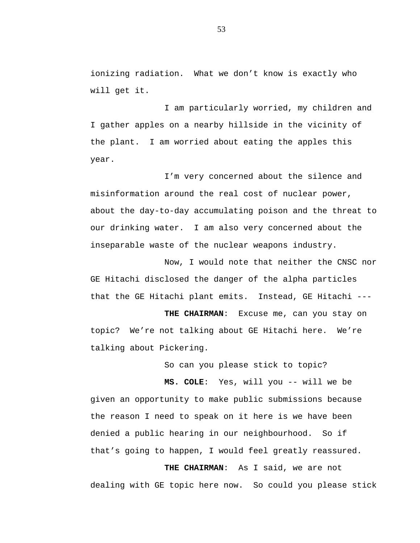ionizing radiation. What we don't know is exactly who will get it.

I am particularly worried, my children and I gather apples on a nearby hillside in the vicinity of the plant. I am worried about eating the apples this year.

I'm very concerned about the silence and misinformation around the real cost of nuclear power, about the day-to-day accumulating poison and the threat to our drinking water. I am also very concerned about the inseparable waste of the nuclear weapons industry.

Now, I would note that neither the CNSC nor GE Hitachi disclosed the danger of the alpha particles that the GE Hitachi plant emits. Instead, GE Hitachi ---

**THE CHAIRMAN**: Excuse me, can you stay on topic? We're not talking about GE Hitachi here. We're talking about Pickering.

So can you please stick to topic?

**MS. COLE**: Yes, will you -- will we be

given an opportunity to make public submissions because the reason I need to speak on it here is we have been denied a public hearing in our neighbourhood. So if that's going to happen, I would feel greatly reassured.

**THE CHAIRMAN**: As I said, we are not dealing with GE topic here now. So could you please stick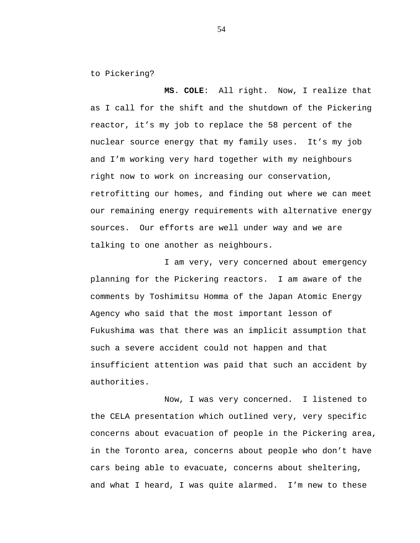to Pickering?

**MS**. **COLE**: All right. Now, I realize that as I call for the shift and the shutdown of the Pickering reactor, it's my job to replace the 58 percent of the nuclear source energy that my family uses. It's my job and I'm working very hard together with my neighbours right now to work on increasing our conservation, retrofitting our homes, and finding out where we can meet our remaining energy requirements with alternative energy sources. Our efforts are well under way and we are talking to one another as neighbours.

I am very, very concerned about emergency planning for the Pickering reactors. I am aware of the comments by Toshimitsu Homma of the Japan Atomic Energy Agency who said that the most important lesson of Fukushima was that there was an implicit assumption that such a severe accident could not happen and that insufficient attention was paid that such an accident by authorities.

Now, I was very concerned. I listened to the CELA presentation which outlined very, very specific concerns about evacuation of people in the Pickering area, in the Toronto area, concerns about people who don't have cars being able to evacuate, concerns about sheltering, and what I heard, I was quite alarmed. I'm new to these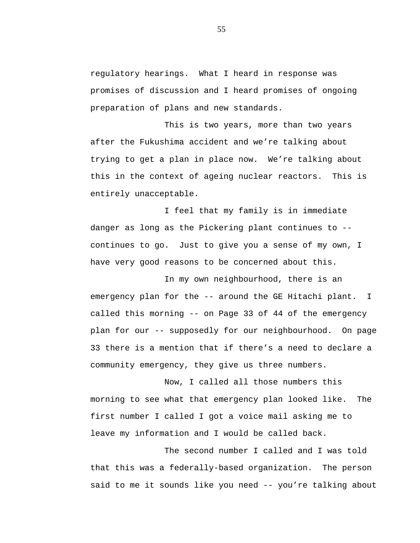regulatory hearings. What I heard in response was promises of discussion and I heard promises of ongoing preparation of plans and new standards.

This is two years, more than two years after the Fukushima accident and we're talking about trying to get a plan in place now. We're talking about this in the context of ageing nuclear reactors. This is entirely unacceptable.

I feel that my family is in immediate danger as long as the Pickering plant continues to - continues to go. Just to give you a sense of my own, I have very good reasons to be concerned about this.

In my own neighbourhood, there is an emergency plan for the -- around the GE Hitachi plant. I called this morning -- on Page 33 of 44 of the emergency plan for our -- supposedly for our neighbourhood. On page 33 there is a mention that if there's a need to declare a community emergency, they give us three numbers.

Now, I called all those numbers this morning to see what that emergency plan looked like. The first number I called I got a voice mail asking me to leave my information and I would be called back.

The second number I called and I was told that this was a federally-based organization. The person said to me it sounds like you need -- you're talking about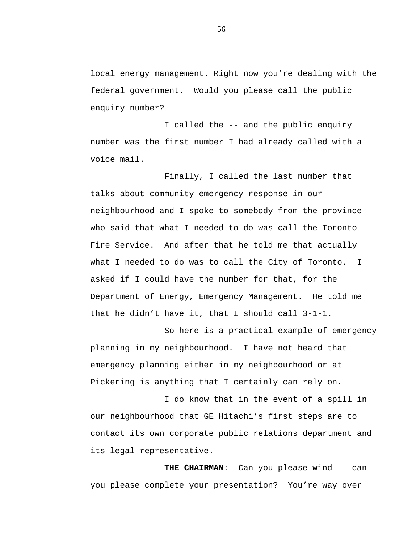local energy management. Right now you're dealing with the federal government. Would you please call the public enquiry number?

I called the -- and the public enquiry number was the first number I had already called with a voice mail.

Finally, I called the last number that talks about community emergency response in our neighbourhood and I spoke to somebody from the province who said that what I needed to do was call the Toronto Fire Service. And after that he told me that actually what I needed to do was to call the City of Toronto. I asked if I could have the number for that, for the Department of Energy, Emergency Management. He told me that he didn't have it, that I should call 3-1-1.

So here is a practical example of emergency planning in my neighbourhood. I have not heard that emergency planning either in my neighbourhood or at Pickering is anything that I certainly can rely on.

I do know that in the event of a spill in our neighbourhood that GE Hitachi's first steps are to contact its own corporate public relations department and its legal representative.

**THE CHAIRMAN**: Can you please wind -- can you please complete your presentation? You're way over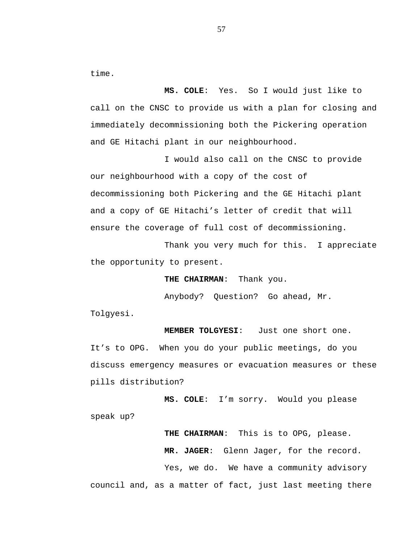time.

**MS. COLE**: Yes. So I would just like to call on the CNSC to provide us with a plan for closing and immediately decommissioning both the Pickering operation and GE Hitachi plant in our neighbourhood.

I would also call on the CNSC to provide our neighbourhood with a copy of the cost of decommissioning both Pickering and the GE Hitachi plant and a copy of GE Hitachi's letter of credit that will ensure the coverage of full cost of decommissioning.

Thank you very much for this. I appreciate the opportunity to present.

**THE CHAIRMAN**: Thank you.

Anybody? Question? Go ahead, Mr.

Tolgyesi.

**MEMBER TOLGYESI**: Just one short one. It's to OPG. When you do your public meetings, do you discuss emergency measures or evacuation measures or these pills distribution?

**MS. COLE**: I'm sorry. Would you please speak up?

**THE CHAIRMAN**: This is to OPG, please. **MR. JAGER**: Glenn Jager, for the record. Yes, we do. We have a community advisory council and, as a matter of fact, just last meeting there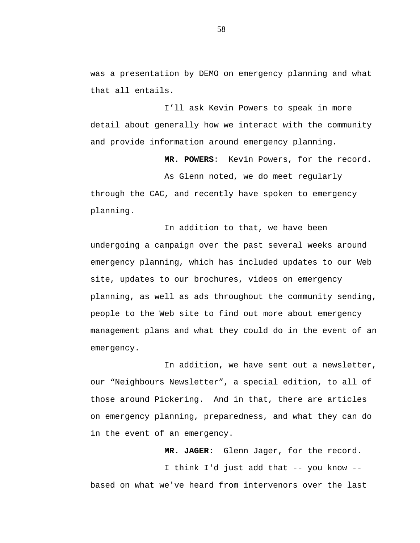was a presentation by DEMO on emergency planning and what that all entails.

I'll ask Kevin Powers to speak in more detail about generally how we interact with the community and provide information around emergency planning.

**MR**. **POWERS**: Kevin Powers, for the record.

As Glenn noted, we do meet regularly through the CAC, and recently have spoken to emergency planning.

In addition to that, we have been undergoing a campaign over the past several weeks around emergency planning, which has included updates to our Web site, updates to our brochures, videos on emergency planning, as well as ads throughout the community sending, people to the Web site to find out more about emergency management plans and what they could do in the event of an emergency.

In addition, we have sent out a newsletter, our "Neighbours Newsletter", a special edition, to all of those around Pickering. And in that, there are articles on emergency planning, preparedness, and what they can do in the event of an emergency.

**MR. JAGER:** Glenn Jager, for the record. I think I'd just add that -- you know - based on what we've heard from intervenors over the last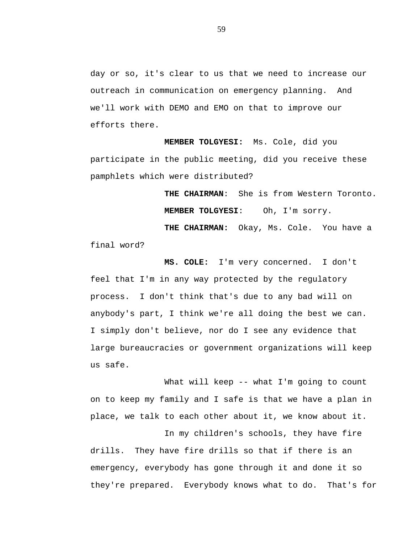day or so, it's clear to us that we need to increase our outreach in communication on emergency planning. And we'll work with DEMO and EMO on that to improve our efforts there.

**MEMBER TOLGYESI:** Ms. Cole, did you participate in the public meeting, did you receive these pamphlets which were distributed?

> **THE CHAIRMAN**: She is from Western Toronto. **MEMBER TOLGYESI**: Oh, I'm sorry.

**THE CHAIRMAN:** Okay, Ms. Cole. You have a final word?

**MS. COLE:** I'm very concerned. I don't feel that I'm in any way protected by the regulatory process. I don't think that's due to any bad will on anybody's part, I think we're all doing the best we can. I simply don't believe, nor do I see any evidence that large bureaucracies or government organizations will keep us safe.

What will keep -- what I'm going to count on to keep my family and I safe is that we have a plan in place, we talk to each other about it, we know about it.

In my children's schools, they have fire drills. They have fire drills so that if there is an emergency, everybody has gone through it and done it so they're prepared. Everybody knows what to do. That's for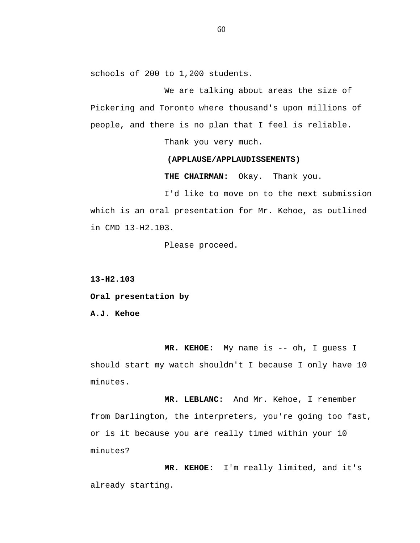schools of 200 to 1,200 students.

We are talking about areas the size of Pickering and Toronto where thousand's upon millions of people, and there is no plan that I feel is reliable.

Thank you very much.

## **(APPLAUSE/APPLAUDISSEMENTS)**

**THE CHAIRMAN:** Okay. Thank you.

I'd like to move on to the next submission which is an oral presentation for Mr. Kehoe, as outlined in CMD 13-H2.103.

Please proceed.

**13-H2.103**

**Oral presentation by**

**A.J. Kehoe**

**MR. KEHOE:** My name is -- oh, I guess I should start my watch shouldn't I because I only have 10 minutes.

**MR. LEBLANC:** And Mr. Kehoe, I remember from Darlington, the interpreters, you're going too fast, or is it because you are really timed within your 10 minutes?

**MR. KEHOE:** I'm really limited, and it's already starting.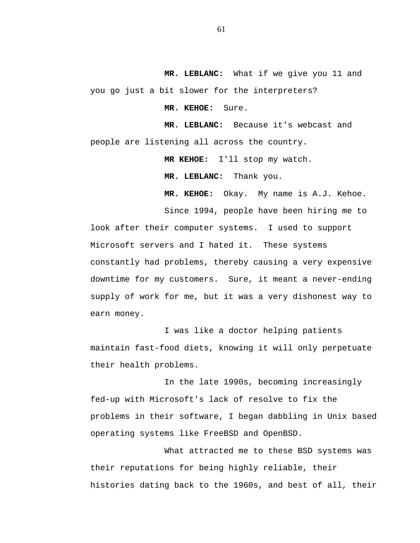**MR. LEBLANC:** What if we give you 11 and you go just a bit slower for the interpreters?

**MR. KEHOE:** Sure.

**MR. LEBLANC:** Because it's webcast and people are listening all across the country.

**MR KEHOE:** I'll stop my watch.

**MR. LEBLANC:** Thank you.

**MR. KEHOE:** Okay. My name is A.J. Kehoe.

Since 1994, people have been hiring me to look after their computer systems. I used to support Microsoft servers and I hated it. These systems constantly had problems, thereby causing a very expensive downtime for my customers. Sure, it meant a never-ending supply of work for me, but it was a very dishonest way to earn money.

I was like a doctor helping patients maintain fast-food diets, knowing it will only perpetuate their health problems.

In the late 1990s, becoming increasingly fed-up with Microsoft's lack of resolve to fix the problems in their software, I began dabbling in Unix based operating systems like FreeBSD and OpenBSD.

What attracted me to these BSD systems was their reputations for being highly reliable, their histories dating back to the 1960s, and best of all, their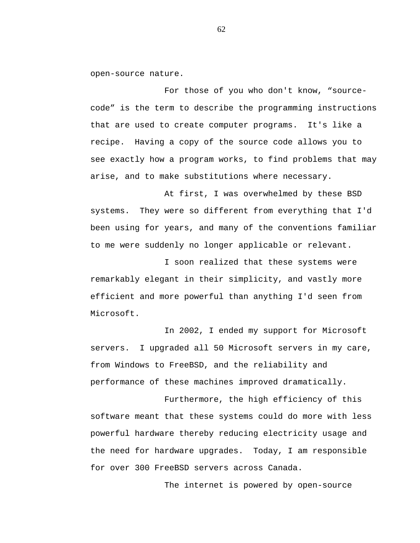open-source nature.

For those of you who don't know, "sourcecode" is the term to describe the programming instructions that are used to create computer programs. It's like a recipe. Having a copy of the source code allows you to see exactly how a program works, to find problems that may arise, and to make substitutions where necessary.

At first, I was overwhelmed by these BSD systems. They were so different from everything that I'd been using for years, and many of the conventions familiar to me were suddenly no longer applicable or relevant.

I soon realized that these systems were remarkably elegant in their simplicity, and vastly more efficient and more powerful than anything I'd seen from Microsoft.

In 2002, I ended my support for Microsoft servers. I upgraded all 50 Microsoft servers in my care, from Windows to FreeBSD, and the reliability and performance of these machines improved dramatically.

Furthermore, the high efficiency of this software meant that these systems could do more with less powerful hardware thereby reducing electricity usage and the need for hardware upgrades. Today, I am responsible for over 300 FreeBSD servers across Canada.

The internet is powered by open-source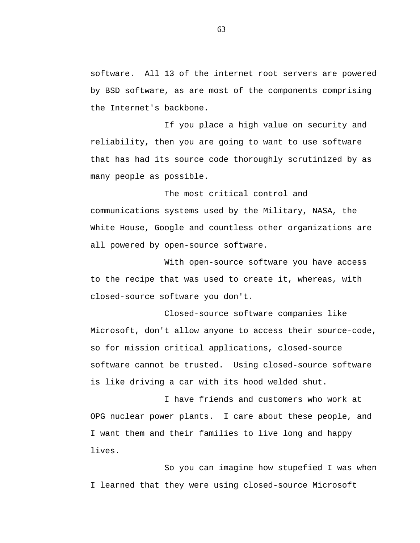software. All 13 of the internet root servers are powered by BSD software, as are most of the components comprising the Internet's backbone.

If you place a high value on security and reliability, then you are going to want to use software that has had its source code thoroughly scrutinized by as many people as possible.

The most critical control and communications systems used by the Military, NASA, the White House, Google and countless other organizations are all powered by open-source software.

With open-source software you have access to the recipe that was used to create it, whereas, with closed-source software you don't.

Closed-source software companies like Microsoft, don't allow anyone to access their source-code, so for mission critical applications, closed-source software cannot be trusted. Using closed-source software is like driving a car with its hood welded shut.

I have friends and customers who work at OPG nuclear power plants. I care about these people, and I want them and their families to live long and happy lives.

So you can imagine how stupefied I was when I learned that they were using closed-source Microsoft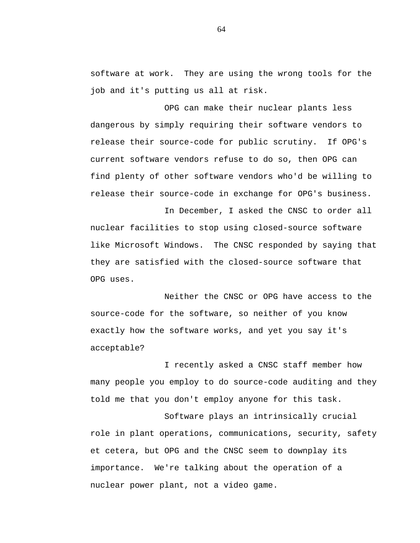software at work. They are using the wrong tools for the job and it's putting us all at risk.

OPG can make their nuclear plants less dangerous by simply requiring their software vendors to release their source-code for public scrutiny. If OPG's current software vendors refuse to do so, then OPG can find plenty of other software vendors who'd be willing to release their source-code in exchange for OPG's business.

In December, I asked the CNSC to order all nuclear facilities to stop using closed-source software like Microsoft Windows. The CNSC responded by saying that they are satisfied with the closed-source software that OPG uses.

Neither the CNSC or OPG have access to the source-code for the software, so neither of you know exactly how the software works, and yet you say it's acceptable?

I recently asked a CNSC staff member how many people you employ to do source-code auditing and they told me that you don't employ anyone for this task.

Software plays an intrinsically crucial role in plant operations, communications, security, safety et cetera, but OPG and the CNSC seem to downplay its importance. We're talking about the operation of a nuclear power plant, not a video game.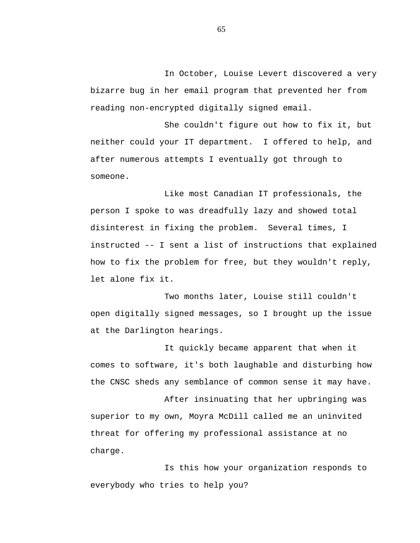In October, Louise Levert discovered a very bizarre bug in her email program that prevented her from reading non-encrypted digitally signed email.

She couldn't figure out how to fix it, but neither could your IT department. I offered to help, and after numerous attempts I eventually got through to someone.

Like most Canadian IT professionals, the person I spoke to was dreadfully lazy and showed total disinterest in fixing the problem. Several times, I instructed -- I sent a list of instructions that explained how to fix the problem for free, but they wouldn't reply, let alone fix it.

Two months later, Louise still couldn't open digitally signed messages, so I brought up the issue at the Darlington hearings.

It quickly became apparent that when it comes to software, it's both laughable and disturbing how the CNSC sheds any semblance of common sense it may have.

After insinuating that her upbringing was superior to my own, Moyra McDill called me an uninvited threat for offering my professional assistance at no charge.

Is this how your organization responds to everybody who tries to help you?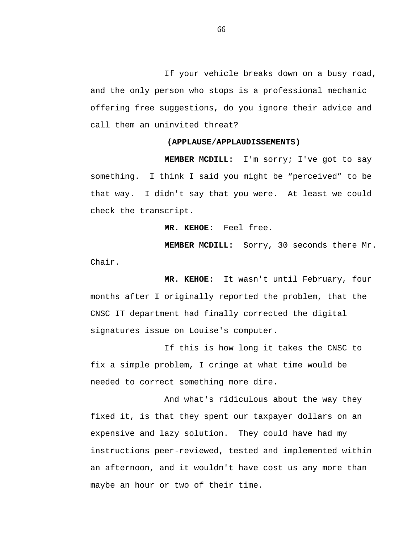If your vehicle breaks down on a busy road, and the only person who stops is a professional mechanic offering free suggestions, do you ignore their advice and call them an uninvited threat?

## **(APPLAUSE/APPLAUDISSEMENTS)**

**MEMBER MCDILL:** I'm sorry; I've got to say something. I think I said you might be "perceived" to be that way. I didn't say that you were. At least we could check the transcript.

**MR. KEHOE:** Feel free.

**MEMBER MCDILL:** Sorry, 30 seconds there Mr. Chair.

**MR. KEHOE:** It wasn't until February, four months after I originally reported the problem, that the CNSC IT department had finally corrected the digital signatures issue on Louise's computer.

If this is how long it takes the CNSC to fix a simple problem, I cringe at what time would be needed to correct something more dire.

And what's ridiculous about the way they fixed it, is that they spent our taxpayer dollars on an expensive and lazy solution. They could have had my instructions peer-reviewed, tested and implemented within an afternoon, and it wouldn't have cost us any more than maybe an hour or two of their time.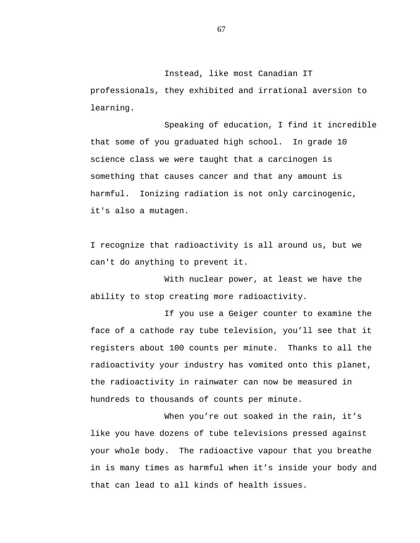Instead, like most Canadian IT professionals, they exhibited and irrational aversion to learning.

Speaking of education, I find it incredible that some of you graduated high school. In grade 10 science class we were taught that a carcinogen is something that causes cancer and that any amount is harmful. Ionizing radiation is not only carcinogenic, it's also a mutagen.

I recognize that radioactivity is all around us, but we can't do anything to prevent it.

With nuclear power, at least we have the ability to stop creating more radioactivity.

If you use a Geiger counter to examine the face of a cathode ray tube television, you'll see that it registers about 100 counts per minute. Thanks to all the radioactivity your industry has vomited onto this planet, the radioactivity in rainwater can now be measured in hundreds to thousands of counts per minute.

When you're out soaked in the rain, it's like you have dozens of tube televisions pressed against your whole body. The radioactive vapour that you breathe in is many times as harmful when it's inside your body and that can lead to all kinds of health issues.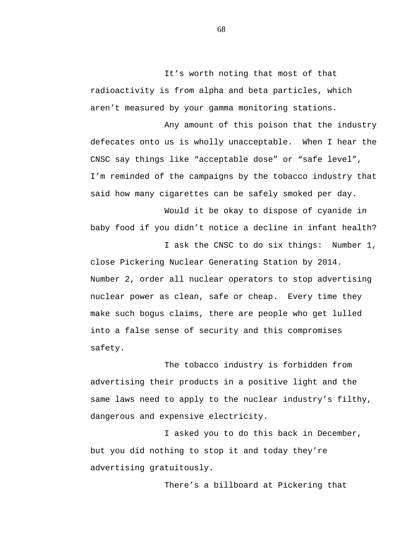It's worth noting that most of that radioactivity is from alpha and beta particles, which aren't measured by your gamma monitoring stations.

Any amount of this poison that the industry defecates onto us is wholly unacceptable. When I hear the CNSC say things like "acceptable dose" or "safe level", I'm reminded of the campaigns by the tobacco industry that said how many cigarettes can be safely smoked per day.

Would it be okay to dispose of cyanide in baby food if you didn't notice a decline in infant health?

I ask the CNSC to do six things: Number 1, close Pickering Nuclear Generating Station by 2014. Number 2, order all nuclear operators to stop advertising nuclear power as clean, safe or cheap. Every time they make such bogus claims, there are people who get lulled into a false sense of security and this compromises safety.

The tobacco industry is forbidden from advertising their products in a positive light and the same laws need to apply to the nuclear industry's filthy, dangerous and expensive electricity.

I asked you to do this back in December, but you did nothing to stop it and today they're advertising gratuitously.

There's a billboard at Pickering that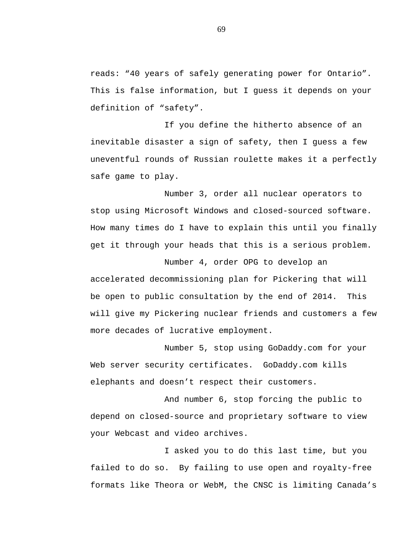reads: "40 years of safely generating power for Ontario". This is false information, but I guess it depends on your definition of "safety".

If you define the hitherto absence of an inevitable disaster a sign of safety, then I guess a few uneventful rounds of Russian roulette makes it a perfectly safe game to play.

Number 3, order all nuclear operators to stop using Microsoft Windows and closed-sourced software. How many times do I have to explain this until you finally get it through your heads that this is a serious problem.

Number 4, order OPG to develop an accelerated decommissioning plan for Pickering that will be open to public consultation by the end of 2014. This will give my Pickering nuclear friends and customers a few more decades of lucrative employment.

Number 5, stop using GoDaddy.com for your Web server security certificates. GoDaddy.com kills elephants and doesn't respect their customers.

And number 6, stop forcing the public to depend on closed-source and proprietary software to view your Webcast and video archives.

I asked you to do this last time, but you failed to do so. By failing to use open and royalty-free formats like Theora or WebM, the CNSC is limiting Canada's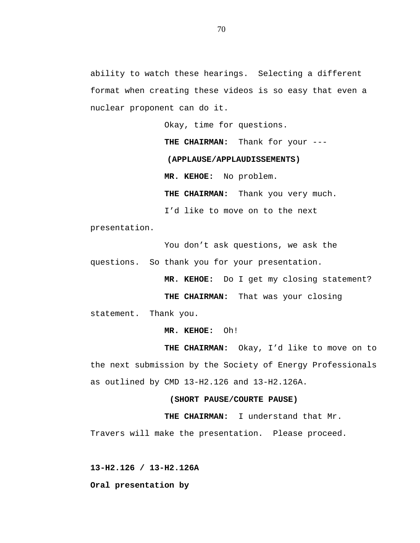ability to watch these hearings. Selecting a different format when creating these videos is so easy that even a nuclear proponent can do it.

Okay, time for questions.

**THE CHAIRMAN:** Thank for your ---

**(APPLAUSE/APPLAUDISSEMENTS)**

**MR. KEHOE:** No problem.

**THE CHAIRMAN:** Thank you very much.

I'd like to move on to the next

presentation.

You don't ask questions, we ask the

questions. So thank you for your presentation.

**MR. KEHOE:** Do I get my closing statement?

**THE CHAIRMAN:** That was your closing

statement. Thank you.

**MR. KEHOE:** Oh!

**THE CHAIRMAN:** Okay, I'd like to move on to the next submission by the Society of Energy Professionals as outlined by CMD 13-H2.126 and 13-H2.126A.

**(SHORT PAUSE/COURTE PAUSE)**

**THE CHAIRMAN:** I understand that Mr.

Travers will make the presentation. Please proceed.

**13-H2.126 / 13-H2.126A**

**Oral presentation by**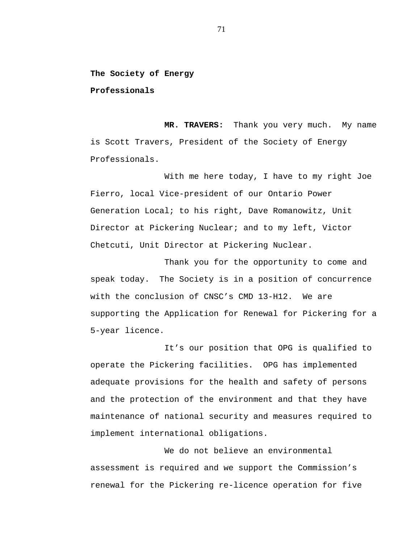**The Society of Energy**

**Professionals**

**MR. TRAVERS:** Thank you very much. My name is Scott Travers, President of the Society of Energy Professionals.

With me here today, I have to my right Joe Fierro, local Vice-president of our Ontario Power Generation Local; to his right, Dave Romanowitz, Unit Director at Pickering Nuclear; and to my left, Victor Chetcuti, Unit Director at Pickering Nuclear.

Thank you for the opportunity to come and speak today. The Society is in a position of concurrence with the conclusion of CNSC's CMD 13-H12. We are supporting the Application for Renewal for Pickering for a 5-year licence.

It's our position that OPG is qualified to operate the Pickering facilities. OPG has implemented adequate provisions for the health and safety of persons and the protection of the environment and that they have maintenance of national security and measures required to implement international obligations.

We do not believe an environmental assessment is required and we support the Commission's renewal for the Pickering re-licence operation for five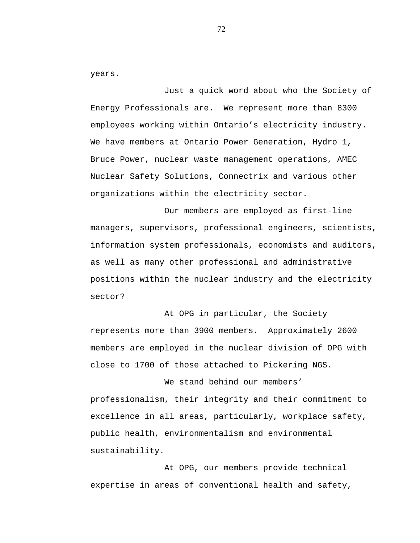years.

Just a quick word about who the Society of Energy Professionals are. We represent more than 8300 employees working within Ontario's electricity industry. We have members at Ontario Power Generation, Hydro 1, Bruce Power, nuclear waste management operations, AMEC Nuclear Safety Solutions, Connectrix and various other organizations within the electricity sector.

Our members are employed as first-line managers, supervisors, professional engineers, scientists, information system professionals, economists and auditors, as well as many other professional and administrative positions within the nuclear industry and the electricity sector?

At OPG in particular, the Society represents more than 3900 members. Approximately 2600 members are employed in the nuclear division of OPG with close to 1700 of those attached to Pickering NGS.

professionalism, their integrity and their commitment to excellence in all areas, particularly, workplace safety, public health, environmentalism and environmental sustainability.

We stand behind our members'

At OPG, our members provide technical expertise in areas of conventional health and safety,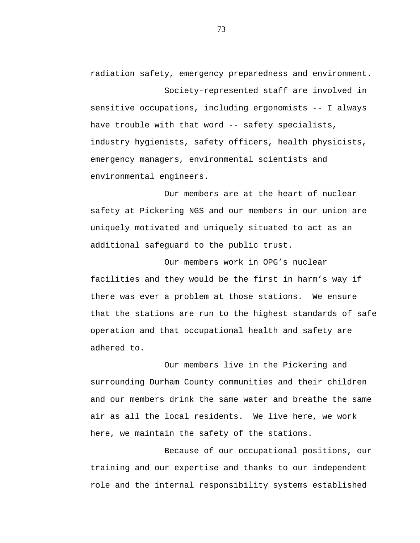radiation safety, emergency preparedness and environment. Society-represented staff are involved in sensitive occupations, including ergonomists -- I always have trouble with that word -- safety specialists, industry hygienists, safety officers, health physicists, emergency managers, environmental scientists and environmental engineers.

Our members are at the heart of nuclear safety at Pickering NGS and our members in our union are uniquely motivated and uniquely situated to act as an additional safeguard to the public trust.

Our members work in OPG's nuclear facilities and they would be the first in harm's way if there was ever a problem at those stations. We ensure that the stations are run to the highest standards of safe operation and that occupational health and safety are adhered to.

Our members live in the Pickering and surrounding Durham County communities and their children and our members drink the same water and breathe the same air as all the local residents. We live here, we work here, we maintain the safety of the stations.

Because of our occupational positions, our training and our expertise and thanks to our independent role and the internal responsibility systems established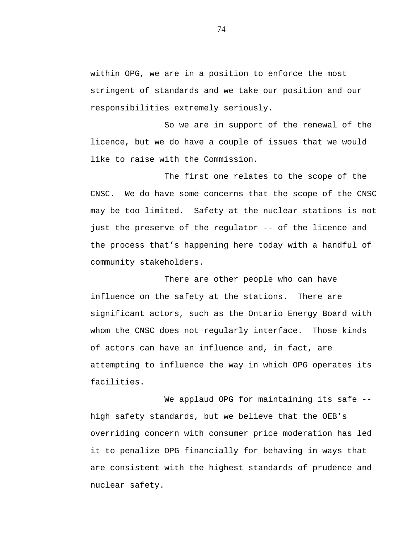within OPG, we are in a position to enforce the most stringent of standards and we take our position and our responsibilities extremely seriously.

So we are in support of the renewal of the licence, but we do have a couple of issues that we would like to raise with the Commission.

The first one relates to the scope of the CNSC. We do have some concerns that the scope of the CNSC may be too limited. Safety at the nuclear stations is not just the preserve of the regulator -- of the licence and the process that's happening here today with a handful of community stakeholders.

There are other people who can have influence on the safety at the stations. There are significant actors, such as the Ontario Energy Board with whom the CNSC does not regularly interface. Those kinds of actors can have an influence and, in fact, are attempting to influence the way in which OPG operates its facilities.

We applaud OPG for maintaining its safe -high safety standards, but we believe that the OEB's overriding concern with consumer price moderation has led it to penalize OPG financially for behaving in ways that are consistent with the highest standards of prudence and nuclear safety.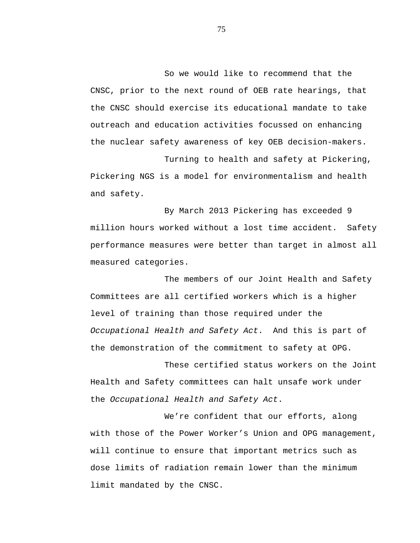So we would like to recommend that the CNSC, prior to the next round of OEB rate hearings, that the CNSC should exercise its educational mandate to take outreach and education activities focussed on enhancing the nuclear safety awareness of key OEB decision-makers.

Turning to health and safety at Pickering, Pickering NGS is a model for environmentalism and health and safety.

By March 2013 Pickering has exceeded 9 million hours worked without a lost time accident. Safety performance measures were better than target in almost all measured categories.

The members of our Joint Health and Safety Committees are all certified workers which is a higher level of training than those required under the *Occupational Health and Safety Act*. And this is part of the demonstration of the commitment to safety at OPG.

These certified status workers on the Joint Health and Safety committees can halt unsafe work under the *Occupational Health and Safety Act*.

We're confident that our efforts, along with those of the Power Worker's Union and OPG management, will continue to ensure that important metrics such as dose limits of radiation remain lower than the minimum limit mandated by the CNSC.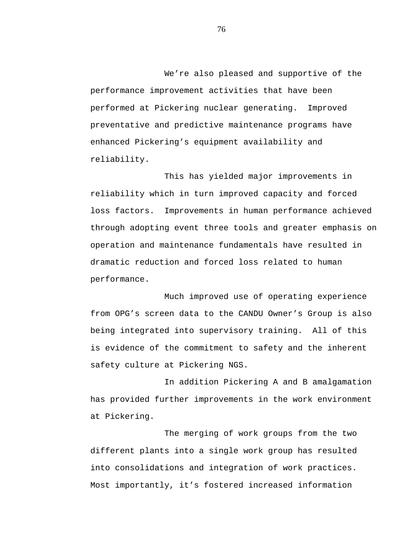We're also pleased and supportive of the performance improvement activities that have been performed at Pickering nuclear generating. Improved preventative and predictive maintenance programs have enhanced Pickering's equipment availability and reliability.

This has yielded major improvements in reliability which in turn improved capacity and forced loss factors. Improvements in human performance achieved through adopting event three tools and greater emphasis on operation and maintenance fundamentals have resulted in dramatic reduction and forced loss related to human performance.

Much improved use of operating experience from OPG's screen data to the CANDU Owner's Group is also being integrated into supervisory training. All of this is evidence of the commitment to safety and the inherent safety culture at Pickering NGS.

In addition Pickering A and B amalgamation has provided further improvements in the work environment at Pickering.

The merging of work groups from the two different plants into a single work group has resulted into consolidations and integration of work practices. Most importantly, it's fostered increased information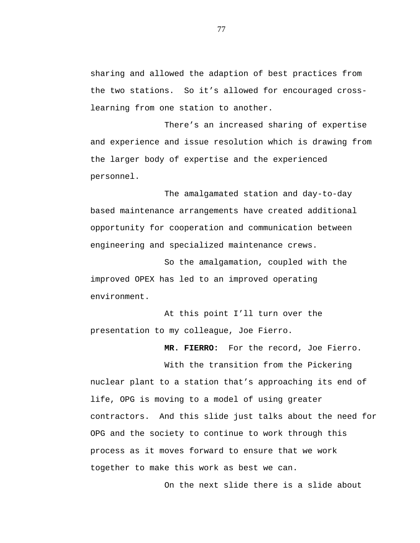sharing and allowed the adaption of best practices from the two stations. So it's allowed for encouraged crosslearning from one station to another.

There's an increased sharing of expertise and experience and issue resolution which is drawing from the larger body of expertise and the experienced personnel.

The amalgamated station and day-to-day based maintenance arrangements have created additional opportunity for cooperation and communication between engineering and specialized maintenance crews.

So the amalgamation, coupled with the improved OPEX has led to an improved operating environment.

At this point I'll turn over the presentation to my colleague, Joe Fierro.

**MR. FIERRO:** For the record, Joe Fierro.

With the transition from the Pickering nuclear plant to a station that's approaching its end of life, OPG is moving to a model of using greater contractors. And this slide just talks about the need for OPG and the society to continue to work through this process as it moves forward to ensure that we work together to make this work as best we can.

On the next slide there is a slide about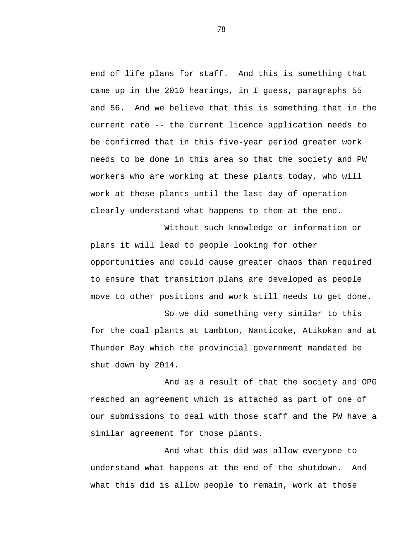end of life plans for staff. And this is something that came up in the 2010 hearings, in I guess, paragraphs 55 and 56. And we believe that this is something that in the current rate -- the current licence application needs to be confirmed that in this five-year period greater work needs to be done in this area so that the society and PW workers who are working at these plants today, who will work at these plants until the last day of operation clearly understand what happens to them at the end.

Without such knowledge or information or plans it will lead to people looking for other opportunities and could cause greater chaos than required to ensure that transition plans are developed as people move to other positions and work still needs to get done.

So we did something very similar to this for the coal plants at Lambton, Nanticoke, Atikokan and at Thunder Bay which the provincial government mandated be shut down by 2014.

And as a result of that the society and OPG reached an agreement which is attached as part of one of our submissions to deal with those staff and the PW have a similar agreement for those plants.

And what this did was allow everyone to understand what happens at the end of the shutdown. And what this did is allow people to remain, work at those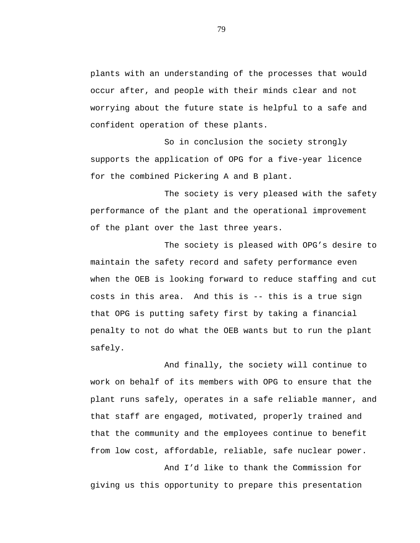plants with an understanding of the processes that would occur after, and people with their minds clear and not worrying about the future state is helpful to a safe and confident operation of these plants.

So in conclusion the society strongly supports the application of OPG for a five-year licence for the combined Pickering A and B plant.

The society is very pleased with the safety performance of the plant and the operational improvement of the plant over the last three years.

The society is pleased with OPG's desire to maintain the safety record and safety performance even when the OEB is looking forward to reduce staffing and cut costs in this area. And this is -- this is a true sign that OPG is putting safety first by taking a financial penalty to not do what the OEB wants but to run the plant safely.

And finally, the society will continue to work on behalf of its members with OPG to ensure that the plant runs safely, operates in a safe reliable manner, and that staff are engaged, motivated, properly trained and that the community and the employees continue to benefit from low cost, affordable, reliable, safe nuclear power.

And I'd like to thank the Commission for giving us this opportunity to prepare this presentation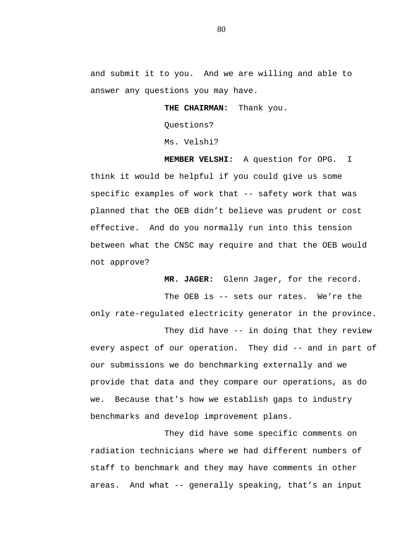and submit it to you. And we are willing and able to answer any questions you may have.

**THE CHAIRMAN:** Thank you.

Questions?

Ms. Velshi?

**MEMBER VELSHI:** A question for OPG. I think it would be helpful if you could give us some specific examples of work that -- safety work that was planned that the OEB didn't believe was prudent or cost effective. And do you normally run into this tension between what the CNSC may require and that the OEB would not approve?

**MR. JAGER:** Glenn Jager, for the record.

The OEB is -- sets our rates. We're the only rate-regulated electricity generator in the province.

They did have -- in doing that they review every aspect of our operation. They did -- and in part of our submissions we do benchmarking externally and we provide that data and they compare our operations, as do we. Because that's how we establish gaps to industry benchmarks and develop improvement plans.

They did have some specific comments on radiation technicians where we had different numbers of staff to benchmark and they may have comments in other areas. And what -- generally speaking, that's an input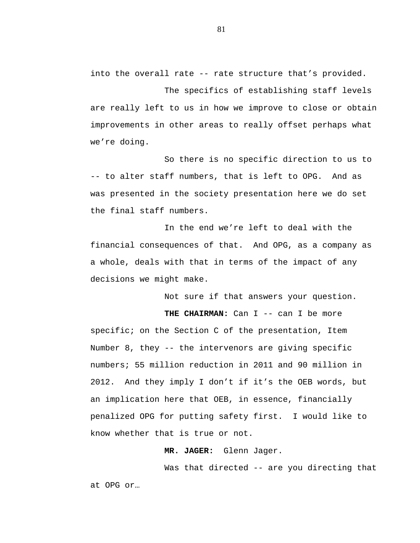into the overall rate -- rate structure that's provided.

The specifics of establishing staff levels are really left to us in how we improve to close or obtain improvements in other areas to really offset perhaps what we're doing.

So there is no specific direction to us to -- to alter staff numbers, that is left to OPG. And as was presented in the society presentation here we do set the final staff numbers.

In the end we're left to deal with the financial consequences of that. And OPG, as a company as a whole, deals with that in terms of the impact of any decisions we might make.

Not sure if that answers your question.

THE CHAIRMAN: Can I -- can I be more

specific; on the Section C of the presentation, Item Number 8, they -- the intervenors are giving specific numbers; 55 million reduction in 2011 and 90 million in 2012. And they imply I don't if it's the OEB words, but an implication here that OEB, in essence, financially penalized OPG for putting safety first. I would like to know whether that is true or not.

## **MR. JAGER:** Glenn Jager.

Was that directed -- are you directing that at OPG or…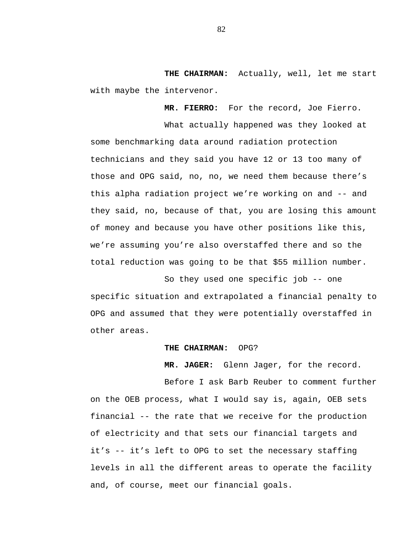**THE CHAIRMAN:** Actually, well, let me start with maybe the intervenor.

**MR. FIERRO:** For the record, Joe Fierro.

What actually happened was they looked at some benchmarking data around radiation protection technicians and they said you have 12 or 13 too many of those and OPG said, no, no, we need them because there's this alpha radiation project we're working on and -- and they said, no, because of that, you are losing this amount of money and because you have other positions like this, we're assuming you're also overstaffed there and so the total reduction was going to be that \$55 million number.

So they used one specific job -- one specific situation and extrapolated a financial penalty to OPG and assumed that they were potentially overstaffed in other areas.

## **THE CHAIRMAN:** OPG?

**MR. JAGER:** Glenn Jager, for the record.

Before I ask Barb Reuber to comment further on the OEB process, what I would say is, again, OEB sets financial -- the rate that we receive for the production of electricity and that sets our financial targets and it's -- it's left to OPG to set the necessary staffing levels in all the different areas to operate the facility and, of course, meet our financial goals.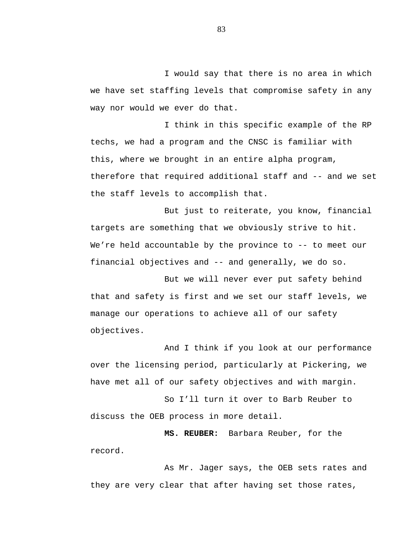I would say that there is no area in which we have set staffing levels that compromise safety in any way nor would we ever do that.

I think in this specific example of the RP techs, we had a program and the CNSC is familiar with this, where we brought in an entire alpha program, therefore that required additional staff and -- and we set the staff levels to accomplish that.

But just to reiterate, you know, financial targets are something that we obviously strive to hit. We're held accountable by the province to -- to meet our financial objectives and -- and generally, we do so.

But we will never ever put safety behind that and safety is first and we set our staff levels, we manage our operations to achieve all of our safety objectives.

And I think if you look at our performance over the licensing period, particularly at Pickering, we have met all of our safety objectives and with margin.

So I'll turn it over to Barb Reuber to discuss the OEB process in more detail.

**MS. REUBER:** Barbara Reuber, for the record.

As Mr. Jager says, the OEB sets rates and they are very clear that after having set those rates,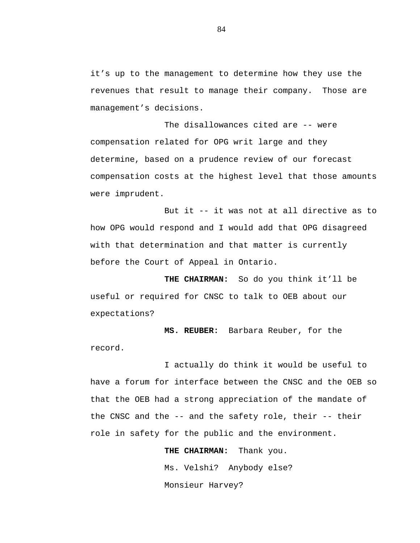it's up to the management to determine how they use the revenues that result to manage their company. Those are management's decisions.

The disallowances cited are -- were compensation related for OPG writ large and they determine, based on a prudence review of our forecast compensation costs at the highest level that those amounts were imprudent.

But it -- it was not at all directive as to how OPG would respond and I would add that OPG disagreed with that determination and that matter is currently before the Court of Appeal in Ontario.

**THE CHAIRMAN:** So do you think it'll be useful or required for CNSC to talk to OEB about our expectations?

**MS. REUBER:** Barbara Reuber, for the record.

I actually do think it would be useful to have a forum for interface between the CNSC and the OEB so that the OEB had a strong appreciation of the mandate of the CNSC and the -- and the safety role, their -- their role in safety for the public and the environment.

> **THE CHAIRMAN:** Thank you. Ms. Velshi? Anybody else? Monsieur Harvey?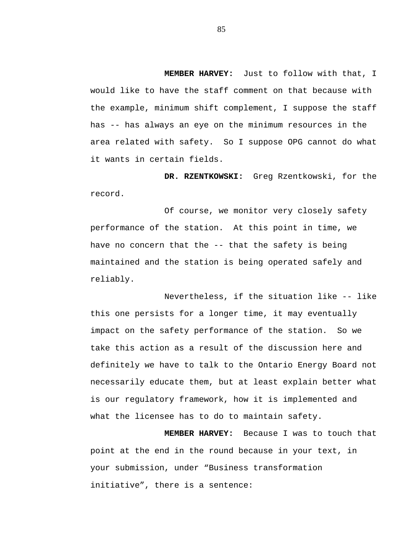**MEMBER HARVEY:** Just to follow with that, I would like to have the staff comment on that because with the example, minimum shift complement, I suppose the staff has -- has always an eye on the minimum resources in the area related with safety. So I suppose OPG cannot do what it wants in certain fields.

**DR. RZENTKOWSKI:** Greg Rzentkowski, for the record.

Of course, we monitor very closely safety performance of the station. At this point in time, we have no concern that the -- that the safety is being maintained and the station is being operated safely and reliably.

Nevertheless, if the situation like -- like this one persists for a longer time, it may eventually impact on the safety performance of the station. So we take this action as a result of the discussion here and definitely we have to talk to the Ontario Energy Board not necessarily educate them, but at least explain better what is our regulatory framework, how it is implemented and what the licensee has to do to maintain safety.

**MEMBER HARVEY:** Because I was to touch that point at the end in the round because in your text, in your submission, under "Business transformation initiative", there is a sentence: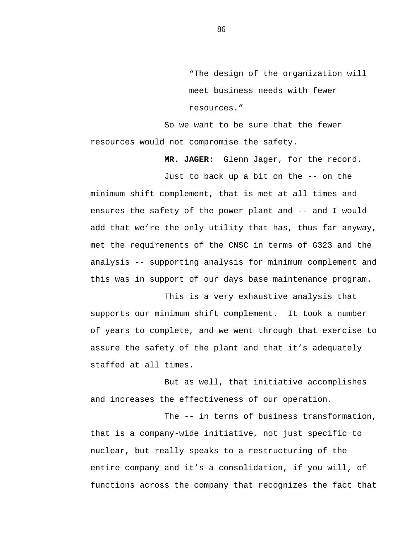"The design of the organization will meet business needs with fewer resources."

So we want to be sure that the fewer resources would not compromise the safety.

**MR. JAGER:** Glenn Jager, for the record.

Just to back up a bit on the -- on the minimum shift complement, that is met at all times and ensures the safety of the power plant and -- and I would add that we're the only utility that has, thus far anyway, met the requirements of the CNSC in terms of G323 and the analysis -- supporting analysis for minimum complement and this was in support of our days base maintenance program.

This is a very exhaustive analysis that supports our minimum shift complement. It took a number of years to complete, and we went through that exercise to assure the safety of the plant and that it's adequately staffed at all times.

But as well, that initiative accomplishes and increases the effectiveness of our operation.

The -- in terms of business transformation, that is a company-wide initiative, not just specific to nuclear, but really speaks to a restructuring of the entire company and it's a consolidation, if you will, of functions across the company that recognizes the fact that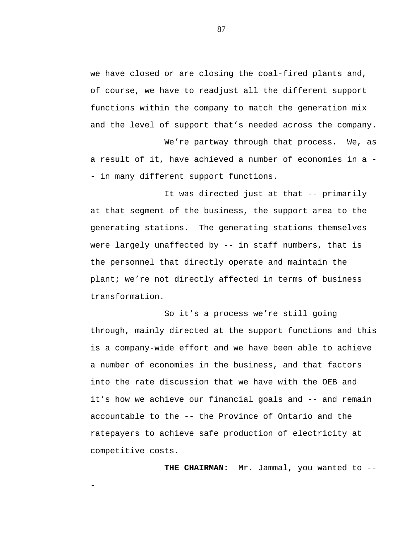we have closed or are closing the coal-fired plants and, of course, we have to readjust all the different support functions within the company to match the generation mix and the level of support that's needed across the company.

We're partway through that process. We, as a result of it, have achieved a number of economies in a - - in many different support functions.

It was directed just at that -- primarily at that segment of the business, the support area to the generating stations. The generating stations themselves were largely unaffected by -- in staff numbers, that is the personnel that directly operate and maintain the plant; we're not directly affected in terms of business transformation.

So it's a process we're still going through, mainly directed at the support functions and this is a company-wide effort and we have been able to achieve a number of economies in the business, and that factors into the rate discussion that we have with the OEB and it's how we achieve our financial goals and -- and remain accountable to the -- the Province of Ontario and the ratepayers to achieve safe production of electricity at competitive costs.

-

**THE CHAIRMAN:** Mr. Jammal, you wanted to --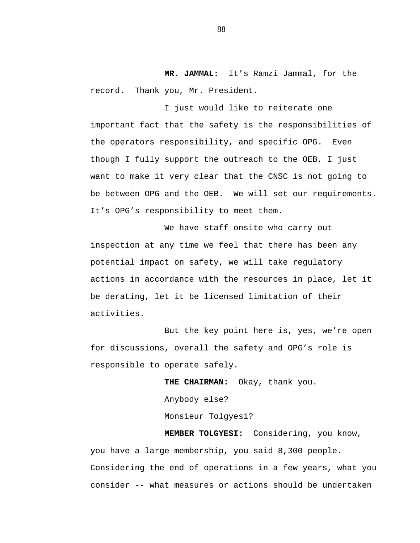**MR. JAMMAL:** It's Ramzi Jammal, for the record. Thank you, Mr. President.

I just would like to reiterate one important fact that the safety is the responsibilities of the operators responsibility, and specific OPG. Even though I fully support the outreach to the OEB, I just want to make it very clear that the CNSC is not going to be between OPG and the OEB. We will set our requirements. It's OPG's responsibility to meet them.

We have staff onsite who carry out inspection at any time we feel that there has been any potential impact on safety, we will take regulatory actions in accordance with the resources in place, let it be derating, let it be licensed limitation of their activities.

But the key point here is, yes, we're open for discussions, overall the safety and OPG's role is responsible to operate safely.

**THE CHAIRMAN:** Okay, thank you.

Anybody else?

Monsieur Tolgyesi?

**MEMBER TOLGYESI:** Considering, you know, you have a large membership, you said 8,300 people. Considering the end of operations in a few years, what you consider -- what measures or actions should be undertaken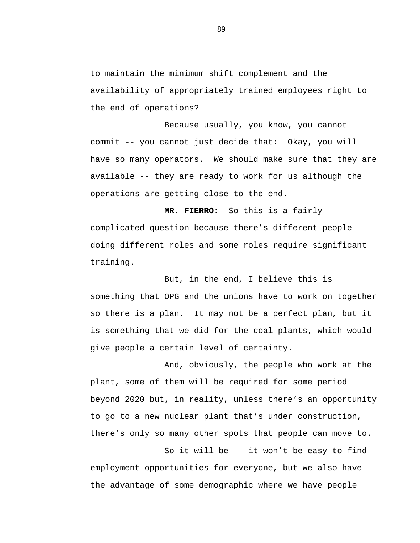to maintain the minimum shift complement and the availability of appropriately trained employees right to the end of operations?

Because usually, you know, you cannot commit -- you cannot just decide that: Okay, you will have so many operators. We should make sure that they are available -- they are ready to work for us although the operations are getting close to the end.

**MR. FIERRO:** So this is a fairly complicated question because there's different people doing different roles and some roles require significant training.

But, in the end, I believe this is something that OPG and the unions have to work on together so there is a plan. It may not be a perfect plan, but it is something that we did for the coal plants, which would give people a certain level of certainty.

And, obviously, the people who work at the plant, some of them will be required for some period beyond 2020 but, in reality, unless there's an opportunity to go to a new nuclear plant that's under construction, there's only so many other spots that people can move to.

So it will be -- it won't be easy to find employment opportunities for everyone, but we also have the advantage of some demographic where we have people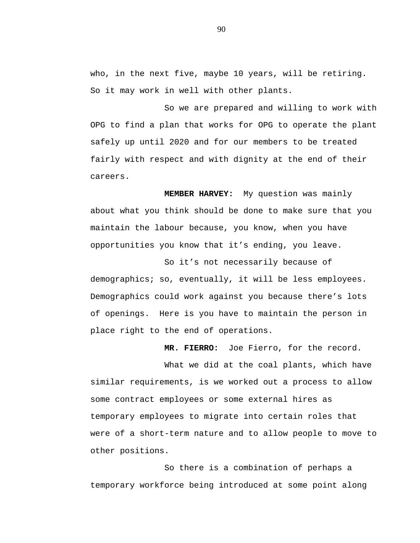who, in the next five, maybe 10 years, will be retiring. So it may work in well with other plants.

So we are prepared and willing to work with OPG to find a plan that works for OPG to operate the plant safely up until 2020 and for our members to be treated fairly with respect and with dignity at the end of their careers.

**MEMBER HARVEY:** My question was mainly about what you think should be done to make sure that you maintain the labour because, you know, when you have opportunities you know that it's ending, you leave.

So it's not necessarily because of demographics; so, eventually, it will be less employees. Demographics could work against you because there's lots of openings. Here is you have to maintain the person in place right to the end of operations.

**MR. FIERRO:** Joe Fierro, for the record.

What we did at the coal plants, which have similar requirements, is we worked out a process to allow some contract employees or some external hires as temporary employees to migrate into certain roles that were of a short-term nature and to allow people to move to other positions.

So there is a combination of perhaps a temporary workforce being introduced at some point along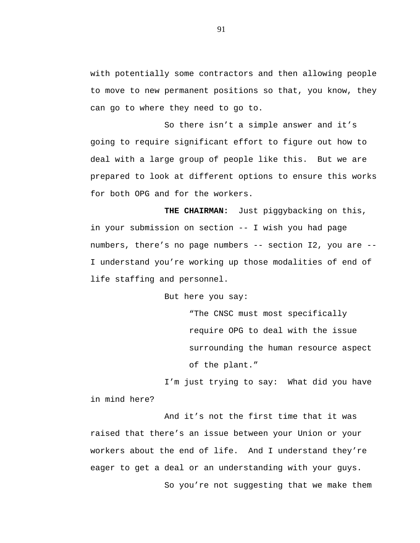with potentially some contractors and then allowing people to move to new permanent positions so that, you know, they can go to where they need to go to.

So there isn't a simple answer and it's going to require significant effort to figure out how to deal with a large group of people like this. But we are prepared to look at different options to ensure this works for both OPG and for the workers.

**THE CHAIRMAN:** Just piggybacking on this, in your submission on section -- I wish you had page numbers, there's no page numbers -- section I2, you are -- I understand you're working up those modalities of end of life staffing and personnel.

But here you say:

"The CNSC must most specifically require OPG to deal with the issue surrounding the human resource aspect of the plant."

I'm just trying to say: What did you have in mind here?

And it's not the first time that it was raised that there's an issue between your Union or your workers about the end of life. And I understand they're eager to get a deal or an understanding with your guys. So you're not suggesting that we make them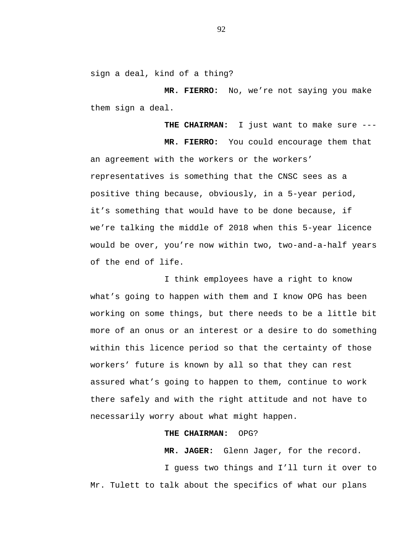sign a deal, kind of a thing?

**MR. FIERRO:** No, we're not saying you make them sign a deal.

**THE CHAIRMAN:** I just want to make sure --- **MR. FIERRO:** You could encourage them that an agreement with the workers or the workers' representatives is something that the CNSC sees as a positive thing because, obviously, in a 5-year period, it's something that would have to be done because, if we're talking the middle of 2018 when this 5-year licence would be over, you're now within two, two-and-a-half years of the end of life.

I think employees have a right to know what's going to happen with them and I know OPG has been working on some things, but there needs to be a little bit more of an onus or an interest or a desire to do something within this licence period so that the certainty of those workers' future is known by all so that they can rest assured what's going to happen to them, continue to work there safely and with the right attitude and not have to necessarily worry about what might happen.

## **THE CHAIRMAN:** OPG?

**MR. JAGER:** Glenn Jager, for the record. I guess two things and I'll turn it over to Mr. Tulett to talk about the specifics of what our plans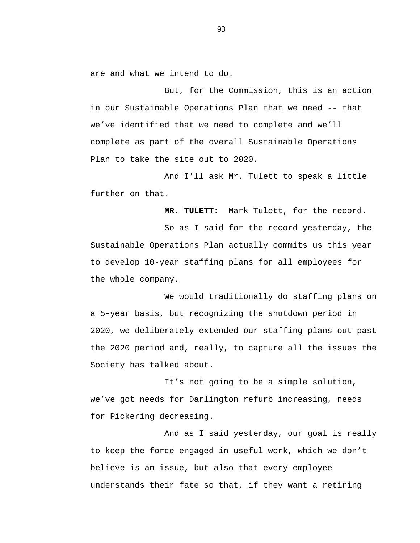are and what we intend to do.

But, for the Commission, this is an action in our Sustainable Operations Plan that we need -- that we've identified that we need to complete and we'll complete as part of the overall Sustainable Operations Plan to take the site out to 2020.

And I'll ask Mr. Tulett to speak a little further on that.

**MR. TULETT:** Mark Tulett, for the record.

So as I said for the record yesterday, the Sustainable Operations Plan actually commits us this year to develop 10-year staffing plans for all employees for the whole company.

We would traditionally do staffing plans on a 5-year basis, but recognizing the shutdown period in 2020, we deliberately extended our staffing plans out past the 2020 period and, really, to capture all the issues the Society has talked about.

It's not going to be a simple solution, we've got needs for Darlington refurb increasing, needs for Pickering decreasing.

And as I said yesterday, our goal is really to keep the force engaged in useful work, which we don't believe is an issue, but also that every employee understands their fate so that, if they want a retiring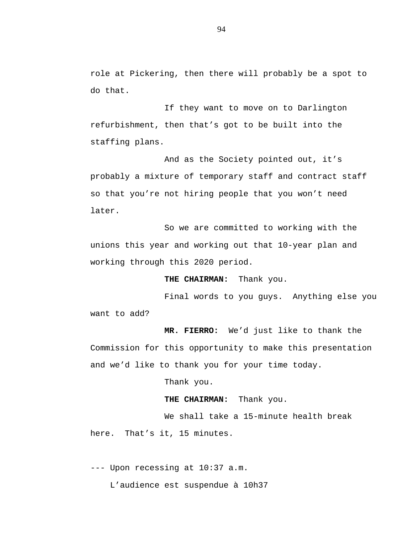role at Pickering, then there will probably be a spot to do that.

If they want to move on to Darlington refurbishment, then that's got to be built into the staffing plans.

And as the Society pointed out, it's probably a mixture of temporary staff and contract staff so that you're not hiring people that you won't need later.

So we are committed to working with the unions this year and working out that 10-year plan and working through this 2020 period.

**THE CHAIRMAN:** Thank you.

Final words to you guys. Anything else you want to add?

**MR. FIERRO:** We'd just like to thank the Commission for this opportunity to make this presentation and we'd like to thank you for your time today.

Thank you.

**THE CHAIRMAN:** Thank you.

We shall take a 15-minute health break here. That's it, 15 minutes.

--- Upon recessing at 10:37 a.m.

L'audience est suspendue à 10h37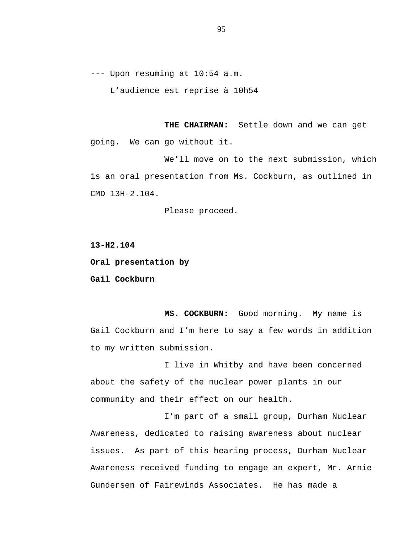--- Upon resuming at 10:54 a.m.

L'audience est reprise à 10h54

**THE CHAIRMAN:** Settle down and we can get going. We can go without it.

We'll move on to the next submission, which is an oral presentation from Ms. Cockburn, as outlined in CMD 13H-2.104.

Please proceed.

**13-H2.104**

**Oral presentation by**

**Gail Cockburn**

**MS. COCKBURN:** Good morning. My name is Gail Cockburn and I'm here to say a few words in addition to my written submission.

I live in Whitby and have been concerned about the safety of the nuclear power plants in our community and their effect on our health.

I'm part of a small group, Durham Nuclear Awareness, dedicated to raising awareness about nuclear issues. As part of this hearing process, Durham Nuclear Awareness received funding to engage an expert, Mr. Arnie Gundersen of Fairewinds Associates. He has made a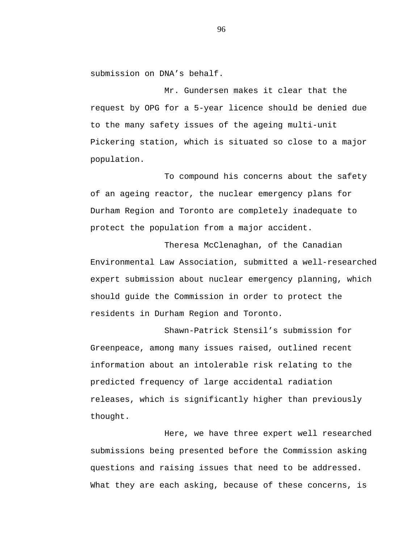submission on DNA's behalf.

Mr. Gundersen makes it clear that the request by OPG for a 5-year licence should be denied due to the many safety issues of the ageing multi-unit Pickering station, which is situated so close to a major population.

To compound his concerns about the safety of an ageing reactor, the nuclear emergency plans for Durham Region and Toronto are completely inadequate to protect the population from a major accident.

Theresa McClenaghan, of the Canadian Environmental Law Association, submitted a well-researched expert submission about nuclear emergency planning, which should guide the Commission in order to protect the residents in Durham Region and Toronto.

Shawn-Patrick Stensil's submission for Greenpeace, among many issues raised, outlined recent information about an intolerable risk relating to the predicted frequency of large accidental radiation releases, which is significantly higher than previously thought.

Here, we have three expert well researched submissions being presented before the Commission asking questions and raising issues that need to be addressed. What they are each asking, because of these concerns, is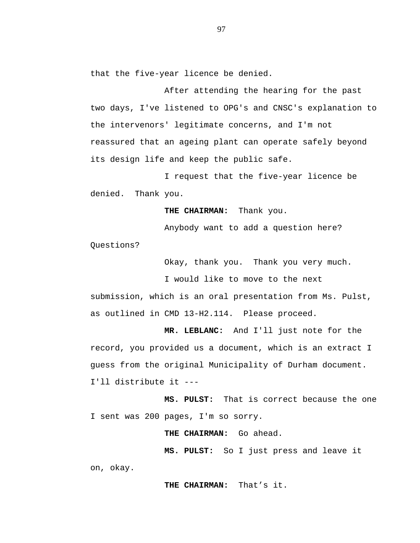that the five-year licence be denied.

After attending the hearing for the past two days, I've listened to OPG's and CNSC's explanation to the intervenors' legitimate concerns, and I'm not reassured that an ageing plant can operate safely beyond its design life and keep the public safe.

I request that the five-year licence be denied. Thank you.

**THE CHAIRMAN:** Thank you.

Anybody want to add a question here?

Questions?

Okay, thank you. Thank you very much.

I would like to move to the next

submission, which is an oral presentation from Ms. Pulst, as outlined in CMD 13-H2.114. Please proceed.

**MR. LEBLANC:** And I'll just note for the record, you provided us a document, which is an extract I guess from the original Municipality of Durham document. I'll distribute it ---

**MS. PULST:** That is correct because the one I sent was 200 pages, I'm so sorry.

THE CHAIRMAN: Go ahead.

**MS. PULST:** So I just press and leave it on, okay.

**THE CHAIRMAN:** That's it.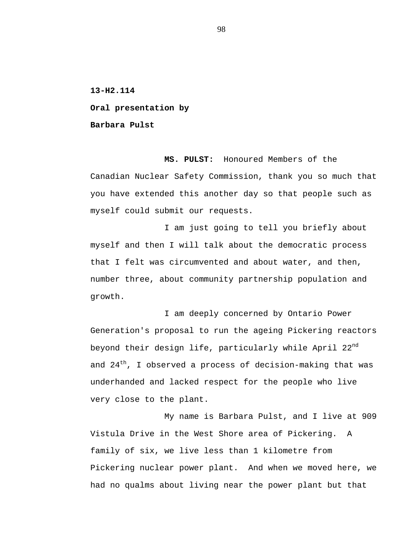**13-H2.114**

**Oral presentation by**

**Barbara Pulst**

**MS. PULST:** Honoured Members of the Canadian Nuclear Safety Commission, thank you so much that you have extended this another day so that people such as myself could submit our requests.

I am just going to tell you briefly about myself and then I will talk about the democratic process that I felt was circumvented and about water, and then, number three, about community partnership population and growth.

I am deeply concerned by Ontario Power Generation's proposal to run the ageing Pickering reactors beyond their design life, particularly while April 22<sup>nd</sup> and  $24<sup>th</sup>$ , I observed a process of decision-making that was underhanded and lacked respect for the people who live very close to the plant.

My name is Barbara Pulst, and I live at 909 Vistula Drive in the West Shore area of Pickering. A family of six, we live less than 1 kilometre from Pickering nuclear power plant. And when we moved here, we had no qualms about living near the power plant but that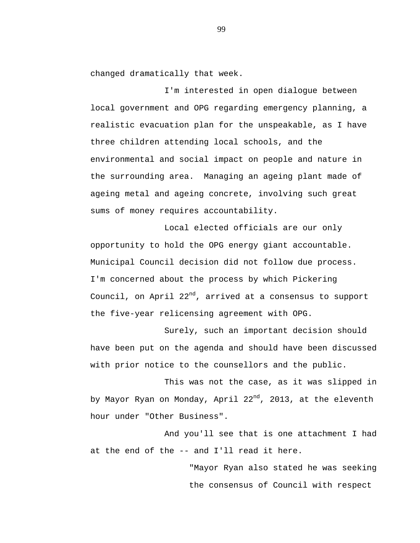changed dramatically that week.

I'm interested in open dialogue between local government and OPG regarding emergency planning, a realistic evacuation plan for the unspeakable, as I have three children attending local schools, and the environmental and social impact on people and nature in the surrounding area. Managing an ageing plant made of ageing metal and ageing concrete, involving such great sums of money requires accountability.

Local elected officials are our only opportunity to hold the OPG energy giant accountable. Municipal Council decision did not follow due process. I'm concerned about the process by which Pickering Council, on April  $22^{nd}$ , arrived at a consensus to support the five-year relicensing agreement with OPG.

Surely, such an important decision should have been put on the agenda and should have been discussed with prior notice to the counsellors and the public.

This was not the case, as it was slipped in by Mayor Ryan on Monday, April 22<sup>nd</sup>, 2013, at the eleventh hour under "Other Business".

And you'll see that is one attachment I had at the end of the -- and I'll read it here.

> "Mayor Ryan also stated he was seeking the consensus of Council with respect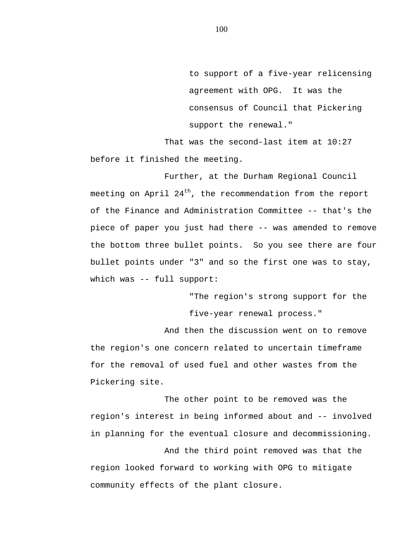to support of a five-year relicensing agreement with OPG. It was the consensus of Council that Pickering support the renewal."

That was the second-last item at 10:27 before it finished the meeting.

Further, at the Durham Regional Council meeting on April  $24<sup>th</sup>$ , the recommendation from the report of the Finance and Administration Committee -- that's the piece of paper you just had there -- was amended to remove the bottom three bullet points. So you see there are four bullet points under "3" and so the first one was to stay, which was -- full support:

> "The region's strong support for the five-year renewal process."

And then the discussion went on to remove the region's one concern related to uncertain timeframe for the removal of used fuel and other wastes from the Pickering site.

The other point to be removed was the region's interest in being informed about and -- involved in planning for the eventual closure and decommissioning.

And the third point removed was that the region looked forward to working with OPG to mitigate community effects of the plant closure.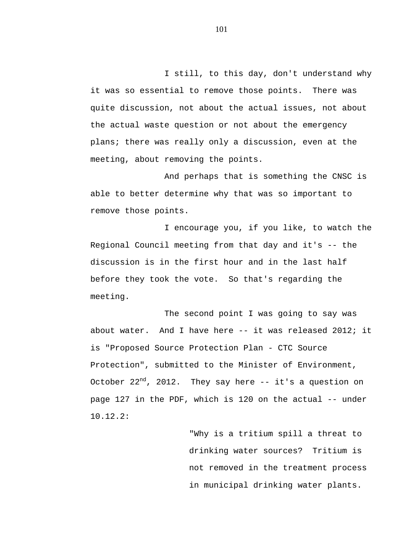I still, to this day, don't understand why it was so essential to remove those points. There was quite discussion, not about the actual issues, not about the actual waste question or not about the emergency plans; there was really only a discussion, even at the meeting, about removing the points.

And perhaps that is something the CNSC is able to better determine why that was so important to remove those points.

I encourage you, if you like, to watch the Regional Council meeting from that day and it's -- the discussion is in the first hour and in the last half before they took the vote. So that's regarding the meeting.

The second point I was going to say was about water. And I have here -- it was released 2012; it is "Proposed Source Protection Plan - CTC Source Protection", submitted to the Minister of Environment, October  $22^{nd}$ , 2012. They say here  $-$  it's a question on page 127 in the PDF, which is 120 on the actual -- under 10.12.2:

> "Why is a tritium spill a threat to drinking water sources? Tritium is not removed in the treatment process in municipal drinking water plants.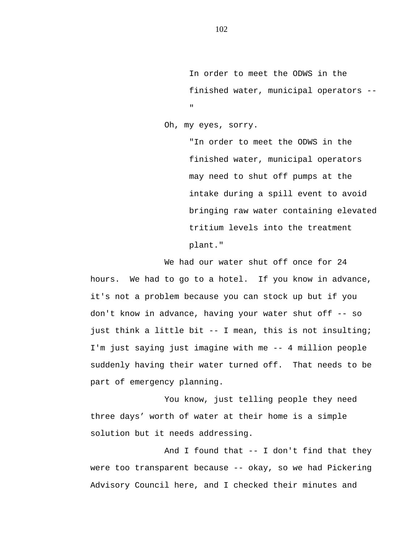In order to meet the ODWS in the finished water, municipal operators --  $\mathbf u$ 

Oh, my eyes, sorry.

"In order to meet the ODWS in the finished water, municipal operators may need to shut off pumps at the intake during a spill event to avoid bringing raw water containing elevated tritium levels into the treatment plant."

We had our water shut off once for 24 hours. We had to go to a hotel. If you know in advance, it's not a problem because you can stock up but if you don't know in advance, having your water shut off -- so just think a little bit -- I mean, this is not insulting; I'm just saying just imagine with me -- 4 million people suddenly having their water turned off. That needs to be part of emergency planning.

You know, just telling people they need three days' worth of water at their home is a simple solution but it needs addressing.

And I found that -- I don't find that they were too transparent because -- okay, so we had Pickering Advisory Council here, and I checked their minutes and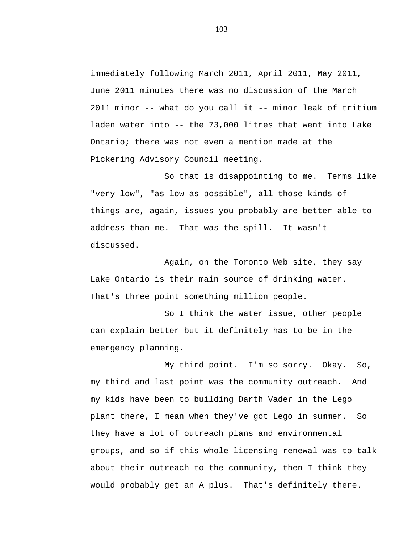immediately following March 2011, April 2011, May 2011, June 2011 minutes there was no discussion of the March 2011 minor -- what do you call it -- minor leak of tritium laden water into -- the 73,000 litres that went into Lake Ontario; there was not even a mention made at the Pickering Advisory Council meeting.

So that is disappointing to me. Terms like "very low", "as low as possible", all those kinds of things are, again, issues you probably are better able to address than me. That was the spill. It wasn't discussed.

Again, on the Toronto Web site, they say Lake Ontario is their main source of drinking water. That's three point something million people.

So I think the water issue, other people can explain better but it definitely has to be in the emergency planning.

My third point. I'm so sorry. Okay. So, my third and last point was the community outreach. And my kids have been to building Darth Vader in the Lego plant there, I mean when they've got Lego in summer. So they have a lot of outreach plans and environmental groups, and so if this whole licensing renewal was to talk about their outreach to the community, then I think they would probably get an A plus. That's definitely there.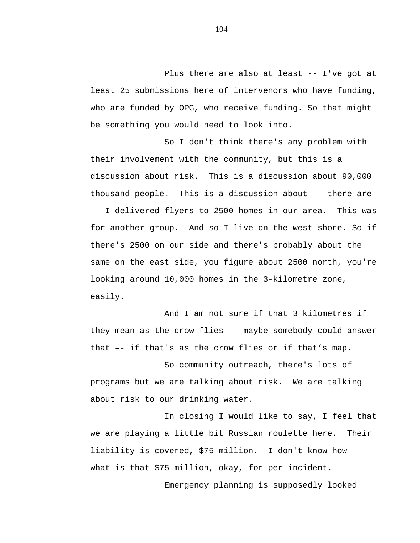Plus there are also at least -- I've got at least 25 submissions here of intervenors who have funding, who are funded by OPG, who receive funding. So that might be something you would need to look into.

So I don't think there's any problem with their involvement with the community, but this is a discussion about risk. This is a discussion about 90,000 thousand people. This is a discussion about –- there are –- I delivered flyers to 2500 homes in our area. This was for another group. And so I live on the west shore. So if there's 2500 on our side and there's probably about the same on the east side, you figure about 2500 north, you're looking around 10,000 homes in the 3-kilometre zone, easily.

And I am not sure if that 3 kilometres if they mean as the crow flies –- maybe somebody could answer that –- if that's as the crow flies or if that's map.

So community outreach, there's lots of programs but we are talking about risk. We are talking about risk to our drinking water.

In closing I would like to say, I feel that we are playing a little bit Russian roulette here. Their liability is covered, \$75 million. I don't know how -– what is that \$75 million, okay, for per incident.

Emergency planning is supposedly looked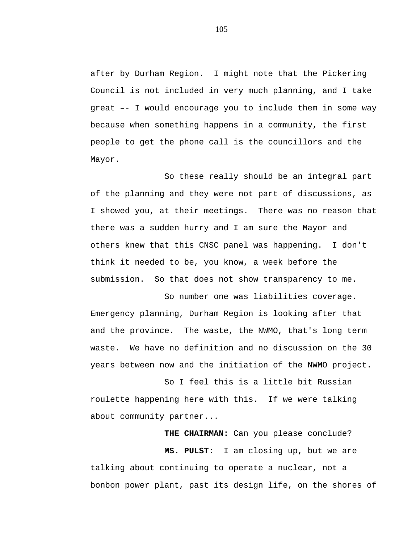after by Durham Region. I might note that the Pickering Council is not included in very much planning, and I take great –- I would encourage you to include them in some way because when something happens in a community, the first people to get the phone call is the councillors and the Mayor.

So these really should be an integral part of the planning and they were not part of discussions, as I showed you, at their meetings. There was no reason that there was a sudden hurry and I am sure the Mayor and others knew that this CNSC panel was happening. I don't think it needed to be, you know, a week before the submission. So that does not show transparency to me.

So number one was liabilities coverage. Emergency planning, Durham Region is looking after that and the province. The waste, the NWMO, that's long term waste. We have no definition and no discussion on the 30 years between now and the initiation of the NWMO project.

So I feel this is a little bit Russian roulette happening here with this. If we were talking about community partner...

**THE CHAIRMAN:** Can you please conclude?

**MS. PULST:** I am closing up, but we are talking about continuing to operate a nuclear, not a bonbon power plant, past its design life, on the shores of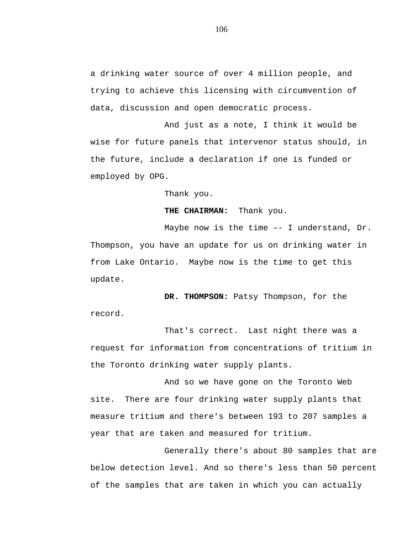a drinking water source of over 4 million people, and trying to achieve this licensing with circumvention of data, discussion and open democratic process.

And just as a note, I think it would be wise for future panels that intervenor status should, in the future, include a declaration if one is funded or employed by OPG.

Thank you.

**THE CHAIRMAN:** Thank you.

Maybe now is the time –- I understand, Dr. Thompson, you have an update for us on drinking water in from Lake Ontario. Maybe now is the time to get this update.

**DR. THOMPSON:** Patsy Thompson, for the record.

That's correct. Last night there was a request for information from concentrations of tritium in the Toronto drinking water supply plants.

And so we have gone on the Toronto Web site. There are four drinking water supply plants that measure tritium and there's between 193 to 207 samples a year that are taken and measured for tritium.

Generally there's about 80 samples that are below detection level. And so there's less than 50 percent of the samples that are taken in which you can actually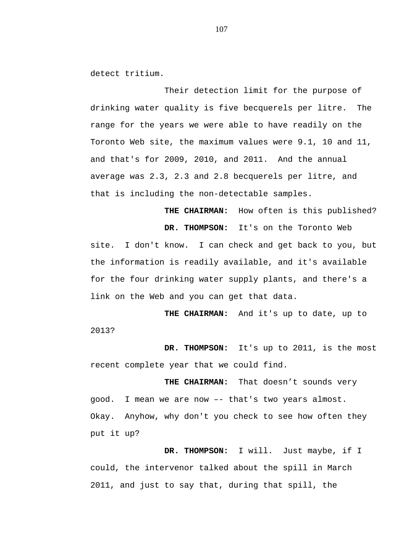detect tritium.

Their detection limit for the purpose of drinking water quality is five becquerels per litre. The range for the years we were able to have readily on the Toronto Web site, the maximum values were 9.1, 10 and 11, and that's for 2009, 2010, and 2011. And the annual average was 2.3, 2.3 and 2.8 becquerels per litre, and that is including the non-detectable samples.

**THE CHAIRMAN:** How often is this published? **DR. THOMPSON:** It's on the Toronto Web site. I don't know. I can check and get back to you, but the information is readily available, and it's available for the four drinking water supply plants, and there's a link on the Web and you can get that data.

**THE CHAIRMAN:** And it's up to date, up to 2013?

**DR. THOMPSON:** It's up to 2011, is the most recent complete year that we could find.

**THE CHAIRMAN:** That doesn't sounds very good. I mean we are now –- that's two years almost. Okay. Anyhow, why don't you check to see how often they put it up?

**DR. THOMPSON:** I will. Just maybe, if I could, the intervenor talked about the spill in March 2011, and just to say that, during that spill, the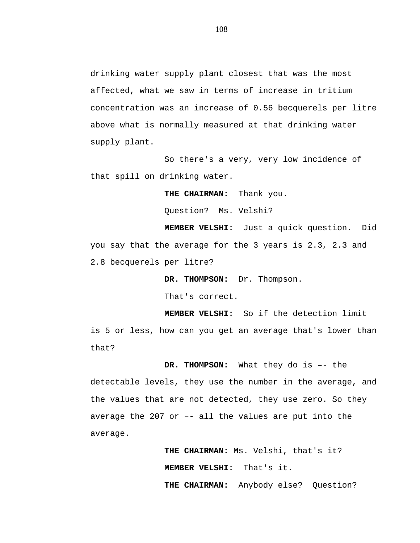drinking water supply plant closest that was the most affected, what we saw in terms of increase in tritium concentration was an increase of 0.56 becquerels per litre above what is normally measured at that drinking water supply plant.

So there's a very, very low incidence of that spill on drinking water.

**THE CHAIRMAN:** Thank you.

Question? Ms. Velshi?

**MEMBER VELSHI:** Just a quick question. Did you say that the average for the 3 years is 2.3, 2.3 and 2.8 becquerels per litre?

**DR. THOMPSON:** Dr. Thompson.

That's correct.

**MEMBER VELSHI:** So if the detection limit is 5 or less, how can you get an average that's lower than that?

**DR. THOMPSON:** What they do is –- the detectable levels, they use the number in the average, and the values that are not detected, they use zero. So they average the 207 or –- all the values are put into the average.

> **THE CHAIRMAN:** Ms. Velshi, that's it? **MEMBER VELSHI:** That's it.

**THE CHAIRMAN:** Anybody else? Question?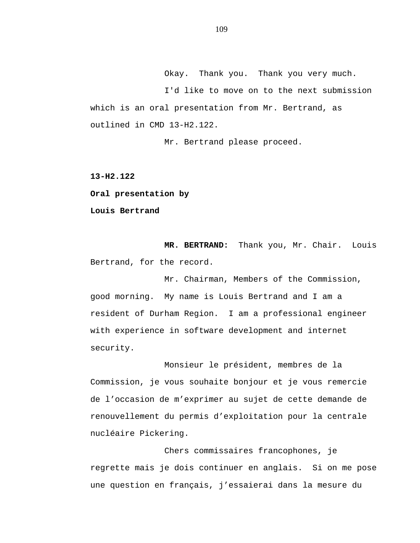Okay. Thank you. Thank you very much. I'd like to move on to the next submission which is an oral presentation from Mr. Bertrand, as outlined in CMD 13-H2.122.

Mr. Bertrand please proceed.

**13-H2.122**

**Oral presentation by**

**Louis Bertrand**

**MR. BERTRAND:** Thank you, Mr. Chair. Louis Bertrand, for the record.

Mr. Chairman, Members of the Commission, good morning. My name is Louis Bertrand and I am a resident of Durham Region. I am a professional engineer with experience in software development and internet security.

Monsieur le président, membres de la Commission, je vous souhaite bonjour et je vous remercie de l'occasion de m'exprimer au sujet de cette demande de renouvellement du permis d'exploitation pour la centrale nucléaire Pickering.

Chers commissaires francophones, je regrette mais je dois continuer en anglais. Si on me pose une question en français, j'essaierai dans la mesure du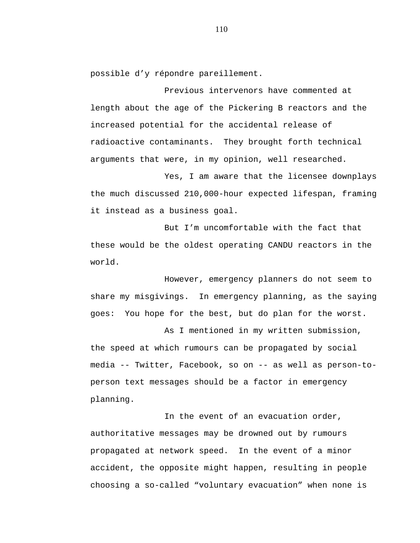possible d'y répondre pareillement.

Previous intervenors have commented at length about the age of the Pickering B reactors and the increased potential for the accidental release of radioactive contaminants. They brought forth technical arguments that were, in my opinion, well researched.

Yes, I am aware that the licensee downplays the much discussed 210,000-hour expected lifespan, framing it instead as a business goal.

But I'm uncomfortable with the fact that these would be the oldest operating CANDU reactors in the world.

However, emergency planners do not seem to share my misgivings. In emergency planning, as the saying goes: You hope for the best, but do plan for the worst.

As I mentioned in my written submission, the speed at which rumours can be propagated by social media -- Twitter, Facebook, so on -- as well as person-toperson text messages should be a factor in emergency planning.

In the event of an evacuation order, authoritative messages may be drowned out by rumours propagated at network speed. In the event of a minor accident, the opposite might happen, resulting in people choosing a so-called "voluntary evacuation" when none is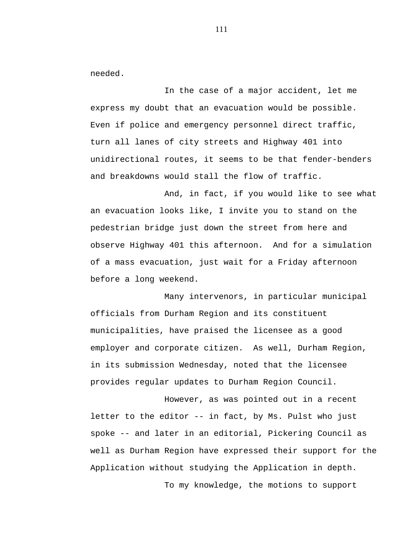needed.

In the case of a major accident, let me express my doubt that an evacuation would be possible. Even if police and emergency personnel direct traffic, turn all lanes of city streets and Highway 401 into unidirectional routes, it seems to be that fender-benders and breakdowns would stall the flow of traffic.

And, in fact, if you would like to see what an evacuation looks like, I invite you to stand on the pedestrian bridge just down the street from here and observe Highway 401 this afternoon. And for a simulation of a mass evacuation, just wait for a Friday afternoon before a long weekend.

Many intervenors, in particular municipal officials from Durham Region and its constituent municipalities, have praised the licensee as a good employer and corporate citizen. As well, Durham Region, in its submission Wednesday, noted that the licensee provides regular updates to Durham Region Council.

However, as was pointed out in a recent letter to the editor -- in fact, by Ms. Pulst who just spoke -- and later in an editorial, Pickering Council as well as Durham Region have expressed their support for the Application without studying the Application in depth. To my knowledge, the motions to support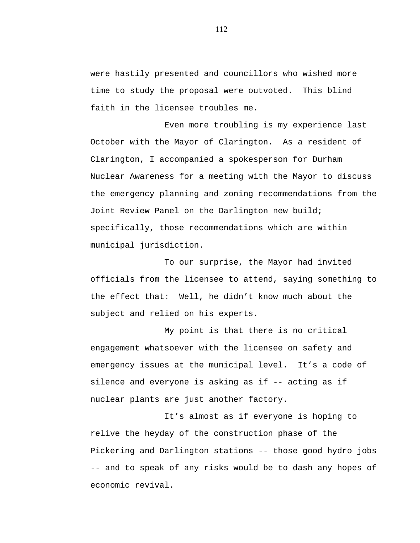were hastily presented and councillors who wished more time to study the proposal were outvoted. This blind faith in the licensee troubles me.

Even more troubling is my experience last October with the Mayor of Clarington. As a resident of Clarington, I accompanied a spokesperson for Durham Nuclear Awareness for a meeting with the Mayor to discuss the emergency planning and zoning recommendations from the Joint Review Panel on the Darlington new build; specifically, those recommendations which are within municipal jurisdiction.

To our surprise, the Mayor had invited officials from the licensee to attend, saying something to the effect that: Well, he didn't know much about the subject and relied on his experts.

My point is that there is no critical engagement whatsoever with the licensee on safety and emergency issues at the municipal level. It's a code of silence and everyone is asking as if -- acting as if nuclear plants are just another factory.

It's almost as if everyone is hoping to relive the heyday of the construction phase of the Pickering and Darlington stations -- those good hydro jobs -- and to speak of any risks would be to dash any hopes of economic revival.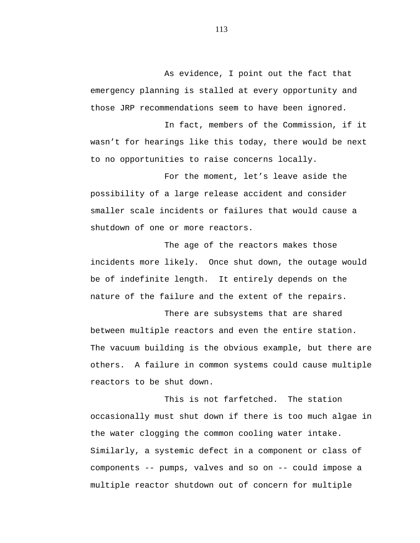As evidence, I point out the fact that emergency planning is stalled at every opportunity and those JRP recommendations seem to have been ignored.

In fact, members of the Commission, if it wasn't for hearings like this today, there would be next to no opportunities to raise concerns locally.

For the moment, let's leave aside the possibility of a large release accident and consider smaller scale incidents or failures that would cause a shutdown of one or more reactors.

The age of the reactors makes those incidents more likely. Once shut down, the outage would be of indefinite length. It entirely depends on the nature of the failure and the extent of the repairs.

There are subsystems that are shared between multiple reactors and even the entire station. The vacuum building is the obvious example, but there are others. A failure in common systems could cause multiple reactors to be shut down.

This is not farfetched. The station occasionally must shut down if there is too much algae in the water clogging the common cooling water intake. Similarly, a systemic defect in a component or class of components -- pumps, valves and so on -- could impose a multiple reactor shutdown out of concern for multiple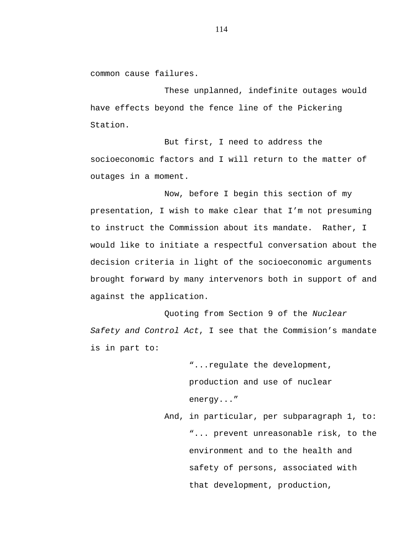common cause failures.

These unplanned, indefinite outages would have effects beyond the fence line of the Pickering Station.

But first, I need to address the socioeconomic factors and I will return to the matter of outages in a moment.

Now, before I begin this section of my presentation, I wish to make clear that I'm not presuming to instruct the Commission about its mandate. Rather, I would like to initiate a respectful conversation about the decision criteria in light of the socioeconomic arguments brought forward by many intervenors both in support of and against the application.

Quoting from Section 9 of the *Nuclear Safety and Control Act*, I see that the Commision's mandate is in part to:

> "...regulate the development, production and use of nuclear energy..."

And, in particular, per subparagraph 1, to: "... prevent unreasonable risk, to the environment and to the health and safety of persons, associated with that development, production,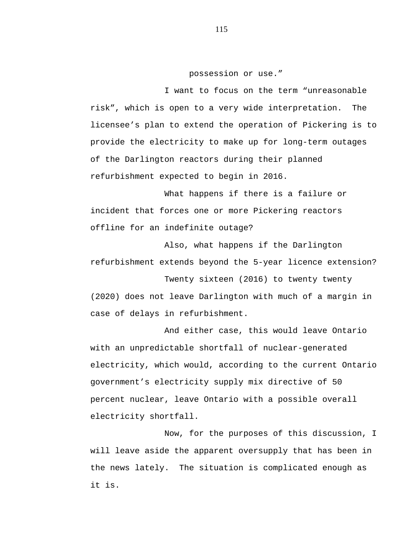# possession or use."

I want to focus on the term "unreasonable risk", which is open to a very wide interpretation. The licensee's plan to extend the operation of Pickering is to provide the electricity to make up for long-term outages of the Darlington reactors during their planned refurbishment expected to begin in 2016.

What happens if there is a failure or incident that forces one or more Pickering reactors offline for an indefinite outage?

Also, what happens if the Darlington refurbishment extends beyond the 5-year licence extension?

Twenty sixteen (2016) to twenty twenty (2020) does not leave Darlington with much of a margin in case of delays in refurbishment.

And either case, this would leave Ontario with an unpredictable shortfall of nuclear-generated electricity, which would, according to the current Ontario government's electricity supply mix directive of 50 percent nuclear, leave Ontario with a possible overall electricity shortfall.

Now, for the purposes of this discussion, I will leave aside the apparent oversupply that has been in the news lately. The situation is complicated enough as it is.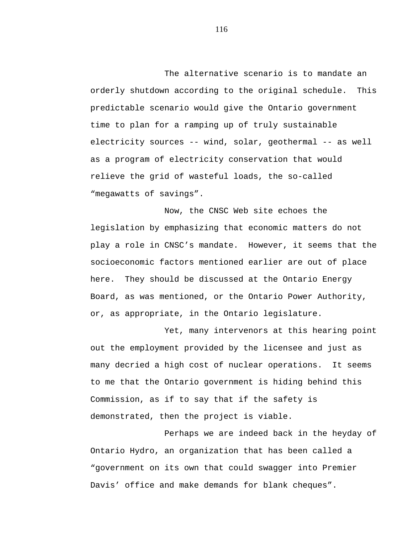The alternative scenario is to mandate an orderly shutdown according to the original schedule. This predictable scenario would give the Ontario government time to plan for a ramping up of truly sustainable electricity sources -- wind, solar, geothermal -- as well as a program of electricity conservation that would relieve the grid of wasteful loads, the so-called "megawatts of savings".

Now, the CNSC Web site echoes the legislation by emphasizing that economic matters do not play a role in CNSC's mandate. However, it seems that the socioeconomic factors mentioned earlier are out of place here. They should be discussed at the Ontario Energy Board, as was mentioned, or the Ontario Power Authority, or, as appropriate, in the Ontario legislature.

Yet, many intervenors at this hearing point out the employment provided by the licensee and just as many decried a high cost of nuclear operations. It seems to me that the Ontario government is hiding behind this Commission, as if to say that if the safety is demonstrated, then the project is viable.

Perhaps we are indeed back in the heyday of Ontario Hydro, an organization that has been called a "government on its own that could swagger into Premier Davis' office and make demands for blank cheques".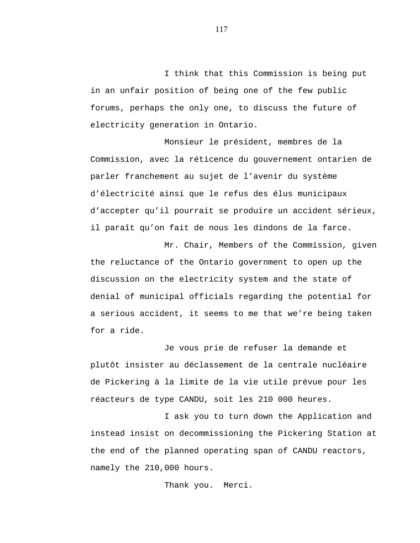I think that this Commission is being put in an unfair position of being one of the few public forums, perhaps the only one, to discuss the future of electricity generation in Ontario.

Monsieur le président, membres de la Commission, avec la réticence du gouvernement ontarien de parler franchement au sujet de l'avenir du système d'électricité ainsi que le refus des élus municipaux d'accepter qu'il pourrait se produire un accident sérieux, il paraît qu'on fait de nous les dindons de la farce.

Mr. Chair, Members of the Commission, given the reluctance of the Ontario government to open up the discussion on the electricity system and the state of denial of municipal officials regarding the potential for a serious accident, it seems to me that we're being taken for a ride.

Je vous prie de refuser la demande et plutôt insister au déclassement de la centrale nucléaire de Pickering à la limite de la vie utile prévue pour les réacteurs de type CANDU, soit les 210 000 heures.

I ask you to turn down the Application and instead insist on decommissioning the Pickering Station at the end of the planned operating span of CANDU reactors, namely the 210,000 hours.

Thank you. Merci.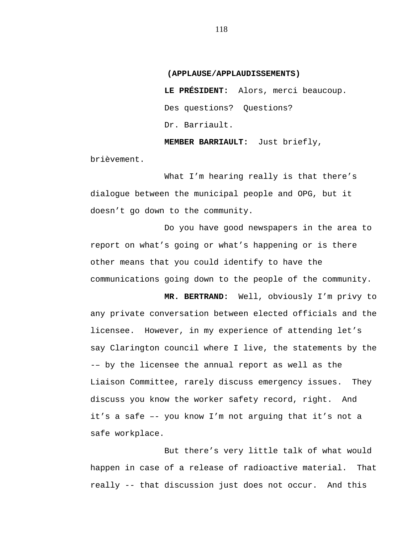### **(APPLAUSE/APPLAUDISSEMENTS)**

**LE PRÉSIDENT:** Alors, merci beaucoup. Des questions? Questions? Dr. Barriault.

**MEMBER BARRIAULT:** Just briefly,

brièvement.

What I'm hearing really is that there's dialogue between the municipal people and OPG, but it doesn't go down to the community.

Do you have good newspapers in the area to report on what's going or what's happening or is there other means that you could identify to have the communications going down to the people of the community.

**MR. BERTRAND:** Well, obviously I'm privy to any private conversation between elected officials and the licensee. However, in my experience of attending let's say Clarington council where I live, the statements by the -– by the licensee the annual report as well as the Liaison Committee, rarely discuss emergency issues. They discuss you know the worker safety record, right. And it's a safe –- you know I'm not arguing that it's not a safe workplace.

But there's very little talk of what would happen in case of a release of radioactive material. That really -- that discussion just does not occur. And this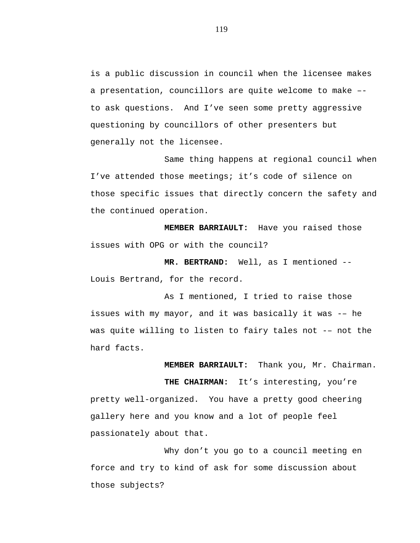is a public discussion in council when the licensee makes a presentation, councillors are quite welcome to make – to ask questions. And I've seen some pretty aggressive questioning by councillors of other presenters but generally not the licensee.

Same thing happens at regional council when I've attended those meetings; it's code of silence on those specific issues that directly concern the safety and the continued operation.

**MEMBER BARRIAULT:** Have you raised those issues with OPG or with the council?

**MR. BERTRAND:** Well, as I mentioned -- Louis Bertrand, for the record.

As I mentioned, I tried to raise those issues with my mayor, and it was basically it was -– he was quite willing to listen to fairy tales not -– not the hard facts.

> **MEMBER BARRIAULT:** Thank you, Mr. Chairman. **THE CHAIRMAN:** It's interesting, you're

pretty well-organized. You have a pretty good cheering gallery here and you know and a lot of people feel passionately about that.

Why don't you go to a council meeting en force and try to kind of ask for some discussion about those subjects?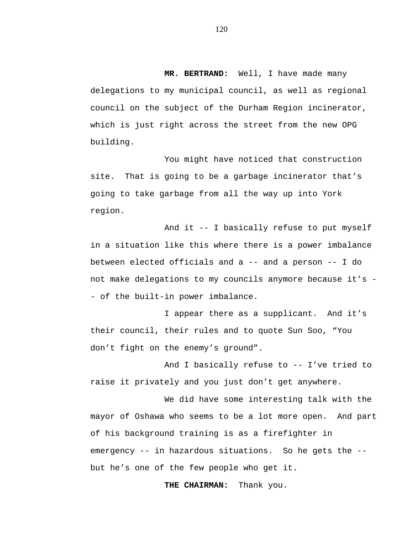**MR. BERTRAND:** Well, I have made many delegations to my municipal council, as well as regional council on the subject of the Durham Region incinerator, which is just right across the street from the new OPG building.

You might have noticed that construction site. That is going to be a garbage incinerator that's going to take garbage from all the way up into York region.

And it -- I basically refuse to put myself in a situation like this where there is a power imbalance between elected officials and  $a$  -- and a person -- I do not make delegations to my councils anymore because it's - - of the built-in power imbalance.

I appear there as a supplicant. And it's their council, their rules and to quote Sun Soo, "You don't fight on the enemy's ground".

And I basically refuse to -- I've tried to raise it privately and you just don't get anywhere.

We did have some interesting talk with the mayor of Oshawa who seems to be a lot more open. And part of his background training is as a firefighter in emergency -- in hazardous situations. So he gets the - but he's one of the few people who get it.

**THE CHAIRMAN:** Thank you.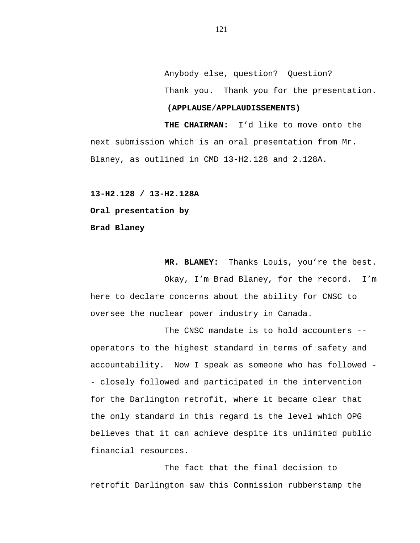Anybody else, question? Question? Thank you. Thank you for the presentation.

# **(APPLAUSE/APPLAUDISSEMENTS)**

**THE CHAIRMAN:** I'd like to move onto the next submission which is an oral presentation from Mr. Blaney, as outlined in CMD 13-H2.128 and 2.128A.

**13-H2.128 / 13-H2.128A Oral presentation by Brad Blaney**

**MR. BLANEY:** Thanks Louis, you're the best.

Okay, I'm Brad Blaney, for the record. I'm here to declare concerns about the ability for CNSC to oversee the nuclear power industry in Canada.

The CNSC mandate is to hold accounters - operators to the highest standard in terms of safety and accountability. Now I speak as someone who has followed - - closely followed and participated in the intervention for the Darlington retrofit, where it became clear that the only standard in this regard is the level which OPG believes that it can achieve despite its unlimited public financial resources.

The fact that the final decision to retrofit Darlington saw this Commission rubberstamp the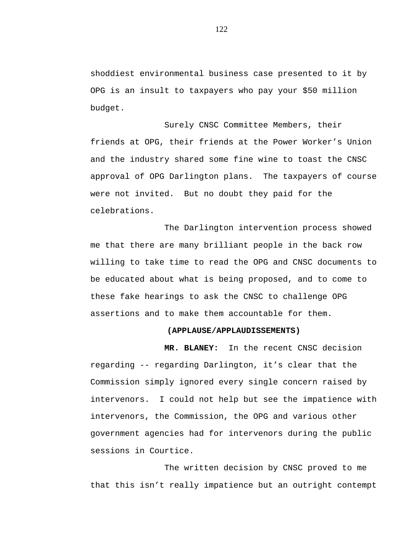shoddiest environmental business case presented to it by OPG is an insult to taxpayers who pay your \$50 million budget.

Surely CNSC Committee Members, their friends at OPG, their friends at the Power Worker's Union and the industry shared some fine wine to toast the CNSC approval of OPG Darlington plans. The taxpayers of course were not invited. But no doubt they paid for the celebrations.

The Darlington intervention process showed me that there are many brilliant people in the back row willing to take time to read the OPG and CNSC documents to be educated about what is being proposed, and to come to these fake hearings to ask the CNSC to challenge OPG assertions and to make them accountable for them.

### **(APPLAUSE/APPLAUDISSEMENTS)**

**MR. BLANEY:** In the recent CNSC decision regarding -- regarding Darlington, it's clear that the Commission simply ignored every single concern raised by intervenors. I could not help but see the impatience with intervenors, the Commission, the OPG and various other government agencies had for intervenors during the public sessions in Courtice.

The written decision by CNSC proved to me that this isn't really impatience but an outright contempt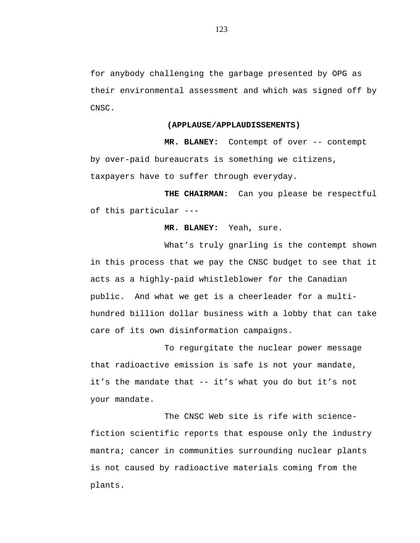for anybody challenging the garbage presented by OPG as their environmental assessment and which was signed off by CNSC.

#### **(APPLAUSE/APPLAUDISSEMENTS)**

**MR. BLANEY:** Contempt of over -- contempt by over-paid bureaucrats is something we citizens, taxpayers have to suffer through everyday.

**THE CHAIRMAN:** Can you please be respectful of this particular ---

### **MR. BLANEY:** Yeah, sure.

What's truly gnarling is the contempt shown in this process that we pay the CNSC budget to see that it acts as a highly-paid whistleblower for the Canadian public. And what we get is a cheerleader for a multihundred billion dollar business with a lobby that can take care of its own disinformation campaigns.

To regurgitate the nuclear power message that radioactive emission is safe is not your mandate, it's the mandate that -- it's what you do but it's not your mandate.

The CNSC Web site is rife with sciencefiction scientific reports that espouse only the industry mantra; cancer in communities surrounding nuclear plants is not caused by radioactive materials coming from the plants.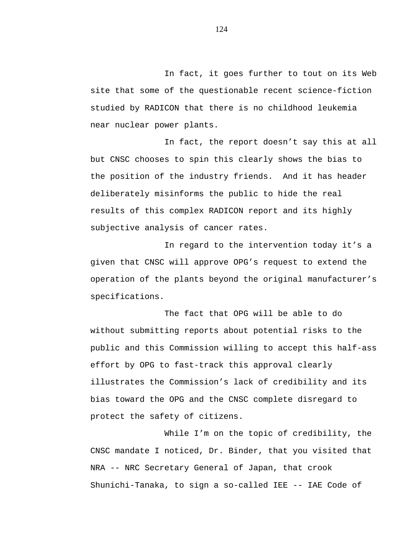In fact, it goes further to tout on its Web site that some of the questionable recent science-fiction studied by RADICON that there is no childhood leukemia near nuclear power plants.

In fact, the report doesn't say this at all but CNSC chooses to spin this clearly shows the bias to the position of the industry friends. And it has header deliberately misinforms the public to hide the real results of this complex RADICON report and its highly subjective analysis of cancer rates.

In regard to the intervention today it's a given that CNSC will approve OPG's request to extend the operation of the plants beyond the original manufacturer's specifications.

The fact that OPG will be able to do without submitting reports about potential risks to the public and this Commission willing to accept this half-ass effort by OPG to fast-track this approval clearly illustrates the Commission's lack of credibility and its bias toward the OPG and the CNSC complete disregard to protect the safety of citizens.

While I'm on the topic of credibility, the CNSC mandate I noticed, Dr. Binder, that you visited that NRA -- NRC Secretary General of Japan, that crook Shunichi-Tanaka, to sign a so-called IEE -- IAE Code of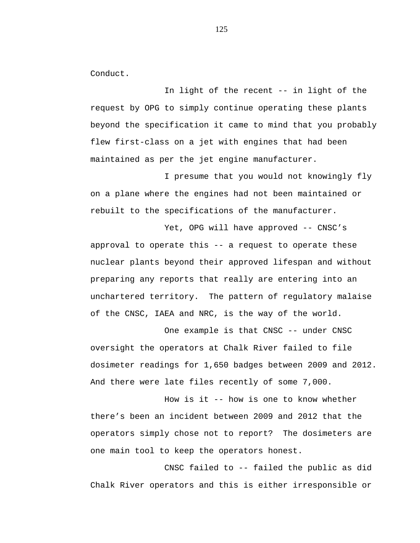Conduct.

In light of the recent -- in light of the request by OPG to simply continue operating these plants beyond the specification it came to mind that you probably flew first-class on a jet with engines that had been maintained as per the jet engine manufacturer.

I presume that you would not knowingly fly on a plane where the engines had not been maintained or rebuilt to the specifications of the manufacturer.

Yet, OPG will have approved -- CNSC's approval to operate this -- a request to operate these nuclear plants beyond their approved lifespan and without preparing any reports that really are entering into an unchartered territory. The pattern of regulatory malaise of the CNSC, IAEA and NRC, is the way of the world.

One example is that CNSC -- under CNSC oversight the operators at Chalk River failed to file dosimeter readings for 1,650 badges between 2009 and 2012. And there were late files recently of some 7,000.

How is it -- how is one to know whether there's been an incident between 2009 and 2012 that the operators simply chose not to report? The dosimeters are one main tool to keep the operators honest.

CNSC failed to -- failed the public as did Chalk River operators and this is either irresponsible or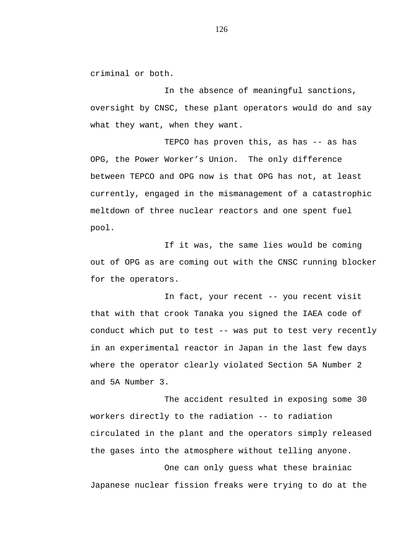criminal or both.

In the absence of meaningful sanctions, oversight by CNSC, these plant operators would do and say what they want, when they want.

TEPCO has proven this, as has -- as has OPG, the Power Worker's Union. The only difference between TEPCO and OPG now is that OPG has not, at least currently, engaged in the mismanagement of a catastrophic meltdown of three nuclear reactors and one spent fuel pool.

If it was, the same lies would be coming out of OPG as are coming out with the CNSC running blocker for the operators.

In fact, your recent -- you recent visit that with that crook Tanaka you signed the IAEA code of conduct which put to test -- was put to test very recently in an experimental reactor in Japan in the last few days where the operator clearly violated Section 5A Number 2 and 5A Number 3.

The accident resulted in exposing some 30 workers directly to the radiation -- to radiation circulated in the plant and the operators simply released the gases into the atmosphere without telling anyone.

One can only guess what these brainiac Japanese nuclear fission freaks were trying to do at the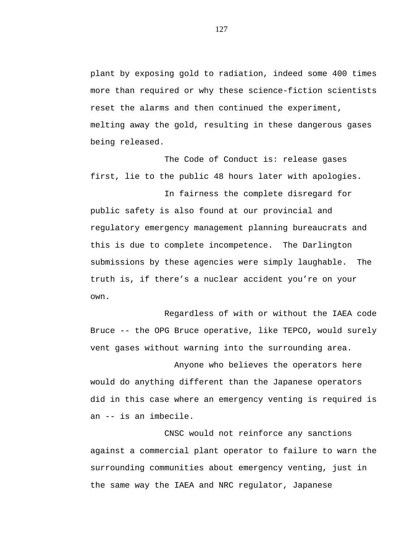plant by exposing gold to radiation, indeed some 400 times more than required or why these science-fiction scientists reset the alarms and then continued the experiment, melting away the gold, resulting in these dangerous gases being released.

The Code of Conduct is: release gases first, lie to the public 48 hours later with apologies.

In fairness the complete disregard for public safety is also found at our provincial and regulatory emergency management planning bureaucrats and this is due to complete incompetence. The Darlington submissions by these agencies were simply laughable. The truth is, if there's a nuclear accident you're on your own.

Regardless of with or without the IAEA code Bruce -- the OPG Bruce operative, like TEPCO, would surely vent gases without warning into the surrounding area.

 Anyone who believes the operators here would do anything different than the Japanese operators did in this case where an emergency venting is required is an -- is an imbecile.

CNSC would not reinforce any sanctions against a commercial plant operator to failure to warn the surrounding communities about emergency venting, just in the same way the IAEA and NRC regulator, Japanese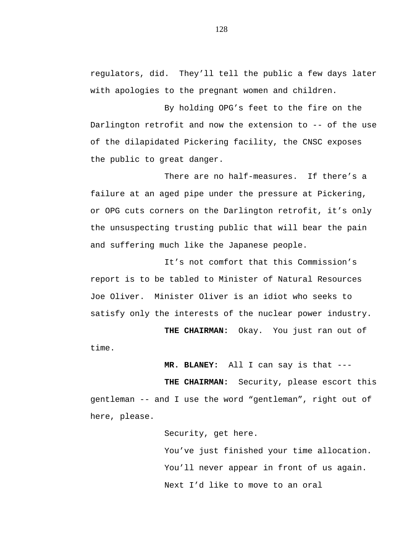regulators, did. They'll tell the public a few days later with apologies to the pregnant women and children.

By holding OPG's feet to the fire on the Darlington retrofit and now the extension to -- of the use of the dilapidated Pickering facility, the CNSC exposes the public to great danger.

There are no half-measures. If there's a failure at an aged pipe under the pressure at Pickering, or OPG cuts corners on the Darlington retrofit, it's only the unsuspecting trusting public that will bear the pain and suffering much like the Japanese people.

It's not comfort that this Commission's report is to be tabled to Minister of Natural Resources Joe Oliver. Minister Oliver is an idiot who seeks to satisfy only the interests of the nuclear power industry.

**THE CHAIRMAN:** Okay. You just ran out of time.

**MR. BLANEY:** All I can say is that ---

**THE CHAIRMAN:** Security, please escort this gentleman -- and I use the word "gentleman", right out of here, please.

Security, get here.

You've just finished your time allocation. You'll never appear in front of us again. Next I'd like to move to an oral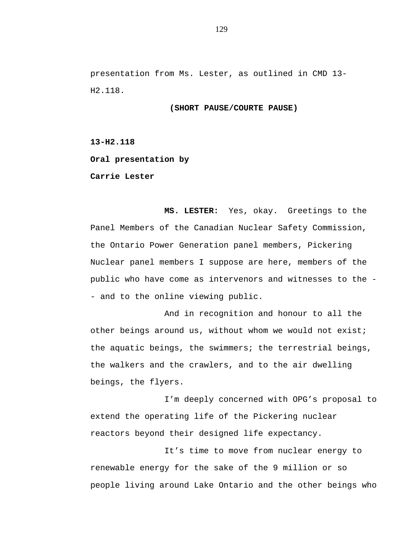presentation from Ms. Lester, as outlined in CMD 13- H2.118.

### **(SHORT PAUSE/COURTE PAUSE)**

**13-H2.118**

**Oral presentation by**

**Carrie Lester** 

**MS. LESTER:** Yes, okay. Greetings to the Panel Members of the Canadian Nuclear Safety Commission, the Ontario Power Generation panel members, Pickering Nuclear panel members I suppose are here, members of the public who have come as intervenors and witnesses to the - - and to the online viewing public.

And in recognition and honour to all the other beings around us, without whom we would not exist; the aquatic beings, the swimmers; the terrestrial beings, the walkers and the crawlers, and to the air dwelling beings, the flyers.

I'm deeply concerned with OPG's proposal to extend the operating life of the Pickering nuclear reactors beyond their designed life expectancy.

It's time to move from nuclear energy to renewable energy for the sake of the 9 million or so people living around Lake Ontario and the other beings who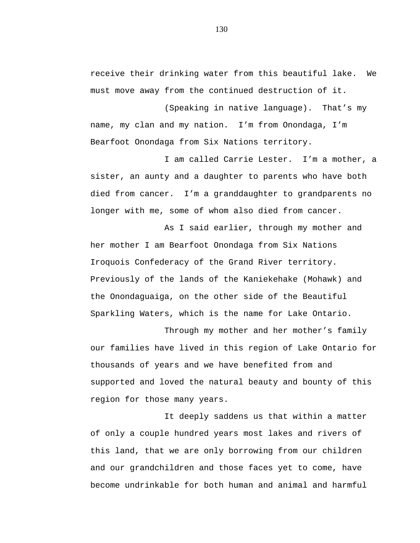receive their drinking water from this beautiful lake. We must move away from the continued destruction of it.

(Speaking in native language). That's my name, my clan and my nation. I'm from Onondaga, I'm Bearfoot Onondaga from Six Nations territory.

I am called Carrie Lester. I'm a mother, a sister, an aunty and a daughter to parents who have both died from cancer. I'm a granddaughter to grandparents no longer with me, some of whom also died from cancer.

As I said earlier, through my mother and her mother I am Bearfoot Onondaga from Six Nations Iroquois Confederacy of the Grand River territory. Previously of the lands of the Kaniekehake (Mohawk) and the Onondaguaiga, on the other side of the Beautiful Sparkling Waters, which is the name for Lake Ontario.

Through my mother and her mother's family our families have lived in this region of Lake Ontario for thousands of years and we have benefited from and supported and loved the natural beauty and bounty of this region for those many years.

It deeply saddens us that within a matter of only a couple hundred years most lakes and rivers of this land, that we are only borrowing from our children and our grandchildren and those faces yet to come, have become undrinkable for both human and animal and harmful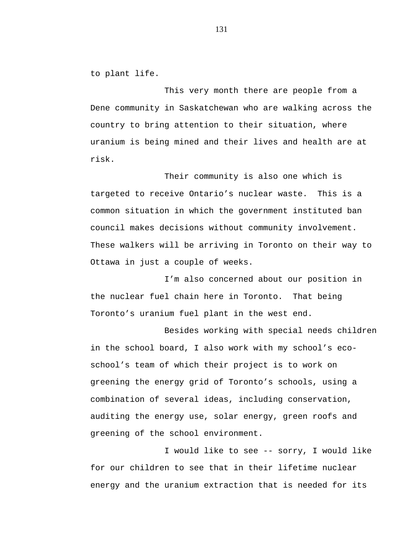to plant life.

This very month there are people from a Dene community in Saskatchewan who are walking across the country to bring attention to their situation, where uranium is being mined and their lives and health are at risk.

Their community is also one which is targeted to receive Ontario's nuclear waste. This is a common situation in which the government instituted ban council makes decisions without community involvement. These walkers will be arriving in Toronto on their way to Ottawa in just a couple of weeks.

I'm also concerned about our position in the nuclear fuel chain here in Toronto. That being Toronto's uranium fuel plant in the west end.

Besides working with special needs children in the school board, I also work with my school's ecoschool's team of which their project is to work on greening the energy grid of Toronto's schools, using a combination of several ideas, including conservation, auditing the energy use, solar energy, green roofs and greening of the school environment.

I would like to see -- sorry, I would like for our children to see that in their lifetime nuclear energy and the uranium extraction that is needed for its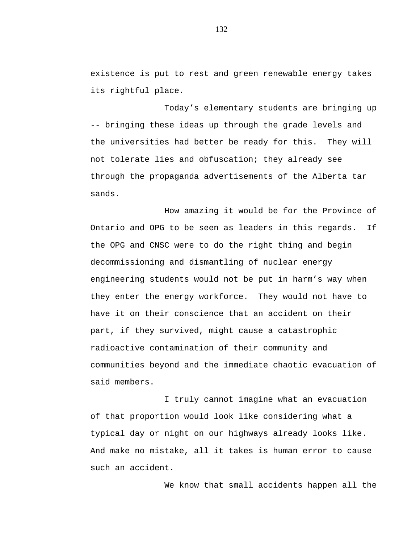existence is put to rest and green renewable energy takes its rightful place.

Today's elementary students are bringing up -- bringing these ideas up through the grade levels and the universities had better be ready for this. They will not tolerate lies and obfuscation; they already see through the propaganda advertisements of the Alberta tar sands.

How amazing it would be for the Province of Ontario and OPG to be seen as leaders in this regards. If the OPG and CNSC were to do the right thing and begin decommissioning and dismantling of nuclear energy engineering students would not be put in harm's way when they enter the energy workforce. They would not have to have it on their conscience that an accident on their part, if they survived, might cause a catastrophic radioactive contamination of their community and communities beyond and the immediate chaotic evacuation of said members.

I truly cannot imagine what an evacuation of that proportion would look like considering what a typical day or night on our highways already looks like. And make no mistake, all it takes is human error to cause such an accident.

We know that small accidents happen all the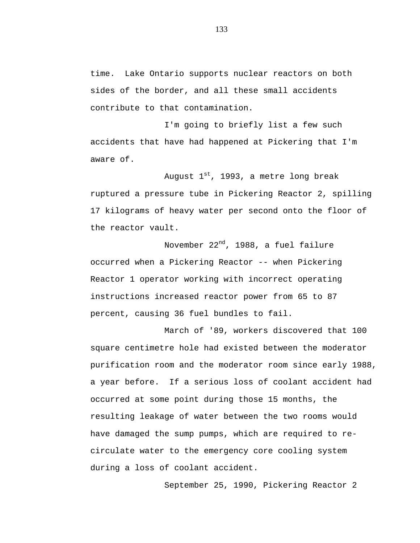time. Lake Ontario supports nuclear reactors on both sides of the border, and all these small accidents contribute to that contamination.

I'm going to briefly list a few such accidents that have had happened at Pickering that I'm aware of.

August  $1^{st}$ , 1993, a metre long break ruptured a pressure tube in Pickering Reactor 2, spilling 17 kilograms of heavy water per second onto the floor of the reactor vault.

November 22<sup>nd</sup>, 1988, a fuel failure occurred when a Pickering Reactor -- when Pickering Reactor 1 operator working with incorrect operating instructions increased reactor power from 65 to 87 percent, causing 36 fuel bundles to fail.

March of '89, workers discovered that 100 square centimetre hole had existed between the moderator purification room and the moderator room since early 1988, a year before. If a serious loss of coolant accident had occurred at some point during those 15 months, the resulting leakage of water between the two rooms would have damaged the sump pumps, which are required to recirculate water to the emergency core cooling system during a loss of coolant accident.

September 25, 1990, Pickering Reactor 2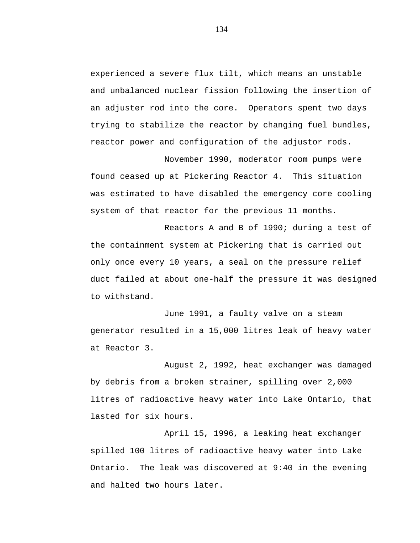experienced a severe flux tilt, which means an unstable and unbalanced nuclear fission following the insertion of an adjuster rod into the core. Operators spent two days trying to stabilize the reactor by changing fuel bundles, reactor power and configuration of the adjustor rods.

November 1990, moderator room pumps were found ceased up at Pickering Reactor 4. This situation was estimated to have disabled the emergency core cooling system of that reactor for the previous 11 months.

Reactors A and B of 1990; during a test of the containment system at Pickering that is carried out only once every 10 years, a seal on the pressure relief duct failed at about one-half the pressure it was designed to withstand.

June 1991, a faulty valve on a steam generator resulted in a 15,000 litres leak of heavy water at Reactor 3.

August 2, 1992, heat exchanger was damaged by debris from a broken strainer, spilling over 2,000 litres of radioactive heavy water into Lake Ontario, that lasted for six hours.

April 15, 1996, a leaking heat exchanger spilled 100 litres of radioactive heavy water into Lake Ontario. The leak was discovered at 9:40 in the evening and halted two hours later.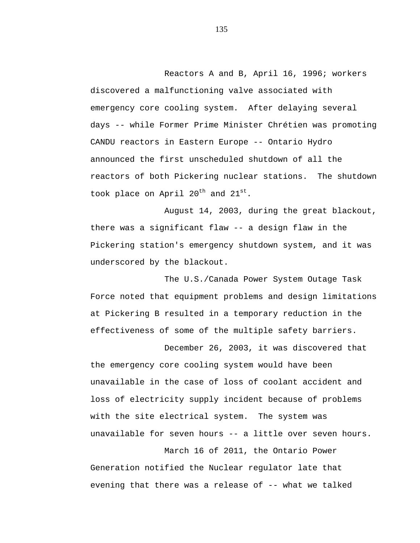Reactors A and B, April 16, 1996; workers discovered a malfunctioning valve associated with emergency core cooling system. After delaying several days -- while Former Prime Minister Chrétien was promoting CANDU reactors in Eastern Europe -- Ontario Hydro announced the first unscheduled shutdown of all the reactors of both Pickering nuclear stations. The shutdown took place on April  $20^{th}$  and  $21^{st}$ .

August 14, 2003, during the great blackout, there was a significant flaw -- a design flaw in the Pickering station's emergency shutdown system, and it was underscored by the blackout.

The U.S./Canada Power System Outage Task Force noted that equipment problems and design limitations at Pickering B resulted in a temporary reduction in the effectiveness of some of the multiple safety barriers.

December 26, 2003, it was discovered that the emergency core cooling system would have been unavailable in the case of loss of coolant accident and loss of electricity supply incident because of problems with the site electrical system. The system was unavailable for seven hours -- a little over seven hours.

March 16 of 2011, the Ontario Power Generation notified the Nuclear regulator late that evening that there was a release of -- what we talked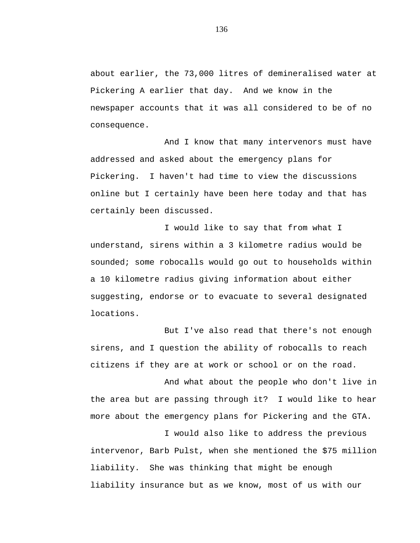about earlier, the 73,000 litres of demineralised water at Pickering A earlier that day. And we know in the newspaper accounts that it was all considered to be of no consequence.

And I know that many intervenors must have addressed and asked about the emergency plans for Pickering. I haven't had time to view the discussions online but I certainly have been here today and that has certainly been discussed.

I would like to say that from what I understand, sirens within a 3 kilometre radius would be sounded; some robocalls would go out to households within a 10 kilometre radius giving information about either suggesting, endorse or to evacuate to several designated locations.

But I've also read that there's not enough sirens, and I question the ability of robocalls to reach citizens if they are at work or school or on the road.

And what about the people who don't live in the area but are passing through it? I would like to hear more about the emergency plans for Pickering and the GTA.

I would also like to address the previous intervenor, Barb Pulst, when she mentioned the \$75 million liability. She was thinking that might be enough liability insurance but as we know, most of us with our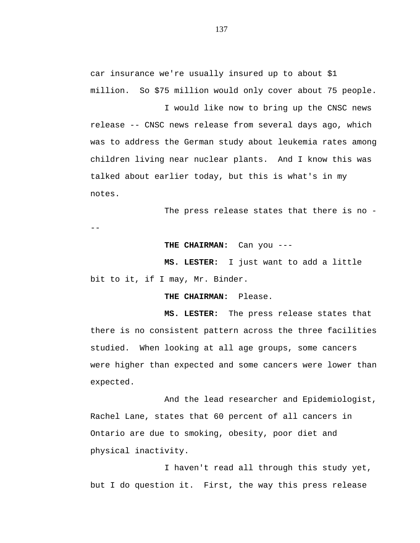car insurance we're usually insured up to about \$1 million. So \$75 million would only cover about 75 people.

I would like now to bring up the CNSC news release -- CNSC news release from several days ago, which was to address the German study about leukemia rates among children living near nuclear plants. And I know this was talked about earlier today, but this is what's in my notes.

The press release states that there is no -

--

# **THE CHAIRMAN:** Can you ---

**MS. LESTER:** I just want to add a little bit to it, if I may, Mr. Binder.

### **THE CHAIRMAN:** Please.

**MS. LESTER:** The press release states that there is no consistent pattern across the three facilities studied. When looking at all age groups, some cancers were higher than expected and some cancers were lower than expected.

And the lead researcher and Epidemiologist, Rachel Lane, states that 60 percent of all cancers in Ontario are due to smoking, obesity, poor diet and physical inactivity.

I haven't read all through this study yet, but I do question it. First, the way this press release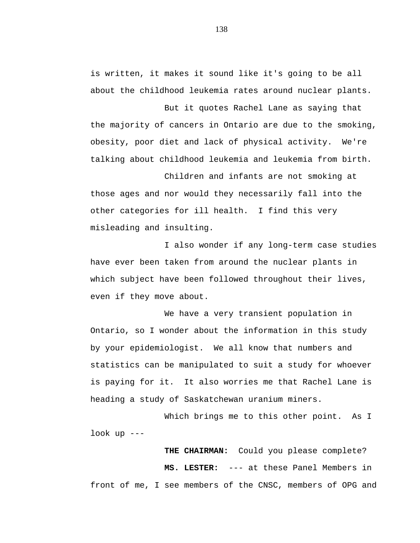is written, it makes it sound like it's going to be all about the childhood leukemia rates around nuclear plants.

But it quotes Rachel Lane as saying that the majority of cancers in Ontario are due to the smoking, obesity, poor diet and lack of physical activity. We're talking about childhood leukemia and leukemia from birth.

Children and infants are not smoking at those ages and nor would they necessarily fall into the other categories for ill health. I find this very misleading and insulting.

I also wonder if any long-term case studies have ever been taken from around the nuclear plants in which subject have been followed throughout their lives, even if they move about.

We have a very transient population in Ontario, so I wonder about the information in this study by your epidemiologist. We all know that numbers and statistics can be manipulated to suit a study for whoever is paying for it. It also worries me that Rachel Lane is heading a study of Saskatchewan uranium miners.

Which brings me to this other point. As I look up ---

**THE CHAIRMAN:** Could you please complete? **MS. LESTER:** --- at these Panel Members in front of me, I see members of the CNSC, members of OPG and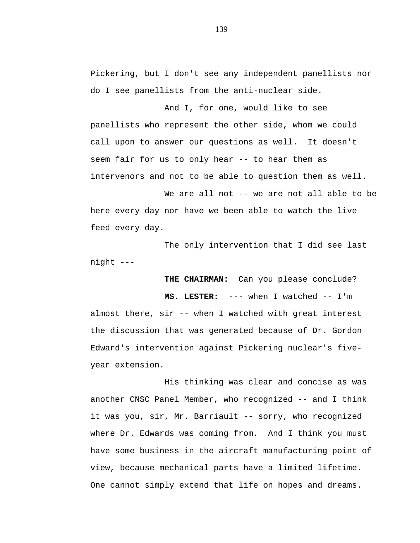Pickering, but I don't see any independent panellists nor do I see panellists from the anti-nuclear side.

And I, for one, would like to see panellists who represent the other side, whom we could call upon to answer our questions as well. It doesn't seem fair for us to only hear -- to hear them as intervenors and not to be able to question them as well.

We are all not -- we are not all able to be here every day nor have we been able to watch the live feed every day.

The only intervention that I did see last night ---

**THE CHAIRMAN:** Can you please conclude?

**MS. LESTER:** --- when I watched -- I'm almost there, sir -- when I watched with great interest the discussion that was generated because of Dr. Gordon Edward's intervention against Pickering nuclear's fiveyear extension.

His thinking was clear and concise as was another CNSC Panel Member, who recognized -- and I think it was you, sir, Mr. Barriault -- sorry, who recognized where Dr. Edwards was coming from. And I think you must have some business in the aircraft manufacturing point of view, because mechanical parts have a limited lifetime. One cannot simply extend that life on hopes and dreams.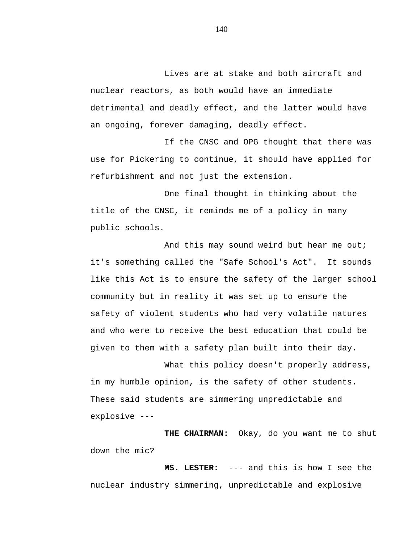Lives are at stake and both aircraft and nuclear reactors, as both would have an immediate detrimental and deadly effect, and the latter would have an ongoing, forever damaging, deadly effect.

If the CNSC and OPG thought that there was use for Pickering to continue, it should have applied for refurbishment and not just the extension.

One final thought in thinking about the title of the CNSC, it reminds me of a policy in many public schools.

And this may sound weird but hear me out; it's something called the "Safe School's Act". It sounds like this Act is to ensure the safety of the larger school community but in reality it was set up to ensure the safety of violent students who had very volatile natures and who were to receive the best education that could be given to them with a safety plan built into their day.

What this policy doesn't properly address, in my humble opinion, is the safety of other students. These said students are simmering unpredictable and explosive ---

**THE CHAIRMAN:** Okay, do you want me to shut down the mic?

**MS. LESTER:** --- and this is how I see the nuclear industry simmering, unpredictable and explosive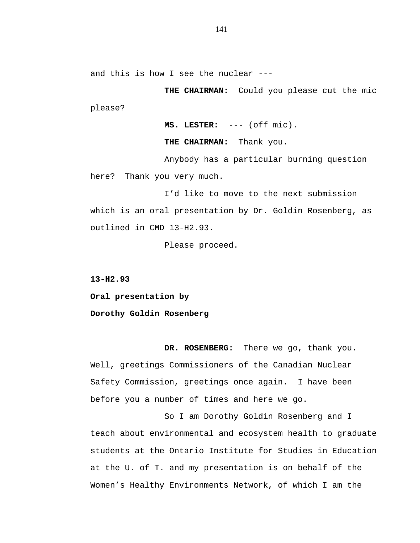and this is how I see the nuclear ---

**THE CHAIRMAN:** Could you please cut the mic please?

**MS. LESTER:** --- (off mic).

**THE CHAIRMAN:** Thank you.

Anybody has a particular burning question here? Thank you very much.

I'd like to move to the next submission which is an oral presentation by Dr. Goldin Rosenberg, as outlined in CMD 13-H2.93.

Please proceed.

**13-H2.93**

**Oral presentation by**

**Dorothy Goldin Rosenberg**

**DR. ROSENBERG:** There we go, thank you. Well, greetings Commissioners of the Canadian Nuclear Safety Commission, greetings once again. I have been before you a number of times and here we go.

So I am Dorothy Goldin Rosenberg and I teach about environmental and ecosystem health to graduate students at the Ontario Institute for Studies in Education at the U. of T. and my presentation is on behalf of the Women's Healthy Environments Network, of which I am the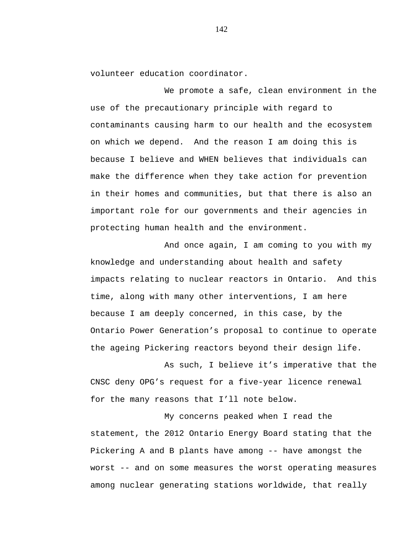volunteer education coordinator.

We promote a safe, clean environment in the use of the precautionary principle with regard to contaminants causing harm to our health and the ecosystem on which we depend. And the reason I am doing this is because I believe and WHEN believes that individuals can make the difference when they take action for prevention in their homes and communities, but that there is also an important role for our governments and their agencies in protecting human health and the environment.

And once again, I am coming to you with my knowledge and understanding about health and safety impacts relating to nuclear reactors in Ontario. And this time, along with many other interventions, I am here because I am deeply concerned, in this case, by the Ontario Power Generation's proposal to continue to operate the ageing Pickering reactors beyond their design life.

As such, I believe it's imperative that the CNSC deny OPG's request for a five-year licence renewal for the many reasons that I'll note below.

My concerns peaked when I read the statement, the 2012 Ontario Energy Board stating that the Pickering A and B plants have among -- have amongst the worst -- and on some measures the worst operating measures among nuclear generating stations worldwide, that really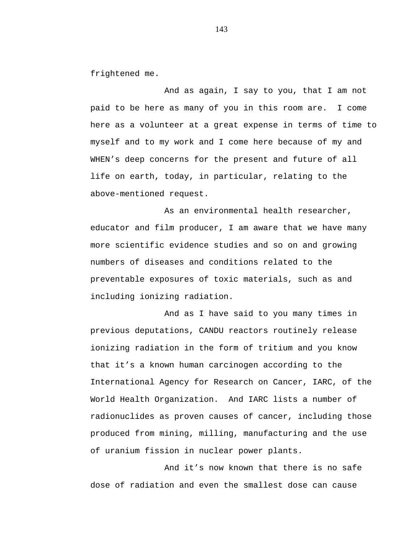frightened me.

And as again, I say to you, that I am not paid to be here as many of you in this room are. I come here as a volunteer at a great expense in terms of time to myself and to my work and I come here because of my and WHEN's deep concerns for the present and future of all life on earth, today, in particular, relating to the above-mentioned request.

As an environmental health researcher, educator and film producer, I am aware that we have many more scientific evidence studies and so on and growing numbers of diseases and conditions related to the preventable exposures of toxic materials, such as and including ionizing radiation.

And as I have said to you many times in previous deputations, CANDU reactors routinely release ionizing radiation in the form of tritium and you know that it's a known human carcinogen according to the International Agency for Research on Cancer, IARC, of the World Health Organization. And IARC lists a number of radionuclides as proven causes of cancer, including those produced from mining, milling, manufacturing and the use of uranium fission in nuclear power plants.

And it's now known that there is no safe dose of radiation and even the smallest dose can cause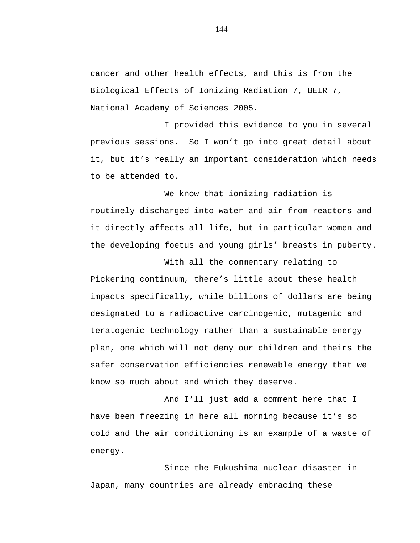cancer and other health effects, and this is from the Biological Effects of Ionizing Radiation 7, BEIR 7, National Academy of Sciences 2005.

I provided this evidence to you in several previous sessions. So I won't go into great detail about it, but it's really an important consideration which needs to be attended to.

We know that ionizing radiation is routinely discharged into water and air from reactors and it directly affects all life, but in particular women and the developing foetus and young girls' breasts in puberty.

With all the commentary relating to Pickering continuum, there's little about these health impacts specifically, while billions of dollars are being designated to a radioactive carcinogenic, mutagenic and teratogenic technology rather than a sustainable energy plan, one which will not deny our children and theirs the safer conservation efficiencies renewable energy that we know so much about and which they deserve.

And I'll just add a comment here that I have been freezing in here all morning because it's so cold and the air conditioning is an example of a waste of energy.

Since the Fukushima nuclear disaster in Japan, many countries are already embracing these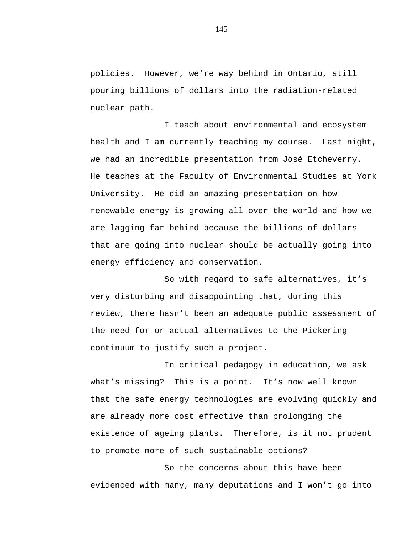policies. However, we're way behind in Ontario, still pouring billions of dollars into the radiation-related nuclear path.

I teach about environmental and ecosystem health and I am currently teaching my course. Last night, we had an incredible presentation from José Etcheverry. He teaches at the Faculty of Environmental Studies at York University. He did an amazing presentation on how renewable energy is growing all over the world and how we are lagging far behind because the billions of dollars that are going into nuclear should be actually going into energy efficiency and conservation.

So with regard to safe alternatives, it's very disturbing and disappointing that, during this review, there hasn't been an adequate public assessment of the need for or actual alternatives to the Pickering continuum to justify such a project.

In critical pedagogy in education, we ask what's missing? This is a point. It's now well known that the safe energy technologies are evolving quickly and are already more cost effective than prolonging the existence of ageing plants. Therefore, is it not prudent to promote more of such sustainable options?

So the concerns about this have been evidenced with many, many deputations and I won't go into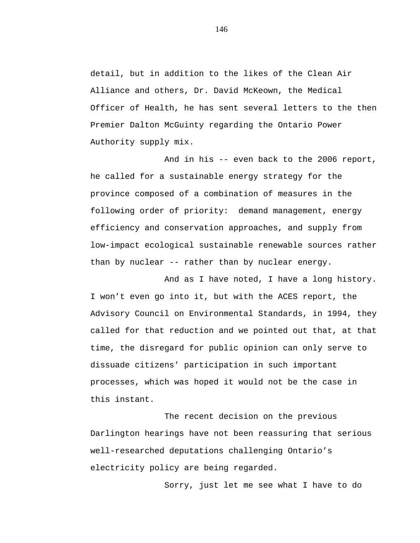detail, but in addition to the likes of the Clean Air Alliance and others, Dr. David McKeown, the Medical Officer of Health, he has sent several letters to the then Premier Dalton McGuinty regarding the Ontario Power Authority supply mix.

And in his -- even back to the 2006 report, he called for a sustainable energy strategy for the province composed of a combination of measures in the following order of priority: demand management, energy efficiency and conservation approaches, and supply from low-impact ecological sustainable renewable sources rather than by nuclear -- rather than by nuclear energy.

And as I have noted, I have a long history. I won't even go into it, but with the ACES report, the Advisory Council on Environmental Standards, in 1994, they called for that reduction and we pointed out that, at that time, the disregard for public opinion can only serve to dissuade citizens' participation in such important processes, which was hoped it would not be the case in this instant.

The recent decision on the previous Darlington hearings have not been reassuring that serious well-researched deputations challenging Ontario's electricity policy are being regarded.

Sorry, just let me see what I have to do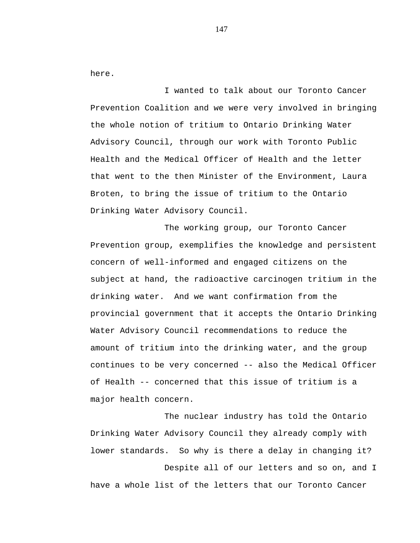here.

I wanted to talk about our Toronto Cancer Prevention Coalition and we were very involved in bringing the whole notion of tritium to Ontario Drinking Water Advisory Council, through our work with Toronto Public Health and the Medical Officer of Health and the letter that went to the then Minister of the Environment, Laura Broten, to bring the issue of tritium to the Ontario Drinking Water Advisory Council.

The working group, our Toronto Cancer Prevention group, exemplifies the knowledge and persistent concern of well-informed and engaged citizens on the subject at hand, the radioactive carcinogen tritium in the drinking water. And we want confirmation from the provincial government that it accepts the Ontario Drinking Water Advisory Council recommendations to reduce the amount of tritium into the drinking water, and the group continues to be very concerned -- also the Medical Officer of Health -- concerned that this issue of tritium is a major health concern.

The nuclear industry has told the Ontario Drinking Water Advisory Council they already comply with lower standards. So why is there a delay in changing it? Despite all of our letters and so on, and I

have a whole list of the letters that our Toronto Cancer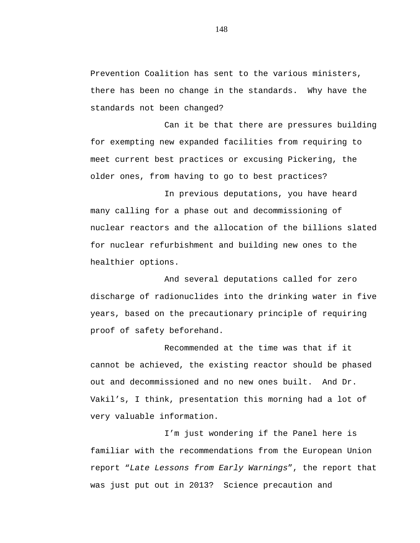Prevention Coalition has sent to the various ministers, there has been no change in the standards. Why have the standards not been changed?

Can it be that there are pressures building for exempting new expanded facilities from requiring to meet current best practices or excusing Pickering, the older ones, from having to go to best practices?

In previous deputations, you have heard many calling for a phase out and decommissioning of nuclear reactors and the allocation of the billions slated for nuclear refurbishment and building new ones to the healthier options.

And several deputations called for zero discharge of radionuclides into the drinking water in five years, based on the precautionary principle of requiring proof of safety beforehand.

Recommended at the time was that if it cannot be achieved, the existing reactor should be phased out and decommissioned and no new ones built. And Dr. Vakil's, I think, presentation this morning had a lot of very valuable information.

I'm just wondering if the Panel here is familiar with the recommendations from the European Union report "*Late Lessons from Early Warnings*", the report that was just put out in 2013? Science precaution and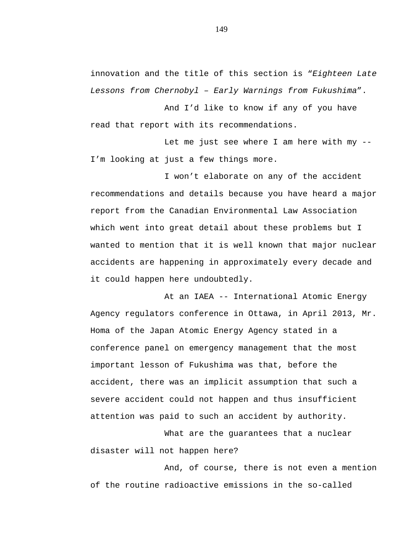innovation and the title of this section is "*Eighteen Late Lessons from Chernobyl – Early Warnings from Fukushima*".

And I'd like to know if any of you have read that report with its recommendations.

Let me just see where I am here with my  $-$ -I'm looking at just a few things more.

I won't elaborate on any of the accident recommendations and details because you have heard a major report from the Canadian Environmental Law Association which went into great detail about these problems but I wanted to mention that it is well known that major nuclear accidents are happening in approximately every decade and it could happen here undoubtedly.

At an IAEA -- International Atomic Energy Agency regulators conference in Ottawa, in April 2013, Mr. Homa of the Japan Atomic Energy Agency stated in a conference panel on emergency management that the most important lesson of Fukushima was that, before the accident, there was an implicit assumption that such a severe accident could not happen and thus insufficient attention was paid to such an accident by authority.

What are the guarantees that a nuclear disaster will not happen here?

And, of course, there is not even a mention of the routine radioactive emissions in the so-called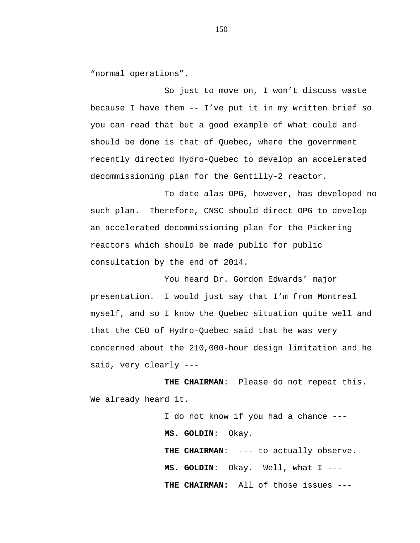"normal operations".

So just to move on, I won't discuss waste because I have them -- I've put it in my written brief so you can read that but a good example of what could and should be done is that of Quebec, where the government recently directed Hydro-Quebec to develop an accelerated decommissioning plan for the Gentilly-2 reactor.

To date alas OPG, however, has developed no such plan. Therefore, CNSC should direct OPG to develop an accelerated decommissioning plan for the Pickering reactors which should be made public for public consultation by the end of 2014.

You heard Dr. Gordon Edwards' major presentation. I would just say that I'm from Montreal myself, and so I know the Quebec situation quite well and that the CEO of Hydro-Quebec said that he was very concerned about the 210,000-hour design limitation and he said, very clearly ---

**THE CHAIRMAN**: Please do not repeat this. We already heard it.

> I do not know if you had a chance --- **MS. GOLDIN**: Okay. **THE CHAIRMAN**: --- to actually observe. **MS. GOLDIN**: Okay. Well, what I --- **THE CHAIRMAN:** All of those issues ---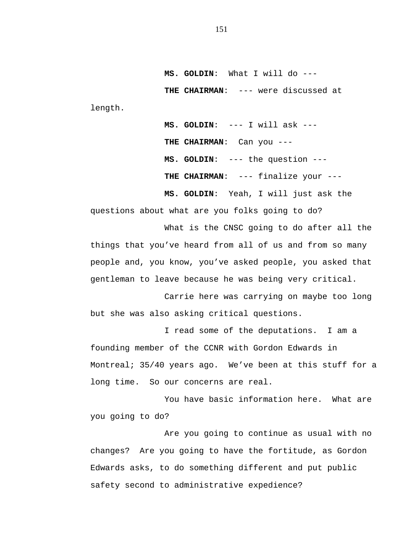**MS. GOLDIN**: What I will do --- **THE CHAIRMAN**: --- were discussed at length.

> **MS. GOLDIN**: --- I will ask --- **THE CHAIRMAN**: Can you --- **MS. GOLDIN**: --- the question --- **THE CHAIRMAN**: --- finalize your ---

**MS. GOLDIN**: Yeah, I will just ask the questions about what are you folks going to do?

What is the CNSC going to do after all the things that you've heard from all of us and from so many people and, you know, you've asked people, you asked that gentleman to leave because he was being very critical.

Carrie here was carrying on maybe too long but she was also asking critical questions.

I read some of the deputations. I am a founding member of the CCNR with Gordon Edwards in Montreal; 35/40 years ago. We've been at this stuff for a long time. So our concerns are real.

You have basic information here. What are you going to do?

Are you going to continue as usual with no changes? Are you going to have the fortitude, as Gordon Edwards asks, to do something different and put public safety second to administrative expedience?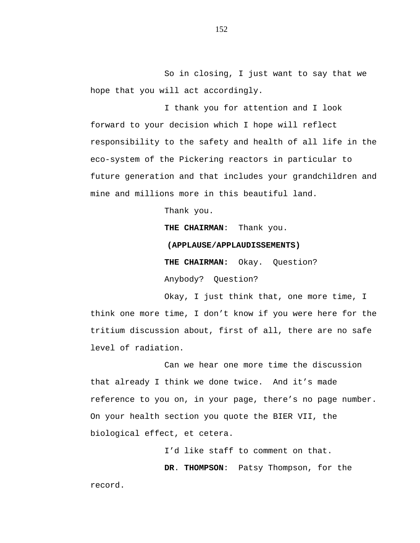So in closing, I just want to say that we hope that you will act accordingly.

I thank you for attention and I look forward to your decision which I hope will reflect responsibility to the safety and health of all life in the eco-system of the Pickering reactors in particular to future generation and that includes your grandchildren and mine and millions more in this beautiful land.

Thank you.

**THE CHAIRMAN**: Thank you.

## **(APPLAUSE/APPLAUDISSEMENTS)**

**THE CHAIRMAN:** Okay. Question?

Anybody? Question?

Okay, I just think that, one more time, I think one more time, I don't know if you were here for the tritium discussion about, first of all, there are no safe level of radiation.

Can we hear one more time the discussion that already I think we done twice. And it's made reference to you on, in your page, there's no page number. On your health section you quote the BIER VII, the biological effect, et cetera.

> I'd like staff to comment on that. **DR**. **THOMPSON**: Patsy Thompson, for the

record.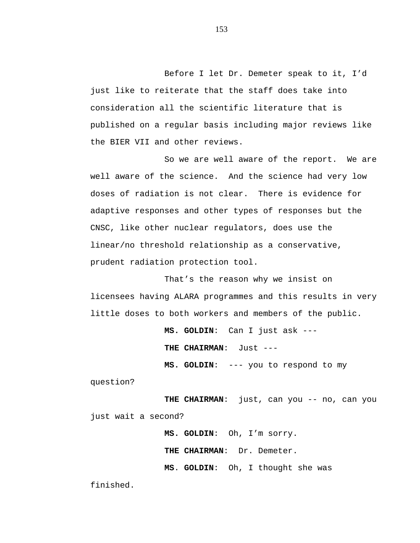Before I let Dr. Demeter speak to it, I'd just like to reiterate that the staff does take into consideration all the scientific literature that is published on a regular basis including major reviews like the BIER VII and other reviews.

So we are well aware of the report. We are well aware of the science. And the science had very low doses of radiation is not clear. There is evidence for adaptive responses and other types of responses but the CNSC, like other nuclear regulators, does use the linear/no threshold relationship as a conservative, prudent radiation protection tool.

That's the reason why we insist on licensees having ALARA programmes and this results in very little doses to both workers and members of the public.

> **MS. GOLDIN**: Can I just ask --- **THE CHAIRMAN**: Just --- **MS. GOLDIN**: --- you to respond to my

question?

**THE CHAIRMAN**: just, can you -- no, can you just wait a second?

> **MS. GOLDIN**: Oh, I'm sorry. **THE CHAIRMAN**: Dr. Demeter. **MS**. **GOLDIN**: Oh, I thought she was

finished.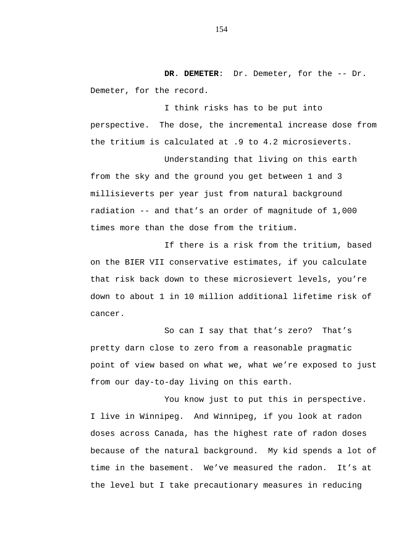**DR**. **DEMETER**: Dr. Demeter, for the -- Dr. Demeter, for the record.

I think risks has to be put into perspective. The dose, the incremental increase dose from the tritium is calculated at .9 to 4.2 microsieverts.

Understanding that living on this earth from the sky and the ground you get between 1 and 3 millisieverts per year just from natural background radiation -- and that's an order of magnitude of 1,000 times more than the dose from the tritium.

If there is a risk from the tritium, based on the BIER VII conservative estimates, if you calculate that risk back down to these microsievert levels, you're down to about 1 in 10 million additional lifetime risk of cancer.

So can I say that that's zero? That's pretty darn close to zero from a reasonable pragmatic point of view based on what we, what we're exposed to just from our day-to-day living on this earth.

You know just to put this in perspective. I live in Winnipeg. And Winnipeg, if you look at radon doses across Canada, has the highest rate of radon doses because of the natural background. My kid spends a lot of time in the basement. We've measured the radon. It's at the level but I take precautionary measures in reducing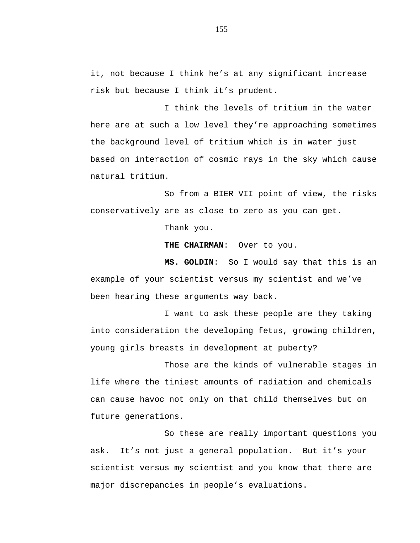it, not because I think he's at any significant increase risk but because I think it's prudent.

I think the levels of tritium in the water here are at such a low level they're approaching sometimes the background level of tritium which is in water just based on interaction of cosmic rays in the sky which cause natural tritium.

So from a BIER VII point of view, the risks conservatively are as close to zero as you can get.

Thank you.

**THE CHAIRMAN**: Over to you.

**MS. GOLDIN**: So I would say that this is an example of your scientist versus my scientist and we've been hearing these arguments way back.

I want to ask these people are they taking into consideration the developing fetus, growing children, young girls breasts in development at puberty?

Those are the kinds of vulnerable stages in life where the tiniest amounts of radiation and chemicals can cause havoc not only on that child themselves but on future generations.

So these are really important questions you ask. It's not just a general population. But it's your scientist versus my scientist and you know that there are major discrepancies in people's evaluations.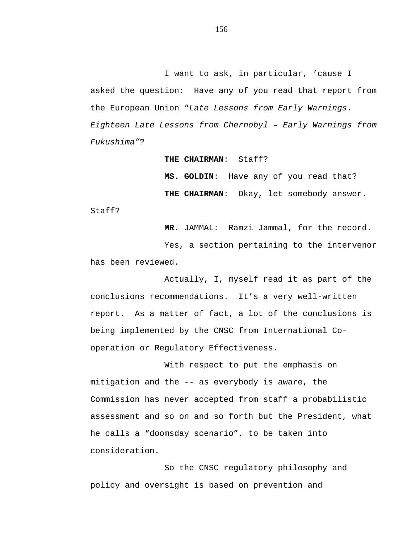I want to ask, in particular, 'cause I asked the question: Have any of you read that report from the European Union "*Late Lessons from Early Warnings. Eighteen Late Lessons from Chernobyl – Early Warnings from Fukushima"*?

#### **THE CHAIRMAN**: Staff?

**MS. GOLDIN**: Have any of you read that? **THE CHAIRMAN**: Okay, let somebody answer.

Staff?

**MR**. JAMMAL: Ramzi Jammal, for the record.

Yes, a section pertaining to the intervenor has been reviewed.

Actually, I, myself read it as part of the conclusions recommendations. It's a very well-written report. As a matter of fact, a lot of the conclusions is being implemented by the CNSC from International Cooperation or Regulatory Effectiveness.

With respect to put the emphasis on mitigation and the -- as everybody is aware, the Commission has never accepted from staff a probabilistic assessment and so on and so forth but the President, what he calls a "doomsday scenario", to be taken into consideration.

So the CNSC regulatory philosophy and policy and oversight is based on prevention and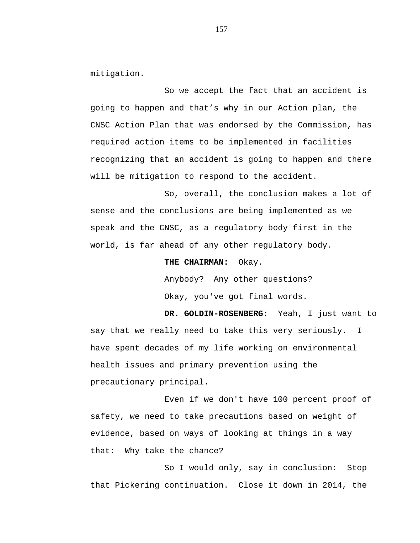mitigation.

So we accept the fact that an accident is going to happen and that's why in our Action plan, the CNSC Action Plan that was endorsed by the Commission, has required action items to be implemented in facilities recognizing that an accident is going to happen and there will be mitigation to respond to the accident.

So, overall, the conclusion makes a lot of sense and the conclusions are being implemented as we speak and the CNSC, as a regulatory body first in the world, is far ahead of any other regulatory body.

**THE CHAIRMAN:** Okay.

Anybody? Any other questions? Okay, you've got final words.

**DR. GOLDIN-ROSENBERG:** Yeah, I just want to say that we really need to take this very seriously. I have spent decades of my life working on environmental health issues and primary prevention using the precautionary principal.

Even if we don't have 100 percent proof of safety, we need to take precautions based on weight of evidence, based on ways of looking at things in a way that: Why take the chance?

So I would only, say in conclusion: Stop that Pickering continuation. Close it down in 2014, the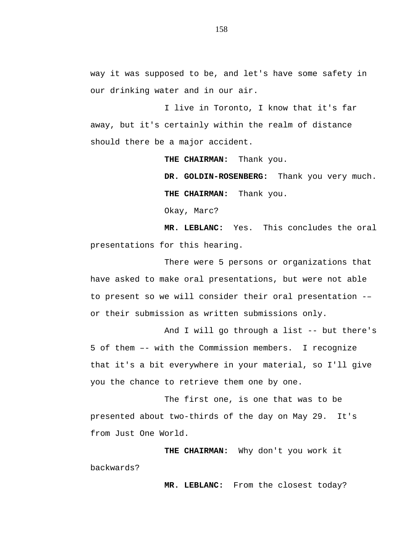way it was supposed to be, and let's have some safety in our drinking water and in our air.

I live in Toronto, I know that it's far away, but it's certainly within the realm of distance should there be a major accident.

> **THE CHAIRMAN:** Thank you. **DR. GOLDIN-ROSENBERG:** Thank you very much. **THE CHAIRMAN:** Thank you.

Okay, Marc?

**MR. LEBLANC:** Yes. This concludes the oral presentations for this hearing.

There were 5 persons or organizations that have asked to make oral presentations, but were not able to present so we will consider their oral presentation -– or their submission as written submissions only.

And I will go through a list -- but there's 5 of them –- with the Commission members. I recognize that it's a bit everywhere in your material, so I'll give you the chance to retrieve them one by one.

The first one, is one that was to be presented about two-thirds of the day on May 29. It's from Just One World.

**THE CHAIRMAN:** Why don't you work it backwards?

**MR. LEBLANC:** From the closest today?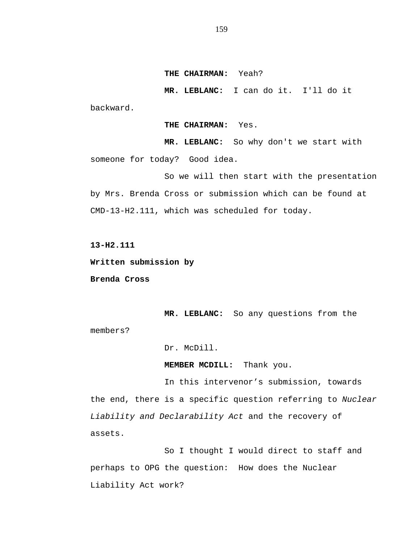**THE CHAIRMAN:** Yeah?

**MR. LEBLANC:** I can do it. I'll do it

backward.

**THE CHAIRMAN:** Yes.

**MR. LEBLANC:** So why don't we start with someone for today? Good idea.

So we will then start with the presentation by Mrs. Brenda Cross or submission which can be found at CMD-13-H2.111, which was scheduled for today.

**13-H2.111**

**Written submission by**

**Brenda Cross**

**MR. LEBLANC:** So any questions from the members?

Dr. McDill.

**MEMBER MCDILL:** Thank you.

In this intervenor's submission, towards the end, there is a specific question referring to *Nuclear Liability and Declarability Act* and the recovery of assets.

So I thought I would direct to staff and perhaps to OPG the question: How does the Nuclear Liability Act work?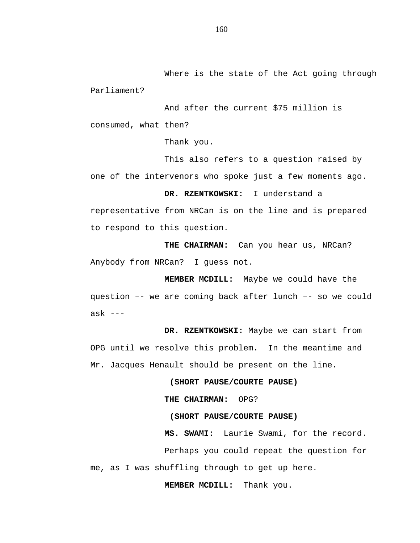Where is the state of the Act going through Parliament?

And after the current \$75 million is consumed, what then?

Thank you.

This also refers to a question raised by one of the intervenors who spoke just a few moments ago.

**DR. RZENTKOWSKI:** I understand a

representative from NRCan is on the line and is prepared to respond to this question.

**THE CHAIRMAN:** Can you hear us, NRCan? Anybody from NRCan? I guess not.

**MEMBER MCDILL:** Maybe we could have the question –- we are coming back after lunch –- so we could ask ---

**DR. RZENTKOWSKI:** Maybe we can start from OPG until we resolve this problem. In the meantime and Mr. Jacques Henault should be present on the line.

**(SHORT PAUSE/COURTE PAUSE)**

**THE CHAIRMAN:** OPG?

**(SHORT PAUSE/COURTE PAUSE)**

**MS. SWAMI:** Laurie Swami, for the record.

Perhaps you could repeat the question for me, as I was shuffling through to get up here.

**MEMBER MCDILL:** Thank you.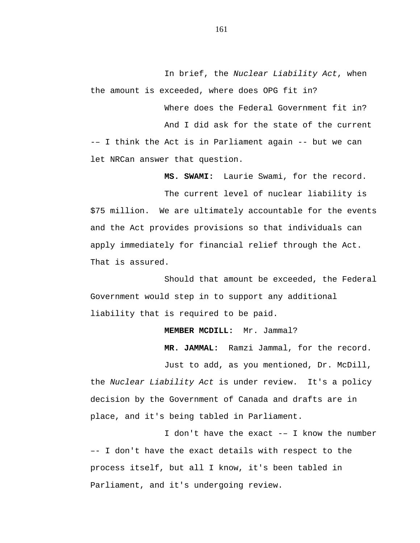In brief, the *Nuclear Liability Act*, when the amount is exceeded, where does OPG fit in?

Where does the Federal Government fit in? And I did ask for the state of the current -– I think the Act is in Parliament again -- but we can let NRCan answer that question.

**MS. SWAMI:** Laurie Swami, for the record.

The current level of nuclear liability is \$75 million. We are ultimately accountable for the events and the Act provides provisions so that individuals can apply immediately for financial relief through the Act. That is assured.

Should that amount be exceeded, the Federal Government would step in to support any additional liability that is required to be paid.

#### **MEMBER MCDILL:** Mr. Jammal?

**MR. JAMMAL:** Ramzi Jammal, for the record.

Just to add, as you mentioned, Dr. McDill, the *Nuclear Liability Act* is under review. It's a policy decision by the Government of Canada and drafts are in place, and it's being tabled in Parliament.

I don't have the exact -– I know the number –- I don't have the exact details with respect to the process itself, but all I know, it's been tabled in Parliament, and it's undergoing review.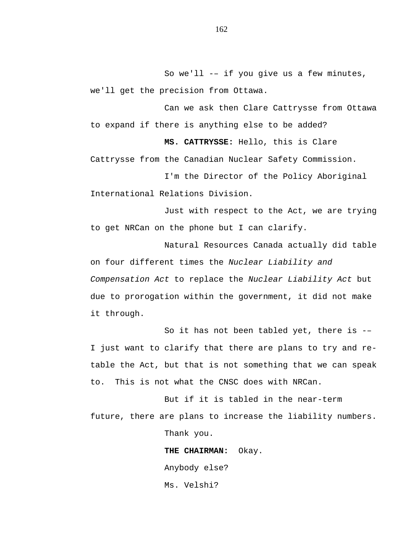So we'll -– if you give us a few minutes, we'll get the precision from Ottawa.

Can we ask then Clare Cattrysse from Ottawa to expand if there is anything else to be added?

**MS. CATTRYSSE:** Hello, this is Clare Cattrysse from the Canadian Nuclear Safety Commission.

I'm the Director of the Policy Aboriginal International Relations Division.

Just with respect to the Act, we are trying to get NRCan on the phone but I can clarify.

Natural Resources Canada actually did table on four different times the *Nuclear Liability and Compensation Act* to replace the *Nuclear Liability Act* but due to prorogation within the government, it did not make it through.

So it has not been tabled yet, there is -– I just want to clarify that there are plans to try and retable the Act, but that is not something that we can speak to. This is not what the CNSC does with NRCan.

But if it is tabled in the near-term future, there are plans to increase the liability numbers. Thank you.

> **THE CHAIRMAN:** Okay. Anybody else? Ms. Velshi?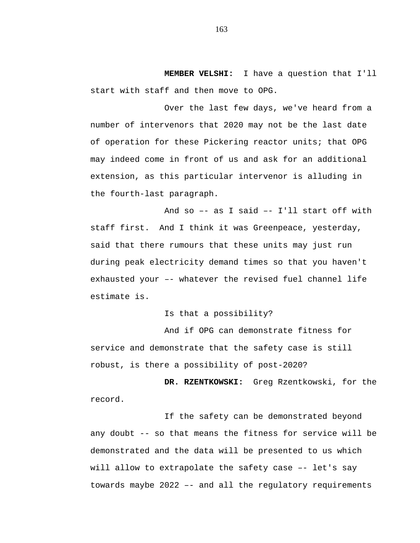**MEMBER VELSHI:** I have a question that I'll start with staff and then move to OPG.

Over the last few days, we've heard from a number of intervenors that 2020 may not be the last date of operation for these Pickering reactor units; that OPG may indeed come in front of us and ask for an additional extension, as this particular intervenor is alluding in the fourth-last paragraph.

And so –- as I said –- I'll start off with staff first. And I think it was Greenpeace, yesterday, said that there rumours that these units may just run during peak electricity demand times so that you haven't exhausted your –- whatever the revised fuel channel life estimate is.

Is that a possibility?

And if OPG can demonstrate fitness for service and demonstrate that the safety case is still robust, is there a possibility of post-2020?

**DR. RZENTKOWSKI:** Greg Rzentkowski, for the record.

If the safety can be demonstrated beyond any doubt -- so that means the fitness for service will be demonstrated and the data will be presented to us which will allow to extrapolate the safety case -- let's say towards maybe 2022 –- and all the regulatory requirements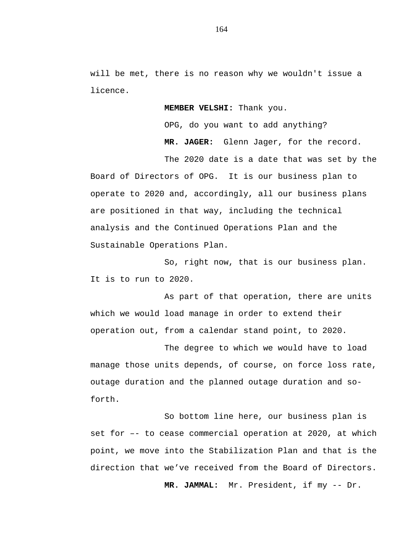will be met, there is no reason why we wouldn't issue a licence.

**MEMBER VELSHI:** Thank you.

OPG, do you want to add anything?

**MR. JAGER:** Glenn Jager, for the record.

The 2020 date is a date that was set by the Board of Directors of OPG. It is our business plan to operate to 2020 and, accordingly, all our business plans are positioned in that way, including the technical analysis and the Continued Operations Plan and the Sustainable Operations Plan.

So, right now, that is our business plan. It is to run to 2020.

As part of that operation, there are units which we would load manage in order to extend their operation out, from a calendar stand point, to 2020.

The degree to which we would have to load manage those units depends, of course, on force loss rate, outage duration and the planned outage duration and soforth.

So bottom line here, our business plan is set for –- to cease commercial operation at 2020, at which point, we move into the Stabilization Plan and that is the direction that we've received from the Board of Directors.

**MR. JAMMAL:** Mr. President, if my -- Dr.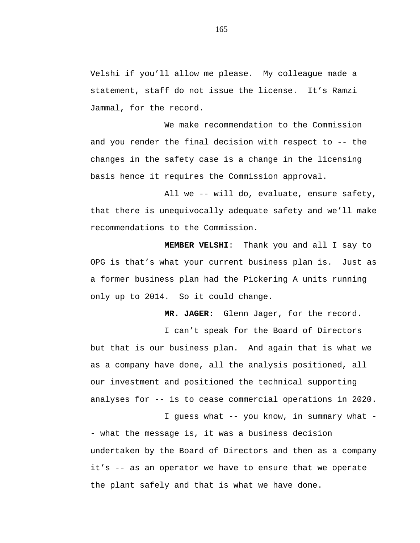Velshi if you'll allow me please. My colleague made a statement, staff do not issue the license. It's Ramzi Jammal, for the record.

We make recommendation to the Commission and you render the final decision with respect to -- the changes in the safety case is a change in the licensing basis hence it requires the Commission approval.

All we -- will do, evaluate, ensure safety, that there is unequivocally adequate safety and we'll make recommendations to the Commission.

**MEMBER VELSHI**: Thank you and all I say to OPG is that's what your current business plan is. Just as a former business plan had the Pickering A units running only up to 2014. So it could change.

**MR. JAGER:** Glenn Jager, for the record.

I can't speak for the Board of Directors but that is our business plan. And again that is what we as a company have done, all the analysis positioned, all our investment and positioned the technical supporting analyses for -- is to cease commercial operations in 2020.

I guess what -- you know, in summary what - - what the message is, it was a business decision undertaken by the Board of Directors and then as a company it's -- as an operator we have to ensure that we operate the plant safely and that is what we have done.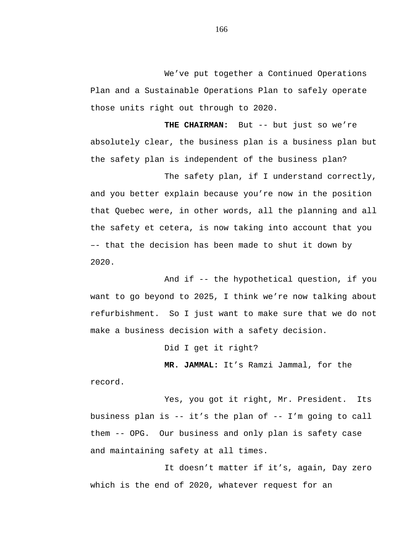We've put together a Continued Operations Plan and a Sustainable Operations Plan to safely operate those units right out through to 2020.

**THE CHAIRMAN:** But -- but just so we're absolutely clear, the business plan is a business plan but the safety plan is independent of the business plan?

The safety plan, if I understand correctly, and you better explain because you're now in the position that Quebec were, in other words, all the planning and all the safety et cetera, is now taking into account that you –- that the decision has been made to shut it down by 2020.

And if -- the hypothetical question, if you want to go beyond to 2025, I think we're now talking about refurbishment. So I just want to make sure that we do not make a business decision with a safety decision.

Did I get it right?

**MR. JAMMAL:** It's Ramzi Jammal, for the

record.

Yes, you got it right, Mr. President. Its business plan is -- it's the plan of -- I'm going to call them -- OPG. Our business and only plan is safety case and maintaining safety at all times.

It doesn't matter if it's, again, Day zero which is the end of 2020, whatever request for an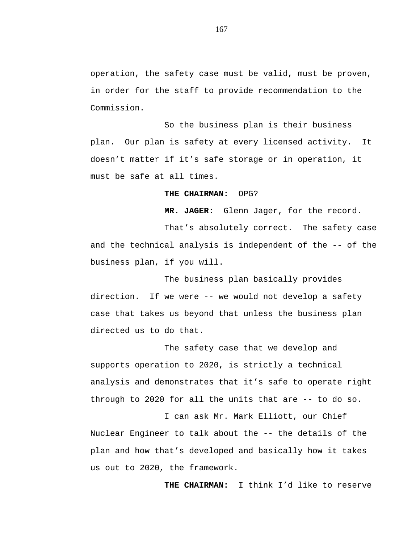operation, the safety case must be valid, must be proven, in order for the staff to provide recommendation to the Commission.

So the business plan is their business plan. Our plan is safety at every licensed activity. It doesn't matter if it's safe storage or in operation, it must be safe at all times.

### **THE CHAIRMAN:** OPG?

**MR. JAGER:** Glenn Jager, for the record.

That's absolutely correct. The safety case and the technical analysis is independent of the -- of the business plan, if you will.

The business plan basically provides direction. If we were -- we would not develop a safety case that takes us beyond that unless the business plan directed us to do that.

The safety case that we develop and supports operation to 2020, is strictly a technical analysis and demonstrates that it's safe to operate right through to 2020 for all the units that are -- to do so.

I can ask Mr. Mark Elliott, our Chief Nuclear Engineer to talk about the -- the details of the plan and how that's developed and basically how it takes us out to 2020, the framework.

**THE CHAIRMAN:** I think I'd like to reserve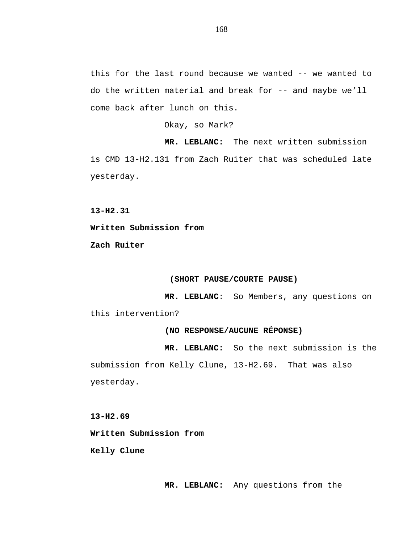this for the last round because we wanted -- we wanted to do the written material and break for -- and maybe we'll come back after lunch on this.

Okay, so Mark?

**MR. LEBLANC:** The next written submission is CMD 13-H2.131 from Zach Ruiter that was scheduled late yesterday.

**13-H2.31**

**Written Submission from**

**Zach Ruiter**

## **(SHORT PAUSE/COURTE PAUSE)**

**MR. LEBLANC**: So Members, any questions on this intervention?

# **(NO RESPONSE/AUCUNE RÉPONSE)**

**MR. LEBLANC:** So the next submission is the submission from Kelly Clune, 13-H2.69. That was also yesterday.

**13-H2.69**

**Written Submission from**

**Kelly Clune**

**MR. LEBLANC:** Any questions from the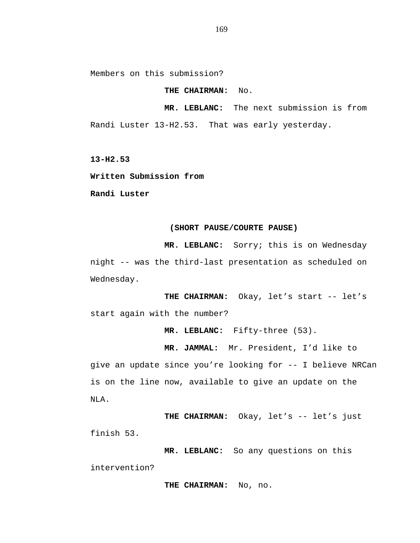Members on this submission?

**THE CHAIRMAN:** No.

**MR. LEBLANC:** The next submission is from Randi Luster 13-H2.53. That was early yesterday.

**13-H2.53**

**Written Submission from**

**Randi Luster**

#### **(SHORT PAUSE/COURTE PAUSE)**

**MR. LEBLANC:** Sorry; this is on Wednesday night -- was the third-last presentation as scheduled on Wednesday.

**THE CHAIRMAN:** Okay, let's start -- let's start again with the number?

**MR. LEBLANC:** Fifty-three (53).

**MR. JAMMAL:** Mr. President, I'd like to

give an update since you're looking for -- I believe NRCan is on the line now, available to give an update on the NLA.

THE CHAIRMAN: Okay, let's -- let's just finish 53.

**MR. LEBLANC:** So any questions on this intervention?

**THE CHAIRMAN:** No, no.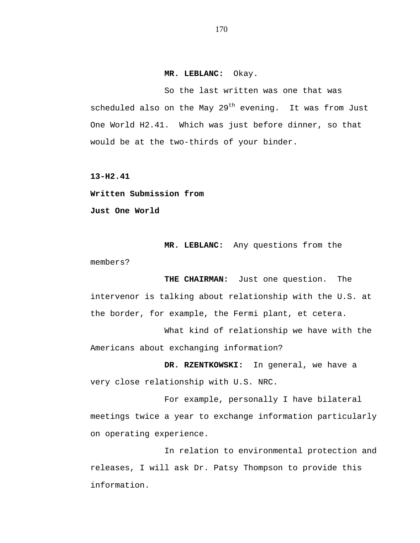## **MR. LEBLANC:** Okay.

So the last written was one that was scheduled also on the May  $29<sup>th</sup>$  evening. It was from Just One World H2.41. Which was just before dinner, so that would be at the two-thirds of your binder.

**13-H2.41**

**Written Submission from Just One World** 

**MR. LEBLANC:** Any questions from the members?

**THE CHAIRMAN:** Just one question. The intervenor is talking about relationship with the U.S. at the border, for example, the Fermi plant, et cetera.

What kind of relationship we have with the Americans about exchanging information?

**DR. RZENTKOWSKI:** In general, we have a very close relationship with U.S. NRC.

For example, personally I have bilateral meetings twice a year to exchange information particularly on operating experience.

In relation to environmental protection and releases, I will ask Dr. Patsy Thompson to provide this information.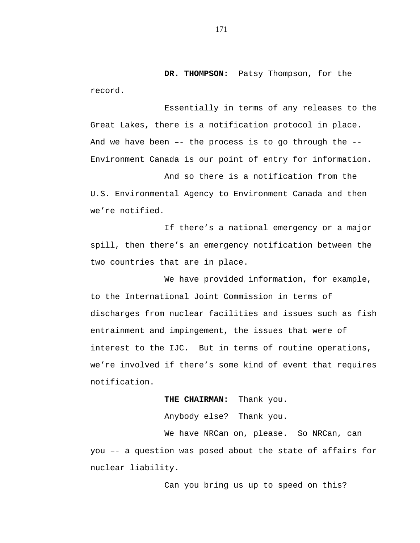**DR. THOMPSON:** Patsy Thompson, for the record.

Essentially in terms of any releases to the Great Lakes, there is a notification protocol in place. And we have been –- the process is to go through the -- Environment Canada is our point of entry for information.

And so there is a notification from the U.S. Environmental Agency to Environment Canada and then we're notified.

If there's a national emergency or a major spill, then there's an emergency notification between the two countries that are in place.

We have provided information, for example, to the International Joint Commission in terms of discharges from nuclear facilities and issues such as fish entrainment and impingement, the issues that were of interest to the IJC. But in terms of routine operations, we're involved if there's some kind of event that requires notification.

**THE CHAIRMAN:** Thank you.

Anybody else? Thank you.

We have NRCan on, please. So NRCan, can you –- a question was posed about the state of affairs for nuclear liability.

Can you bring us up to speed on this?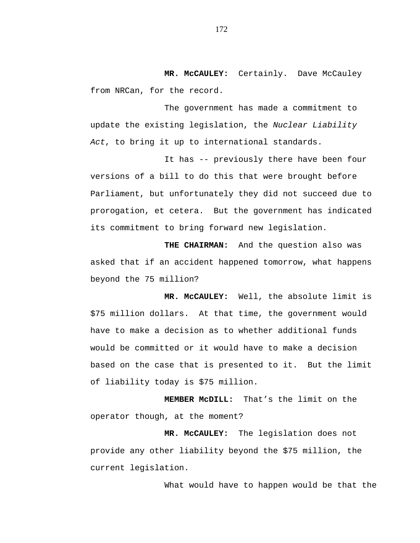**MR. McCAULEY:** Certainly. Dave McCauley from NRCan, for the record.

The government has made a commitment to update the existing legislation, the *Nuclear Liability Act*, to bring it up to international standards.

It has -- previously there have been four versions of a bill to do this that were brought before Parliament, but unfortunately they did not succeed due to prorogation, et cetera. But the government has indicated its commitment to bring forward new legislation.

**THE CHAIRMAN:** And the question also was asked that if an accident happened tomorrow, what happens beyond the 75 million?

**MR. McCAULEY:** Well, the absolute limit is \$75 million dollars. At that time, the government would have to make a decision as to whether additional funds would be committed or it would have to make a decision based on the case that is presented to it. But the limit of liability today is \$75 million.

**MEMBER McDILL:** That's the limit on the operator though, at the moment?

**MR. McCAULEY:** The legislation does not provide any other liability beyond the \$75 million, the current legislation.

What would have to happen would be that the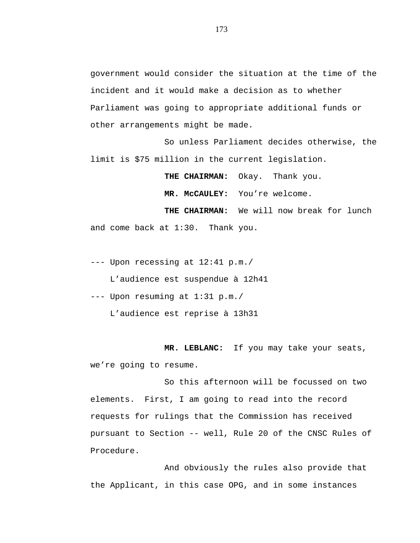government would consider the situation at the time of the incident and it would make a decision as to whether Parliament was going to appropriate additional funds or other arrangements might be made.

So unless Parliament decides otherwise, the limit is \$75 million in the current legislation.

**THE CHAIRMAN:** Okay. Thank you.

**MR. McCAULEY:** You're welcome.

**THE CHAIRMAN:** We will now break for lunch and come back at 1:30. Thank you.

--- Upon recessing at 12:41 p.m./

L'audience est suspendue à 12h41

--- Upon resuming at 1:31 p.m./

L'audience est reprise à 13h31

**MR. LEBLANC:** If you may take your seats, we're going to resume.

So this afternoon will be focussed on two elements. First, I am going to read into the record requests for rulings that the Commission has received pursuant to Section -- well, Rule 20 of the CNSC Rules of Procedure.

And obviously the rules also provide that the Applicant, in this case OPG, and in some instances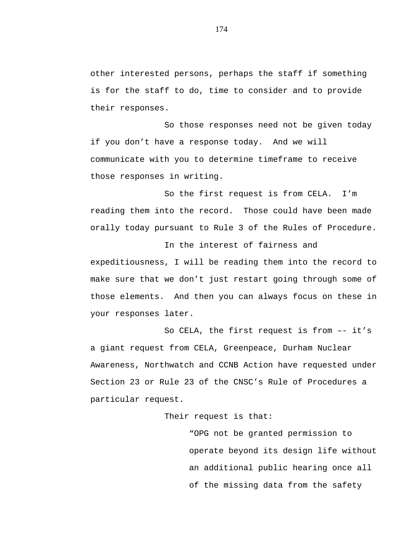other interested persons, perhaps the staff if something is for the staff to do, time to consider and to provide their responses.

So those responses need not be given today if you don't have a response today. And we will communicate with you to determine timeframe to receive those responses in writing.

So the first request is from CELA. I'm reading them into the record. Those could have been made orally today pursuant to Rule 3 of the Rules of Procedure.

In the interest of fairness and expeditiousness, I will be reading them into the record to make sure that we don't just restart going through some of those elements. And then you can always focus on these in your responses later.

So CELA, the first request is from –- it's a giant request from CELA, Greenpeace, Durham Nuclear Awareness, Northwatch and CCNB Action have requested under Section 23 or Rule 23 of the CNSC's Rule of Procedures a particular request.

Their request is that:

"OPG not be granted permission to operate beyond its design life without an additional public hearing once all of the missing data from the safety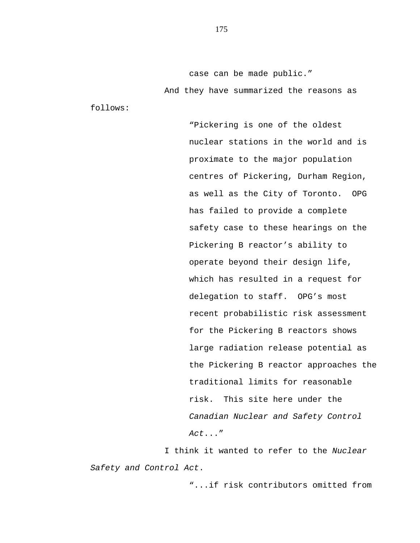case can be made public." And they have summarized the reasons as

follows:

"Pickering is one of the oldest nuclear stations in the world and is proximate to the major population centres of Pickering, Durham Region, as well as the City of Toronto. OPG has failed to provide a complete safety case to these hearings on the Pickering B reactor's ability to operate beyond their design life, which has resulted in a request for delegation to staff. OPG's most recent probabilistic risk assessment for the Pickering B reactors shows large radiation release potential as the Pickering B reactor approaches the traditional limits for reasonable risk. This site here under the *Canadian Nuclear and Safety Control Act*..."

I think it wanted to refer to the *Nuclear Safety and Control Act*.

"...if risk contributors omitted from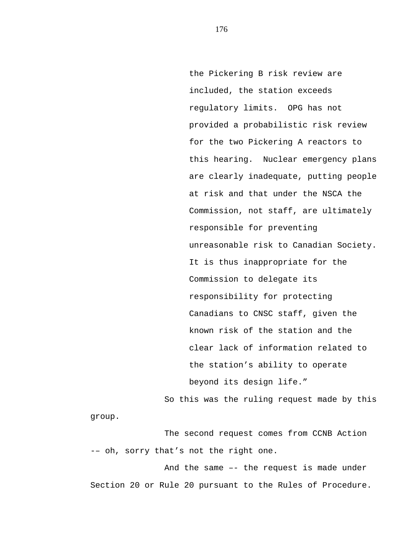the Pickering B risk review are included, the station exceeds regulatory limits. OPG has not provided a probabilistic risk review for the two Pickering A reactors to this hearing. Nuclear emergency plans are clearly inadequate, putting people at risk and that under the NSCA the Commission, not staff, are ultimately responsible for preventing unreasonable risk to Canadian Society. It is thus inappropriate for the Commission to delegate its responsibility for protecting Canadians to CNSC staff, given the known risk of the station and the clear lack of information related to the station's ability to operate beyond its design life."

So this was the ruling request made by this

group.

The second request comes from CCNB Action -– oh, sorry that's not the right one.

And the same –- the request is made under Section 20 or Rule 20 pursuant to the Rules of Procedure.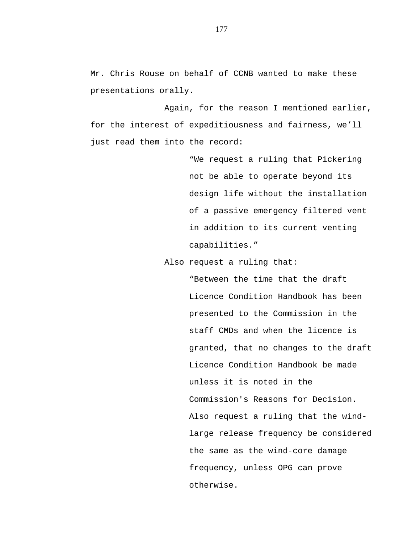Mr. Chris Rouse on behalf of CCNB wanted to make these presentations orally.

Again, for the reason I mentioned earlier, for the interest of expeditiousness and fairness, we'll just read them into the record:

> "We request a ruling that Pickering not be able to operate beyond its design life without the installation of a passive emergency filtered vent in addition to its current venting capabilities."

Also request a ruling that:

"Between the time that the draft Licence Condition Handbook has been presented to the Commission in the staff CMDs and when the licence is granted, that no changes to the draft Licence Condition Handbook be made unless it is noted in the Commission's Reasons for Decision. Also request a ruling that the windlarge release frequency be considered the same as the wind-core damage frequency, unless OPG can prove otherwise.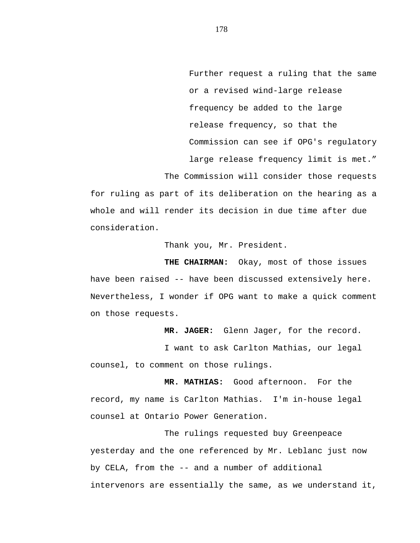Further request a ruling that the same or a revised wind-large release frequency be added to the large release frequency, so that the Commission can see if OPG's regulatory large release frequency limit is met." The Commission will consider those requests

for ruling as part of its deliberation on the hearing as a whole and will render its decision in due time after due consideration.

Thank you, Mr. President.

**THE CHAIRMAN:** Okay, most of those issues have been raised -- have been discussed extensively here. Nevertheless, I wonder if OPG want to make a quick comment on those requests.

**MR. JAGER:** Glenn Jager, for the record.

I want to ask Carlton Mathias, our legal counsel, to comment on those rulings.

**MR. MATHIAS:** Good afternoon. For the record, my name is Carlton Mathias. I'm in-house legal counsel at Ontario Power Generation.

The rulings requested buy Greenpeace yesterday and the one referenced by Mr. Leblanc just now by CELA, from the -- and a number of additional intervenors are essentially the same, as we understand it,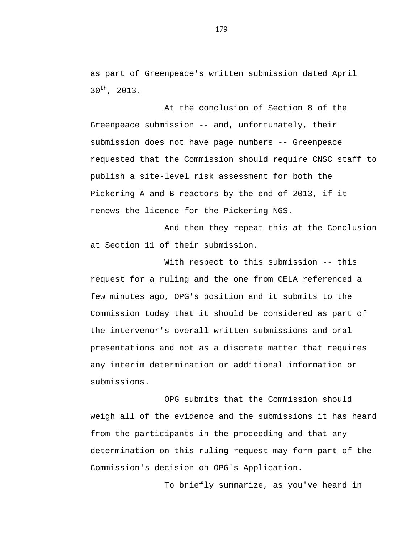as part of Greenpeace's written submission dated April 30th, 2013.

At the conclusion of Section 8 of the Greenpeace submission -- and, unfortunately, their submission does not have page numbers -- Greenpeace requested that the Commission should require CNSC staff to publish a site-level risk assessment for both the Pickering A and B reactors by the end of 2013, if it renews the licence for the Pickering NGS.

And then they repeat this at the Conclusion at Section 11 of their submission.

With respect to this submission -- this request for a ruling and the one from CELA referenced a few minutes ago, OPG's position and it submits to the Commission today that it should be considered as part of the intervenor's overall written submissions and oral presentations and not as a discrete matter that requires any interim determination or additional information or submissions.

OPG submits that the Commission should weigh all of the evidence and the submissions it has heard from the participants in the proceeding and that any determination on this ruling request may form part of the Commission's decision on OPG's Application.

To briefly summarize, as you've heard in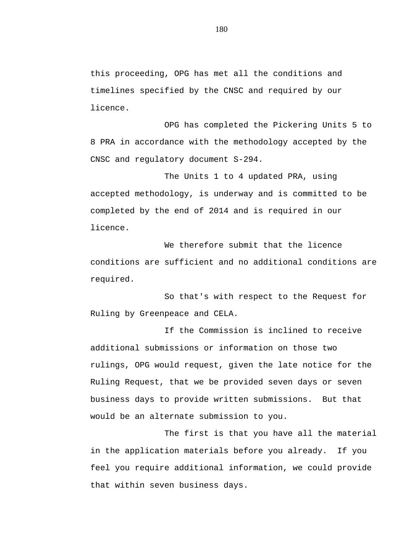this proceeding, OPG has met all the conditions and timelines specified by the CNSC and required by our licence.

OPG has completed the Pickering Units 5 to 8 PRA in accordance with the methodology accepted by the CNSC and regulatory document S-294.

The Units 1 to 4 updated PRA, using accepted methodology, is underway and is committed to be completed by the end of 2014 and is required in our licence.

We therefore submit that the licence conditions are sufficient and no additional conditions are required.

So that's with respect to the Request for Ruling by Greenpeace and CELA.

If the Commission is inclined to receive additional submissions or information on those two rulings, OPG would request, given the late notice for the Ruling Request, that we be provided seven days or seven business days to provide written submissions. But that would be an alternate submission to you.

The first is that you have all the material in the application materials before you already. If you feel you require additional information, we could provide that within seven business days.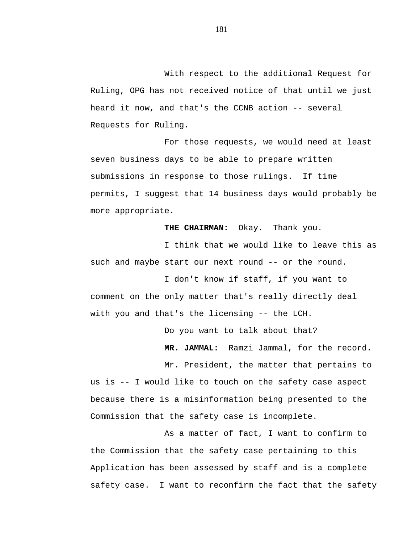With respect to the additional Request for Ruling, OPG has not received notice of that until we just heard it now, and that's the CCNB action -- several Requests for Ruling.

For those requests, we would need at least seven business days to be able to prepare written submissions in response to those rulings. If time permits, I suggest that 14 business days would probably be more appropriate.

**THE CHAIRMAN:** Okay. Thank you.

I think that we would like to leave this as such and maybe start our next round -- or the round.

I don't know if staff, if you want to comment on the only matter that's really directly deal with you and that's the licensing -- the LCH.

Do you want to talk about that?

**MR. JAMMAL:** Ramzi Jammal, for the record.

Mr. President, the matter that pertains to us is -- I would like to touch on the safety case aspect because there is a misinformation being presented to the Commission that the safety case is incomplete.

As a matter of fact, I want to confirm to the Commission that the safety case pertaining to this Application has been assessed by staff and is a complete safety case. I want to reconfirm the fact that the safety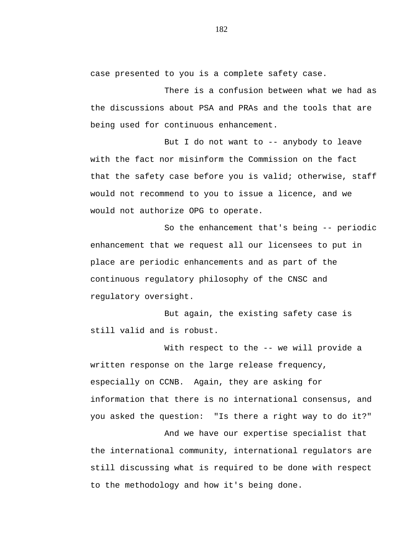case presented to you is a complete safety case.

There is a confusion between what we had as the discussions about PSA and PRAs and the tools that are being used for continuous enhancement.

But I do not want to -- anybody to leave with the fact nor misinform the Commission on the fact that the safety case before you is valid; otherwise, staff would not recommend to you to issue a licence, and we would not authorize OPG to operate.

So the enhancement that's being -- periodic enhancement that we request all our licensees to put in place are periodic enhancements and as part of the continuous regulatory philosophy of the CNSC and regulatory oversight.

But again, the existing safety case is still valid and is robust.

With respect to the -- we will provide a written response on the large release frequency, especially on CCNB. Again, they are asking for information that there is no international consensus, and you asked the question: "Is there a right way to do it?"

And we have our expertise specialist that the international community, international regulators are still discussing what is required to be done with respect to the methodology and how it's being done.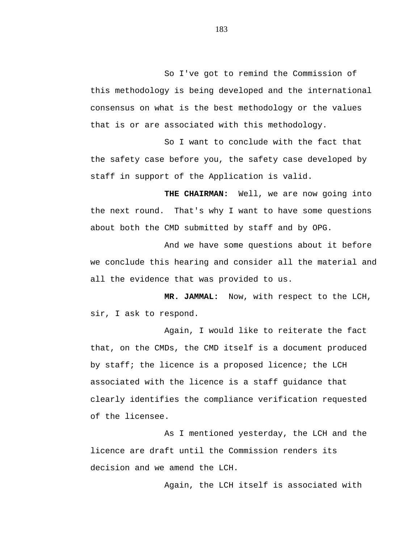So I've got to remind the Commission of this methodology is being developed and the international consensus on what is the best methodology or the values that is or are associated with this methodology.

So I want to conclude with the fact that the safety case before you, the safety case developed by staff in support of the Application is valid.

**THE CHAIRMAN:** Well, we are now going into the next round. That's why I want to have some questions about both the CMD submitted by staff and by OPG.

And we have some questions about it before we conclude this hearing and consider all the material and all the evidence that was provided to us.

**MR. JAMMAL:** Now, with respect to the LCH, sir, I ask to respond.

Again, I would like to reiterate the fact that, on the CMDs, the CMD itself is a document produced by staff; the licence is a proposed licence; the LCH associated with the licence is a staff guidance that clearly identifies the compliance verification requested of the licensee.

As I mentioned yesterday, the LCH and the licence are draft until the Commission renders its decision and we amend the LCH.

Again, the LCH itself is associated with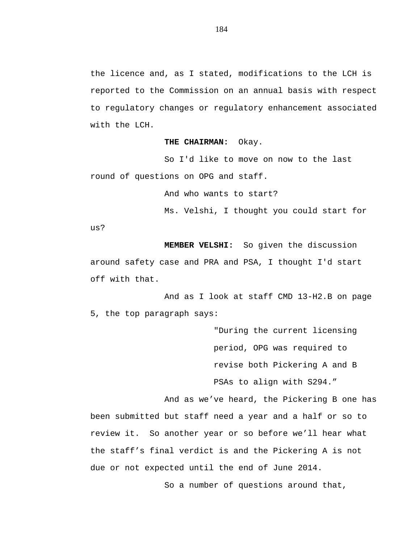the licence and, as I stated, modifications to the LCH is reported to the Commission on an annual basis with respect to regulatory changes or regulatory enhancement associated with the LCH.

### **THE CHAIRMAN:** Okay.

So I'd like to move on now to the last round of questions on OPG and staff.

And who wants to start?

Ms. Velshi, I thought you could start for

us?

**MEMBER VELSHI:** So given the discussion around safety case and PRA and PSA, I thought I'd start off with that.

And as I look at staff CMD 13-H2.B on page 5, the top paragraph says:

> "During the current licensing period, OPG was required to revise both Pickering A and B PSAs to align with S294."

And as we've heard, the Pickering B one has been submitted but staff need a year and a half or so to review it. So another year or so before we'll hear what the staff's final verdict is and the Pickering A is not due or not expected until the end of June 2014.

So a number of questions around that,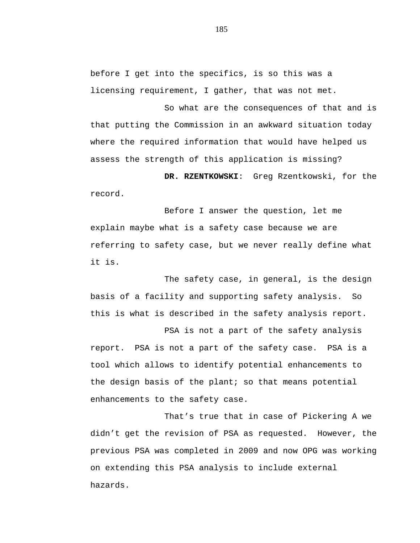before I get into the specifics, is so this was a licensing requirement, I gather, that was not met.

So what are the consequences of that and is that putting the Commission in an awkward situation today where the required information that would have helped us assess the strength of this application is missing?

**DR. RZENTKOWSKI**: Greg Rzentkowski, for the record.

Before I answer the question, let me explain maybe what is a safety case because we are referring to safety case, but we never really define what it is.

The safety case, in general, is the design basis of a facility and supporting safety analysis. So this is what is described in the safety analysis report.

PSA is not a part of the safety analysis report. PSA is not a part of the safety case. PSA is a tool which allows to identify potential enhancements to the design basis of the plant; so that means potential enhancements to the safety case.

That's true that in case of Pickering A we didn't get the revision of PSA as requested. However, the previous PSA was completed in 2009 and now OPG was working on extending this PSA analysis to include external hazards.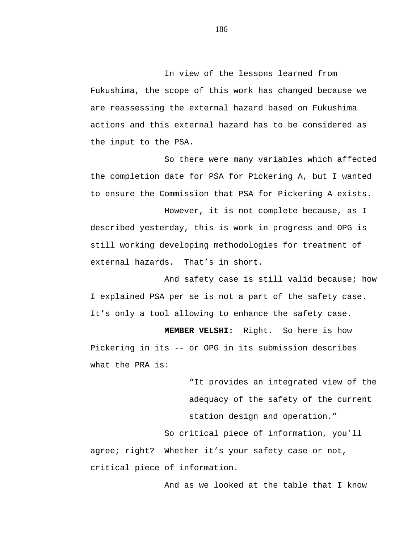In view of the lessons learned from Fukushima, the scope of this work has changed because we are reassessing the external hazard based on Fukushima actions and this external hazard has to be considered as the input to the PSA.

So there were many variables which affected the completion date for PSA for Pickering A, but I wanted to ensure the Commission that PSA for Pickering A exists.

However, it is not complete because, as I described yesterday, this is work in progress and OPG is still working developing methodologies for treatment of external hazards. That's in short.

And safety case is still valid because; how I explained PSA per se is not a part of the safety case. It's only a tool allowing to enhance the safety case.

**MEMBER VELSHI:** Right. So here is how Pickering in its -- or OPG in its submission describes what the PRA is:

> "It provides an integrated view of the adequacy of the safety of the current station design and operation."

So critical piece of information, you'll agree; right? Whether it's your safety case or not, critical piece of information.

And as we looked at the table that I know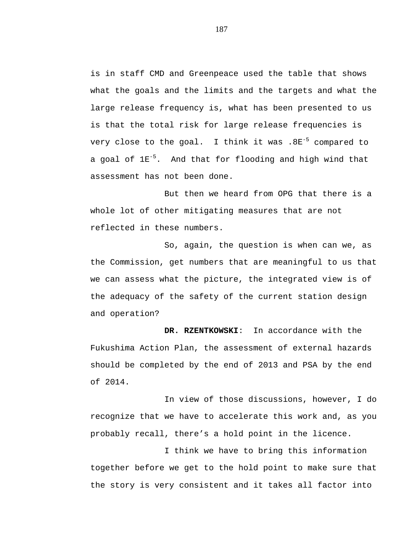is in staff CMD and Greenpeace used the table that shows what the goals and the limits and the targets and what the large release frequency is, what has been presented to us is that the total risk for large release frequencies is very close to the goal. I think it was .8E<sup>-5</sup> compared to a goal of  $1E^{-5}$ . And that for flooding and high wind that assessment has not been done.

But then we heard from OPG that there is a whole lot of other mitigating measures that are not reflected in these numbers.

So, again, the question is when can we, as the Commission, get numbers that are meaningful to us that we can assess what the picture, the integrated view is of the adequacy of the safety of the current station design and operation?

**DR. RZENTKOWSKI**: In accordance with the Fukushima Action Plan, the assessment of external hazards should be completed by the end of 2013 and PSA by the end of 2014.

In view of those discussions, however, I do recognize that we have to accelerate this work and, as you probably recall, there's a hold point in the licence.

I think we have to bring this information together before we get to the hold point to make sure that the story is very consistent and it takes all factor into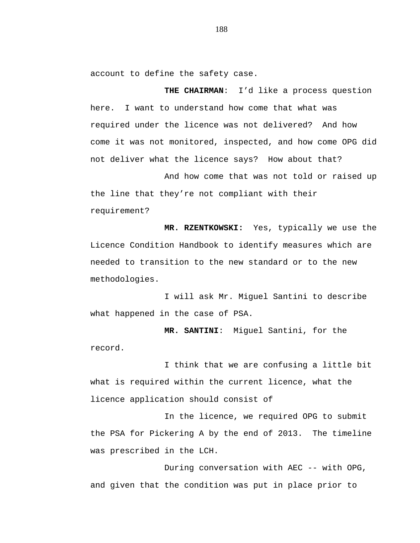account to define the safety case.

**THE CHAIRMAN**: I'd like a process question here. I want to understand how come that what was required under the licence was not delivered? And how come it was not monitored, inspected, and how come OPG did not deliver what the licence says? How about that?

And how come that was not told or raised up the line that they're not compliant with their requirement?

**MR. RZENTKOWSKI:** Yes, typically we use the Licence Condition Handbook to identify measures which are needed to transition to the new standard or to the new methodologies.

I will ask Mr. Miguel Santini to describe what happened in the case of PSA.

**MR. SANTINI**: Miguel Santini, for the record.

I think that we are confusing a little bit what is required within the current licence, what the licence application should consist of

In the licence, we required OPG to submit the PSA for Pickering A by the end of 2013. The timeline was prescribed in the LCH.

During conversation with AEC -- with OPG, and given that the condition was put in place prior to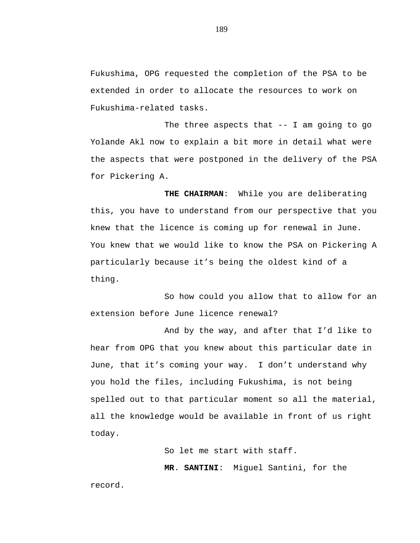Fukushima, OPG requested the completion of the PSA to be extended in order to allocate the resources to work on Fukushima-related tasks.

The three aspects that -- I am going to go Yolande Akl now to explain a bit more in detail what were the aspects that were postponed in the delivery of the PSA for Pickering A.

**THE CHAIRMAN**: While you are deliberating this, you have to understand from our perspective that you knew that the licence is coming up for renewal in June. You knew that we would like to know the PSA on Pickering A particularly because it's being the oldest kind of a thing.

So how could you allow that to allow for an extension before June licence renewal?

And by the way, and after that I'd like to hear from OPG that you knew about this particular date in June, that it's coming your way. I don't understand why you hold the files, including Fukushima, is not being spelled out to that particular moment so all the material, all the knowledge would be available in front of us right today.

So let me start with staff.

**MR**. **SANTINI**: Miguel Santini, for the

record.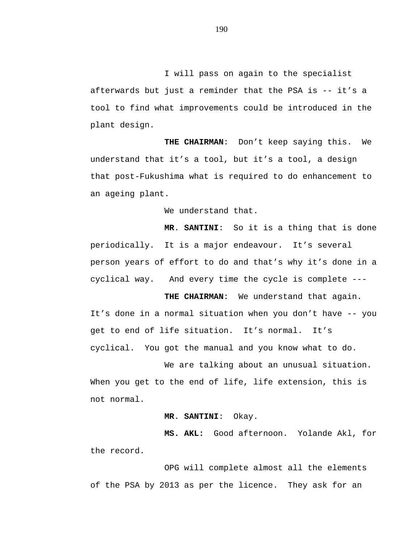I will pass on again to the specialist afterwards but just a reminder that the PSA is -- it's a tool to find what improvements could be introduced in the plant design.

**THE CHAIRMAN**: Don't keep saying this. We understand that it's a tool, but it's a tool, a design that post-Fukushima what is required to do enhancement to an ageing plant.

We understand that.

**MR**. **SANTINI**: So it is a thing that is done periodically. It is a major endeavour. It's several person years of effort to do and that's why it's done in a cyclical way. And every time the cycle is complete ---

**THE CHAIRMAN**: We understand that again. It's done in a normal situation when you don't have -- you get to end of life situation. It's normal. It's cyclical. You got the manual and you know what to do.

We are talking about an unusual situation. When you get to the end of life, life extension, this is not normal.

## **MR**. **SANTINI**: Okay.

**MS. AKL:** Good afternoon. Yolande Akl, for the record.

OPG will complete almost all the elements of the PSA by 2013 as per the licence. They ask for an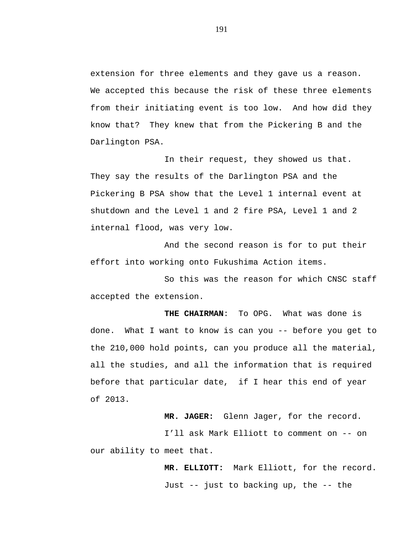extension for three elements and they gave us a reason. We accepted this because the risk of these three elements from their initiating event is too low. And how did they know that? They knew that from the Pickering B and the Darlington PSA.

In their request, they showed us that. They say the results of the Darlington PSA and the Pickering B PSA show that the Level 1 internal event at shutdown and the Level 1 and 2 fire PSA, Level 1 and 2 internal flood, was very low.

And the second reason is for to put their effort into working onto Fukushima Action items.

So this was the reason for which CNSC staff accepted the extension.

**THE CHAIRMAN**: To OPG. What was done is done. What I want to know is can you -- before you get to the 210,000 hold points, can you produce all the material, all the studies, and all the information that is required before that particular date, if I hear this end of year of 2013.

**MR. JAGER:** Glenn Jager, for the record. I'll ask Mark Elliott to comment on -- on our ability to meet that.

> **MR. ELLIOTT:** Mark Elliott, for the record. Just -- just to backing up, the -- the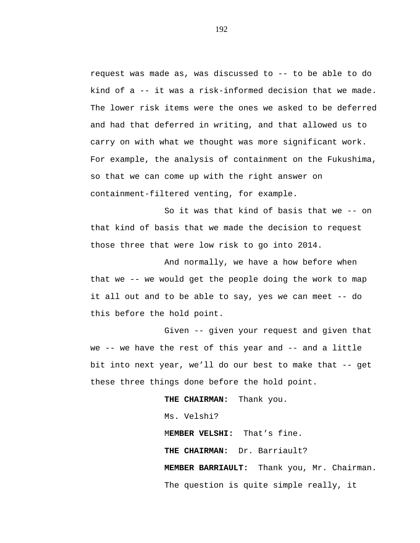request was made as, was discussed to -- to be able to do kind of a -- it was a risk-informed decision that we made. The lower risk items were the ones we asked to be deferred and had that deferred in writing, and that allowed us to carry on with what we thought was more significant work. For example, the analysis of containment on the Fukushima, so that we can come up with the right answer on containment-filtered venting, for example.

So it was that kind of basis that we -- on that kind of basis that we made the decision to request those three that were low risk to go into 2014.

And normally, we have a how before when that we -- we would get the people doing the work to map it all out and to be able to say, yes we can meet -- do this before the hold point.

Given -- given your request and given that we -- we have the rest of this year and -- and a little bit into next year, we'll do our best to make that -- get these three things done before the hold point.

> **THE CHAIRMAN:** Thank you. Ms. Velshi? M**EMBER VELSHI:** That's fine. **THE CHAIRMAN:** Dr. Barriault? **MEMBER BARRIAULT:** Thank you, Mr. Chairman. The question is quite simple really, it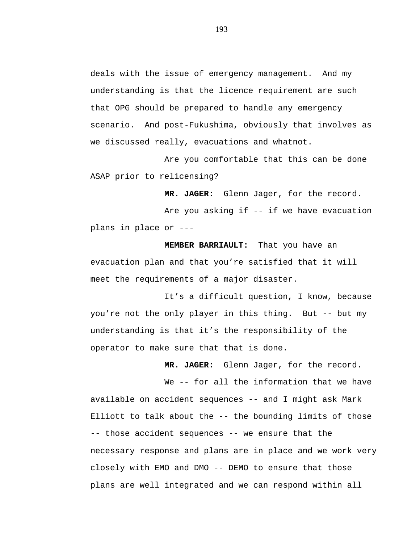deals with the issue of emergency management. And my understanding is that the licence requirement are such that OPG should be prepared to handle any emergency scenario. And post-Fukushima, obviously that involves as we discussed really, evacuations and whatnot.

Are you comfortable that this can be done ASAP prior to relicensing?

**MR. JAGER:** Glenn Jager, for the record.

Are you asking if -- if we have evacuation plans in place or ---

**MEMBER BARRIAULT:** That you have an evacuation plan and that you're satisfied that it will meet the requirements of a major disaster.

It's a difficult question, I know, because you're not the only player in this thing. But -- but my understanding is that it's the responsibility of the operator to make sure that that is done.

**MR. JAGER:** Glenn Jager, for the record.

We -- for all the information that we have available on accident sequences -- and I might ask Mark Elliott to talk about the -- the bounding limits of those -- those accident sequences -- we ensure that the necessary response and plans are in place and we work very closely with EMO and DMO -- DEMO to ensure that those plans are well integrated and we can respond within all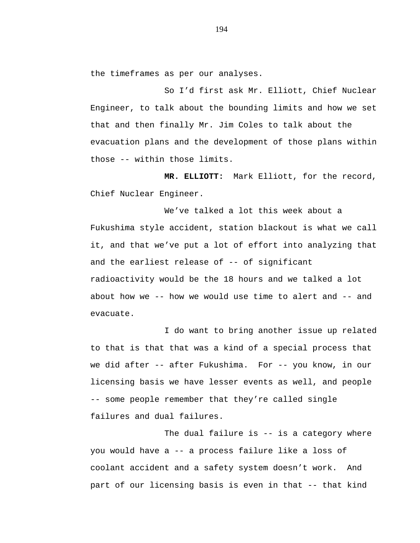the timeframes as per our analyses.

So I'd first ask Mr. Elliott, Chief Nuclear Engineer, to talk about the bounding limits and how we set that and then finally Mr. Jim Coles to talk about the evacuation plans and the development of those plans within those -- within those limits.

**MR. ELLIOTT:** Mark Elliott, for the record, Chief Nuclear Engineer.

We've talked a lot this week about a Fukushima style accident, station blackout is what we call it, and that we've put a lot of effort into analyzing that and the earliest release of -- of significant radioactivity would be the 18 hours and we talked a lot about how we  $-$ - how we would use time to alert and  $-$ - and evacuate.

I do want to bring another issue up related to that is that that was a kind of a special process that we did after -- after Fukushima. For -- you know, in our licensing basis we have lesser events as well, and people -- some people remember that they're called single failures and dual failures.

The dual failure is -- is a category where you would have a -- a process failure like a loss of coolant accident and a safety system doesn't work. And part of our licensing basis is even in that -- that kind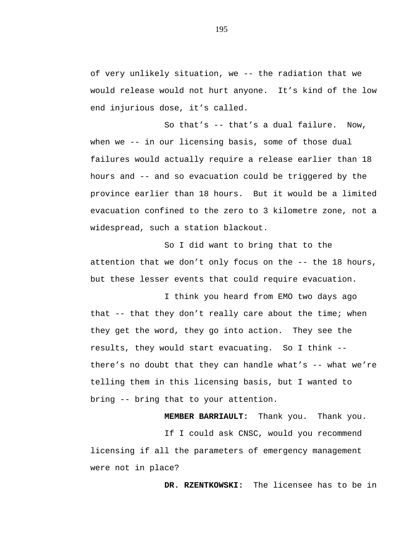of very unlikely situation, we -- the radiation that we would release would not hurt anyone. It's kind of the low end injurious dose, it's called.

So that's -- that's a dual failure. Now, when we -- in our licensing basis, some of those dual failures would actually require a release earlier than 18 hours and -- and so evacuation could be triggered by the province earlier than 18 hours. But it would be a limited evacuation confined to the zero to 3 kilometre zone, not a widespread, such a station blackout.

So I did want to bring that to the attention that we don't only focus on the -- the 18 hours, but these lesser events that could require evacuation.

I think you heard from EMO two days ago that -- that they don't really care about the time; when they get the word, they go into action. They see the results, they would start evacuating. So I think - there's no doubt that they can handle what's  $-$ - what we're telling them in this licensing basis, but I wanted to bring -- bring that to your attention.

**MEMBER BARRIAULT:** Thank you. Thank you.

If I could ask CNSC, would you recommend licensing if all the parameters of emergency management were not in place?

**DR. RZENTKOWSKI:** The licensee has to be in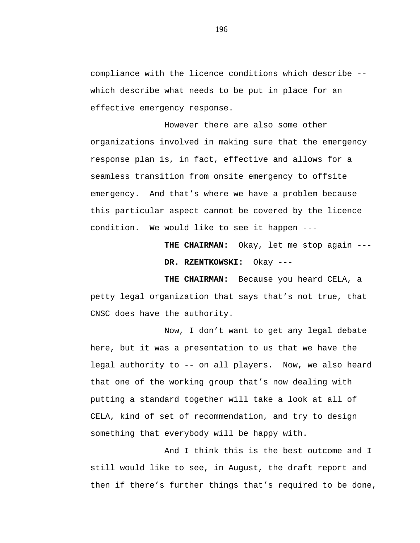compliance with the licence conditions which describe - which describe what needs to be put in place for an effective emergency response.

However there are also some other organizations involved in making sure that the emergency response plan is, in fact, effective and allows for a seamless transition from onsite emergency to offsite emergency. And that's where we have a problem because this particular aspect cannot be covered by the licence condition. We would like to see it happen ---

> **THE CHAIRMAN:** Okay, let me stop again --- **DR. RZENTKOWSKI:** Okay ---

**THE CHAIRMAN:** Because you heard CELA, a petty legal organization that says that's not true, that CNSC does have the authority.

Now, I don't want to get any legal debate here, but it was a presentation to us that we have the legal authority to -- on all players. Now, we also heard that one of the working group that's now dealing with putting a standard together will take a look at all of CELA, kind of set of recommendation, and try to design something that everybody will be happy with.

And I think this is the best outcome and I still would like to see, in August, the draft report and then if there's further things that's required to be done,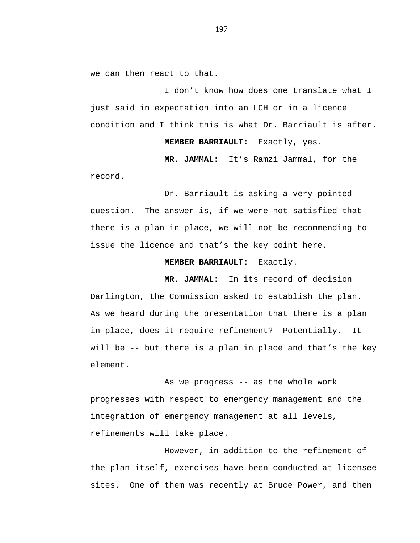we can then react to that.

I don't know how does one translate what I just said in expectation into an LCH or in a licence condition and I think this is what Dr. Barriault is after.

**MEMBER BARRIAULT:** Exactly, yes.

**MR. JAMMAL:** It's Ramzi Jammal, for the

record.

Dr. Barriault is asking a very pointed question. The answer is, if we were not satisfied that there is a plan in place, we will not be recommending to issue the licence and that's the key point here.

# **MEMBER BARRIAULT:** Exactly.

**MR. JAMMAL:** In its record of decision Darlington, the Commission asked to establish the plan. As we heard during the presentation that there is a plan in place, does it require refinement? Potentially. It will be -- but there is a plan in place and that's the key element.

As we progress -- as the whole work progresses with respect to emergency management and the integration of emergency management at all levels, refinements will take place.

However, in addition to the refinement of the plan itself, exercises have been conducted at licensee sites. One of them was recently at Bruce Power, and then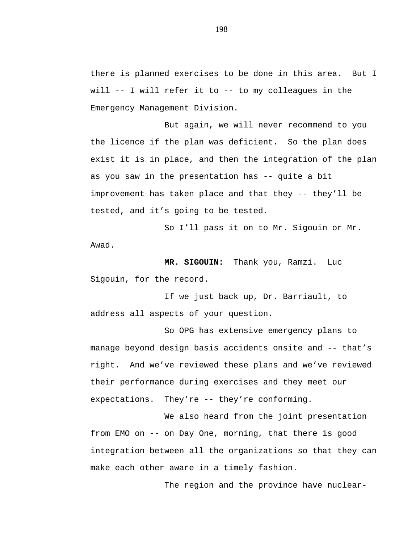there is planned exercises to be done in this area. But I will  $-$  I will refer it to  $-$  to my colleagues in the Emergency Management Division.

But again, we will never recommend to you the licence if the plan was deficient. So the plan does exist it is in place, and then the integration of the plan as you saw in the presentation has -- quite a bit improvement has taken place and that they -- they'll be tested, and it's going to be tested.

So I'll pass it on to Mr. Sigouin or Mr. Awad.

**MR. SIGOUIN:** Thank you, Ramzi. Luc Sigouin, for the record.

If we just back up, Dr. Barriault, to address all aspects of your question.

So OPG has extensive emergency plans to manage beyond design basis accidents onsite and -- that's right. And we've reviewed these plans and we've reviewed their performance during exercises and they meet our expectations. They're -- they're conforming.

We also heard from the joint presentation from EMO on -- on Day One, morning, that there is good integration between all the organizations so that they can make each other aware in a timely fashion.

The region and the province have nuclear-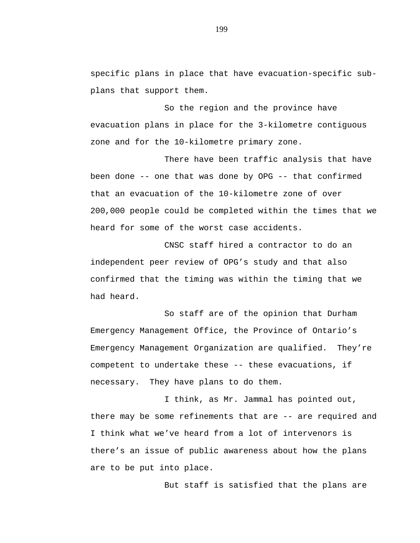specific plans in place that have evacuation-specific subplans that support them.

So the region and the province have evacuation plans in place for the 3-kilometre contiguous zone and for the 10-kilometre primary zone.

There have been traffic analysis that have been done -- one that was done by OPG -- that confirmed that an evacuation of the 10-kilometre zone of over 200,000 people could be completed within the times that we heard for some of the worst case accidents.

CNSC staff hired a contractor to do an independent peer review of OPG's study and that also confirmed that the timing was within the timing that we had heard.

So staff are of the opinion that Durham Emergency Management Office, the Province of Ontario's Emergency Management Organization are qualified. They're competent to undertake these -- these evacuations, if necessary. They have plans to do them.

I think, as Mr. Jammal has pointed out, there may be some refinements that are -- are required and I think what we've heard from a lot of intervenors is there's an issue of public awareness about how the plans are to be put into place.

But staff is satisfied that the plans are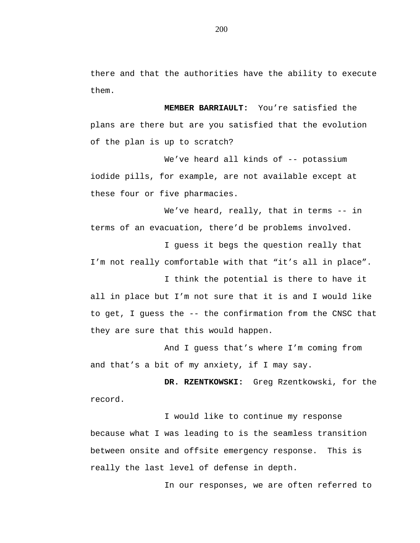there and that the authorities have the ability to execute them.

**MEMBER BARRIAULT:** You're satisfied the plans are there but are you satisfied that the evolution of the plan is up to scratch?

We've heard all kinds of -- potassium iodide pills, for example, are not available except at these four or five pharmacies.

We've heard, really, that in terms -- in terms of an evacuation, there'd be problems involved.

I guess it begs the question really that I'm not really comfortable with that "it's all in place".

I think the potential is there to have it all in place but I'm not sure that it is and I would like to get, I guess the -- the confirmation from the CNSC that they are sure that this would happen.

And I guess that's where I'm coming from and that's a bit of my anxiety, if I may say.

**DR. RZENTKOWSKI:** Greg Rzentkowski, for the record.

I would like to continue my response because what I was leading to is the seamless transition between onsite and offsite emergency response. This is really the last level of defense in depth.

In our responses, we are often referred to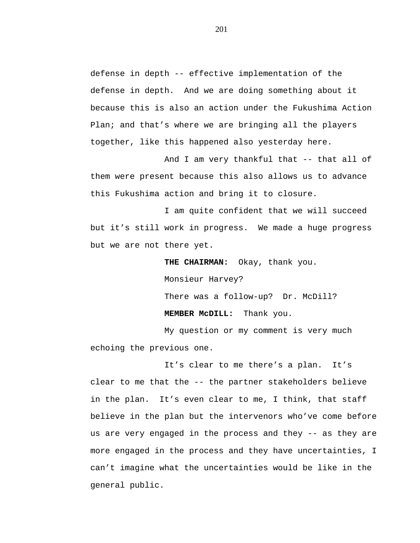defense in depth -- effective implementation of the defense in depth. And we are doing something about it because this is also an action under the Fukushima Action Plan; and that's where we are bringing all the players together, like this happened also yesterday here.

And I am very thankful that -- that all of them were present because this also allows us to advance this Fukushima action and bring it to closure.

I am quite confident that we will succeed but it's still work in progress. We made a huge progress but we are not there yet.

> **THE CHAIRMAN:** Okay, thank you. Monsieur Harvey? There was a follow-up? Dr. McDill?

**MEMBER McDILL:** Thank you.

My question or my comment is very much echoing the previous one.

It's clear to me there's a plan. It's clear to me that the -- the partner stakeholders believe in the plan. It's even clear to me, I think, that staff believe in the plan but the intervenors who've come before us are very engaged in the process and they -- as they are more engaged in the process and they have uncertainties, I can't imagine what the uncertainties would be like in the general public.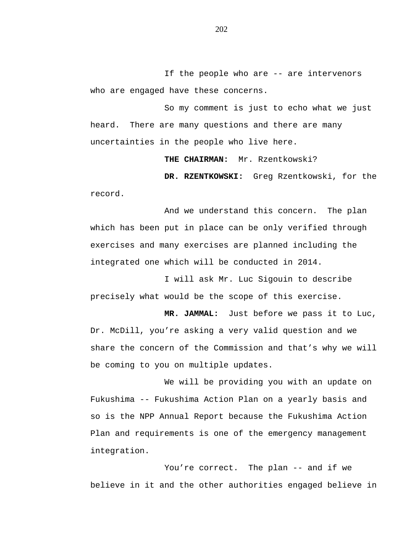If the people who are -- are intervenors who are engaged have these concerns.

So my comment is just to echo what we just heard. There are many questions and there are many uncertainties in the people who live here.

**THE CHAIRMAN:** Mr. Rzentkowski?

**DR. RZENTKOWSKI:** Greg Rzentkowski, for the record.

And we understand this concern. The plan which has been put in place can be only verified through exercises and many exercises are planned including the integrated one which will be conducted in 2014.

I will ask Mr. Luc Sigouin to describe precisely what would be the scope of this exercise.

**MR. JAMMAL:** Just before we pass it to Luc, Dr. McDill, you're asking a very valid question and we share the concern of the Commission and that's why we will be coming to you on multiple updates.

We will be providing you with an update on Fukushima -- Fukushima Action Plan on a yearly basis and so is the NPP Annual Report because the Fukushima Action Plan and requirements is one of the emergency management integration.

You're correct. The plan -- and if we believe in it and the other authorities engaged believe in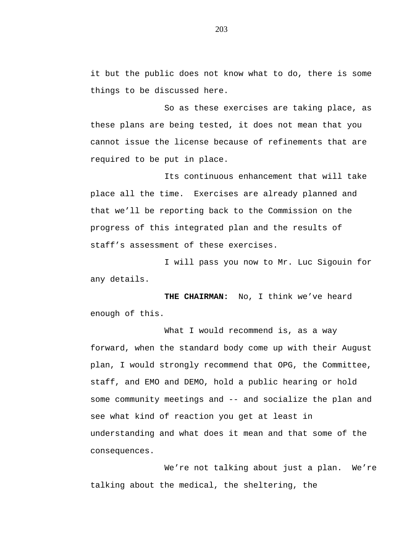it but the public does not know what to do, there is some things to be discussed here.

So as these exercises are taking place, as these plans are being tested, it does not mean that you cannot issue the license because of refinements that are required to be put in place.

Its continuous enhancement that will take place all the time. Exercises are already planned and that we'll be reporting back to the Commission on the progress of this integrated plan and the results of staff's assessment of these exercises.

I will pass you now to Mr. Luc Sigouin for any details.

**THE CHAIRMAN:** No, I think we've heard enough of this.

What I would recommend is, as a way forward, when the standard body come up with their August plan, I would strongly recommend that OPG, the Committee, staff, and EMO and DEMO, hold a public hearing or hold some community meetings and -- and socialize the plan and see what kind of reaction you get at least in understanding and what does it mean and that some of the consequences.

We're not talking about just a plan. We're talking about the medical, the sheltering, the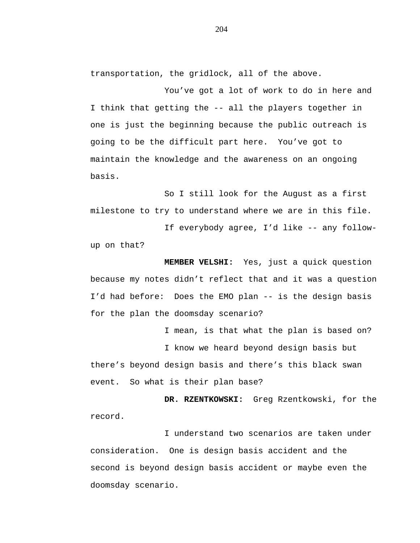transportation, the gridlock, all of the above.

You've got a lot of work to do in here and I think that getting the -- all the players together in one is just the beginning because the public outreach is going to be the difficult part here. You've got to maintain the knowledge and the awareness on an ongoing basis.

So I still look for the August as a first milestone to try to understand where we are in this file.

If everybody agree, I'd like -- any followup on that?

**MEMBER VELSHI:** Yes, just a quick question because my notes didn't reflect that and it was a question I'd had before: Does the EMO plan -- is the design basis for the plan the doomsday scenario?

I mean, is that what the plan is based on?

I know we heard beyond design basis but there's beyond design basis and there's this black swan event. So what is their plan base?

**DR. RZENTKOWSKI:** Greg Rzentkowski, for the record.

I understand two scenarios are taken under consideration. One is design basis accident and the second is beyond design basis accident or maybe even the doomsday scenario.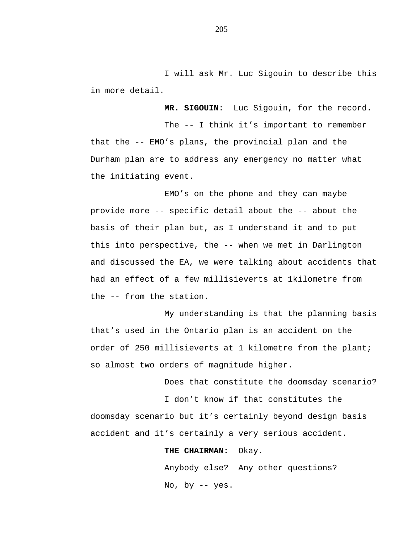I will ask Mr. Luc Sigouin to describe this in more detail.

**MR. SIGOUIN**: Luc Sigouin, for the record.

The -- I think it's important to remember that the -- EMO's plans, the provincial plan and the Durham plan are to address any emergency no matter what the initiating event.

EMO's on the phone and they can maybe provide more -- specific detail about the -- about the basis of their plan but, as I understand it and to put this into perspective, the -- when we met in Darlington and discussed the EA, we were talking about accidents that had an effect of a few millisieverts at 1kilometre from the -- from the station.

My understanding is that the planning basis that's used in the Ontario plan is an accident on the order of 250 millisieverts at 1 kilometre from the plant; so almost two orders of magnitude higher.

Does that constitute the doomsday scenario?

I don't know if that constitutes the doomsday scenario but it's certainly beyond design basis accident and it's certainly a very serious accident.

**THE CHAIRMAN:** Okay.

Anybody else? Any other questions? No, by -- yes.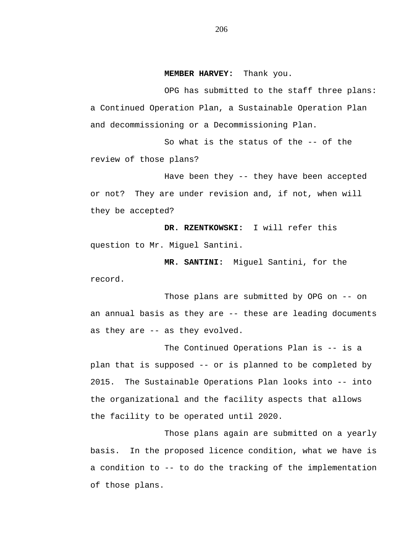#### **MEMBER HARVEY:** Thank you.

OPG has submitted to the staff three plans: a Continued Operation Plan, a Sustainable Operation Plan and decommissioning or a Decommissioning Plan.

So what is the status of the -- of the review of those plans?

Have been they -- they have been accepted or not? They are under revision and, if not, when will they be accepted?

**DR. RZENTKOWSKI:** I will refer this question to Mr. Miguel Santini.

**MR. SANTINI:** Miguel Santini, for the record.

Those plans are submitted by OPG on -- on an annual basis as they are -- these are leading documents as they are -- as they evolved.

The Continued Operations Plan is -- is a plan that is supposed -- or is planned to be completed by 2015. The Sustainable Operations Plan looks into -- into the organizational and the facility aspects that allows the facility to be operated until 2020.

Those plans again are submitted on a yearly basis. In the proposed licence condition, what we have is a condition to -- to do the tracking of the implementation of those plans.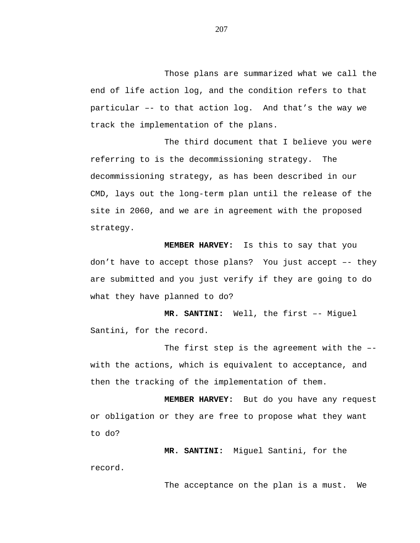Those plans are summarized what we call the end of life action log, and the condition refers to that particular –- to that action log. And that's the way we track the implementation of the plans.

The third document that I believe you were referring to is the decommissioning strategy. The decommissioning strategy, as has been described in our CMD, lays out the long-term plan until the release of the site in 2060, and we are in agreement with the proposed strategy.

**MEMBER HARVEY:** Is this to say that you don't have to accept those plans? You just accept –- they are submitted and you just verify if they are going to do what they have planned to do?

**MR. SANTINI:** Well, the first –- Miguel Santini, for the record.

The first step is the agreement with the – with the actions, which is equivalent to acceptance, and then the tracking of the implementation of them.

**MEMBER HARVEY:** But do you have any request or obligation or they are free to propose what they want to do?

**MR. SANTINI:** Miguel Santini, for the record.

The acceptance on the plan is a must. We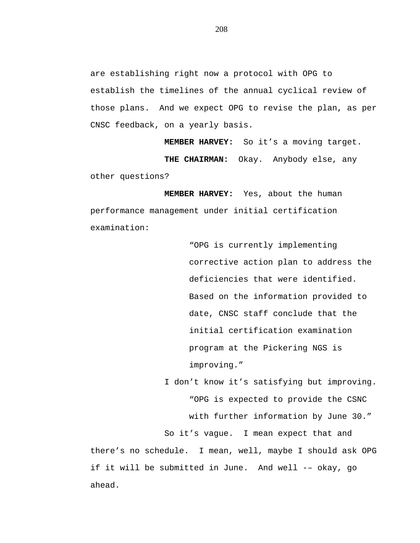are establishing right now a protocol with OPG to establish the timelines of the annual cyclical review of those plans. And we expect OPG to revise the plan, as per CNSC feedback, on a yearly basis.

**MEMBER HARVEY:** So it's a moving target. **THE CHAIRMAN:** Okay. Anybody else, any other questions?

**MEMBER HARVEY:** Yes, about the human performance management under initial certification examination:

> "OPG is currently implementing corrective action plan to address the deficiencies that were identified. Based on the information provided to date, CNSC staff conclude that the initial certification examination program at the Pickering NGS is improving."

I don't know it's satisfying but improving. "OPG is expected to provide the CSNC with further information by June 30."

So it's vague. I mean expect that and

there's no schedule. I mean, well, maybe I should ask OPG if it will be submitted in June. And well -– okay, go ahead.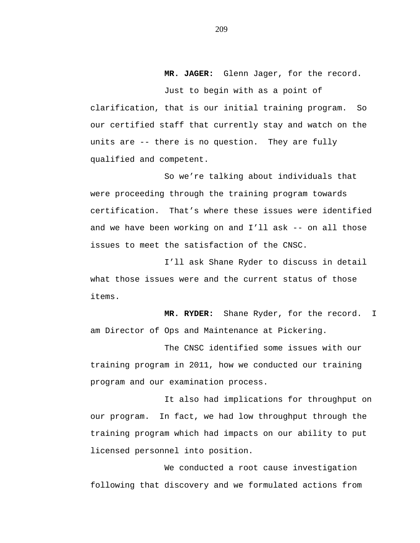**MR. JAGER:** Glenn Jager, for the record.

Just to begin with as a point of clarification, that is our initial training program. So our certified staff that currently stay and watch on the units are -- there is no question. They are fully qualified and competent.

So we're talking about individuals that were proceeding through the training program towards certification. That's where these issues were identified and we have been working on and I'll ask -- on all those issues to meet the satisfaction of the CNSC.

I'll ask Shane Ryder to discuss in detail what those issues were and the current status of those items.

**MR. RYDER:** Shane Ryder, for the record. I am Director of Ops and Maintenance at Pickering.

The CNSC identified some issues with our training program in 2011, how we conducted our training program and our examination process.

It also had implications for throughput on our program. In fact, we had low throughput through the training program which had impacts on our ability to put licensed personnel into position.

We conducted a root cause investigation following that discovery and we formulated actions from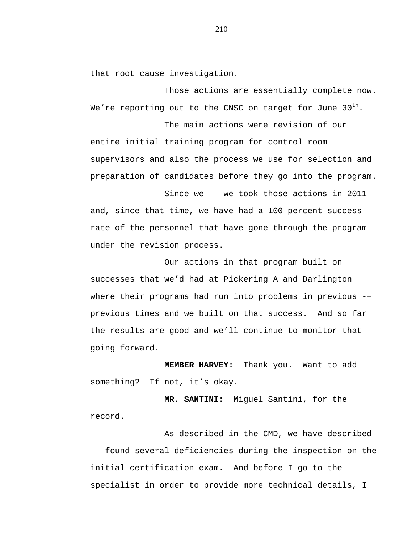that root cause investigation.

Those actions are essentially complete now. We're reporting out to the CNSC on target for June  $30<sup>th</sup>$ .

The main actions were revision of our entire initial training program for control room supervisors and also the process we use for selection and preparation of candidates before they go into the program.

Since we –- we took those actions in 2011 and, since that time, we have had a 100 percent success rate of the personnel that have gone through the program under the revision process.

Our actions in that program built on successes that we'd had at Pickering A and Darlington where their programs had run into problems in previous -– previous times and we built on that success. And so far the results are good and we'll continue to monitor that going forward.

**MEMBER HARVEY:** Thank you. Want to add something? If not, it's okay.

**MR. SANTINI:** Miguel Santini, for the record.

As described in the CMD, we have described -– found several deficiencies during the inspection on the initial certification exam. And before I go to the specialist in order to provide more technical details, I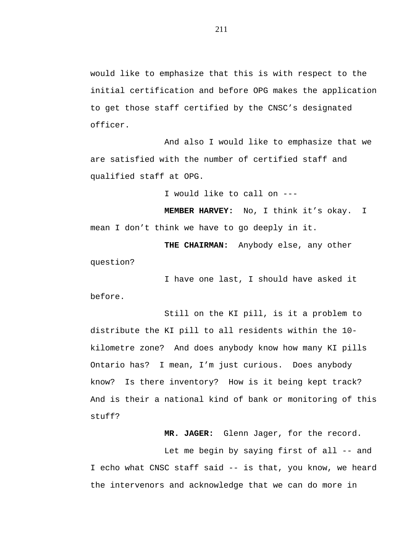would like to emphasize that this is with respect to the initial certification and before OPG makes the application to get those staff certified by the CNSC's designated officer.

And also I would like to emphasize that we are satisfied with the number of certified staff and qualified staff at OPG.

I would like to call on ---

**MEMBER HARVEY:** No, I think it's okay. I mean I don't think we have to go deeply in it.

**THE CHAIRMAN:** Anybody else, any other question?

I have one last, I should have asked it before.

Still on the KI pill, is it a problem to distribute the KI pill to all residents within the 10 kilometre zone? And does anybody know how many KI pills Ontario has? I mean, I'm just curious. Does anybody know? Is there inventory? How is it being kept track? And is their a national kind of bank or monitoring of this stuff?

**MR. JAGER:** Glenn Jager, for the record.

Let me begin by saying first of all -- and I echo what CNSC staff said -- is that, you know, we heard the intervenors and acknowledge that we can do more in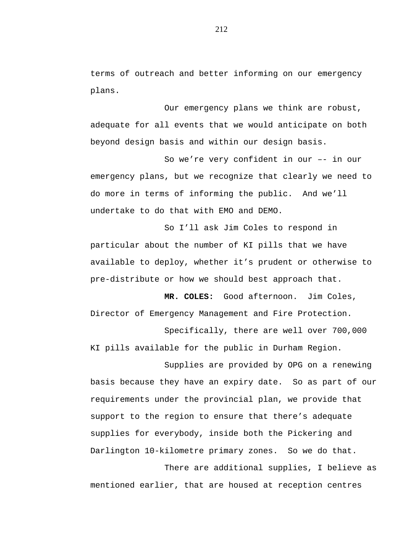terms of outreach and better informing on our emergency plans.

Our emergency plans we think are robust, adequate for all events that we would anticipate on both beyond design basis and within our design basis.

So we're very confident in our –- in our emergency plans, but we recognize that clearly we need to do more in terms of informing the public. And we'll undertake to do that with EMO and DEMO.

So I'll ask Jim Coles to respond in particular about the number of KI pills that we have available to deploy, whether it's prudent or otherwise to pre-distribute or how we should best approach that.

**MR. COLES:** Good afternoon. Jim Coles, Director of Emergency Management and Fire Protection.

Specifically, there are well over 700,000 KI pills available for the public in Durham Region.

Supplies are provided by OPG on a renewing basis because they have an expiry date. So as part of our requirements under the provincial plan, we provide that support to the region to ensure that there's adequate supplies for everybody, inside both the Pickering and Darlington 10-kilometre primary zones. So we do that.

There are additional supplies, I believe as mentioned earlier, that are housed at reception centres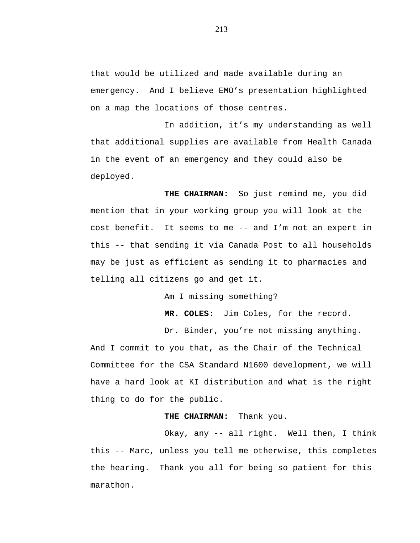that would be utilized and made available during an emergency. And I believe EMO's presentation highlighted on a map the locations of those centres.

In addition, it's my understanding as well that additional supplies are available from Health Canada in the event of an emergency and they could also be deployed.

**THE CHAIRMAN:** So just remind me, you did mention that in your working group you will look at the cost benefit. It seems to me -- and I'm not an expert in this -- that sending it via Canada Post to all households may be just as efficient as sending it to pharmacies and telling all citizens go and get it.

Am I missing something?

**MR. COLES:** Jim Coles, for the record.

Dr. Binder, you're not missing anything.

And I commit to you that, as the Chair of the Technical Committee for the CSA Standard N1600 development, we will have a hard look at KI distribution and what is the right thing to do for the public.

## **THE CHAIRMAN:** Thank you.

Okay, any -- all right. Well then, I think this -- Marc, unless you tell me otherwise, this completes the hearing. Thank you all for being so patient for this marathon.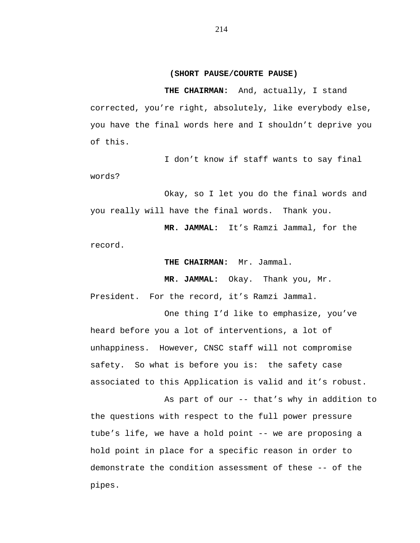## **(SHORT PAUSE/COURTE PAUSE)**

**THE CHAIRMAN:** And, actually, I stand corrected, you're right, absolutely, like everybody else, you have the final words here and I shouldn't deprive you of this.

I don't know if staff wants to say final words?

Okay, so I let you do the final words and you really will have the final words. Thank you.

**MR. JAMMAL:** It's Ramzi Jammal, for the record.

**THE CHAIRMAN:** Mr. Jammal.

**MR. JAMMAL:** Okay. Thank you, Mr.

President. For the record, it's Ramzi Jammal.

One thing I'd like to emphasize, you've heard before you a lot of interventions, a lot of unhappiness. However, CNSC staff will not compromise safety. So what is before you is: the safety case associated to this Application is valid and it's robust.

As part of our -- that's why in addition to the questions with respect to the full power pressure tube's life, we have a hold point -- we are proposing a hold point in place for a specific reason in order to demonstrate the condition assessment of these -- of the pipes.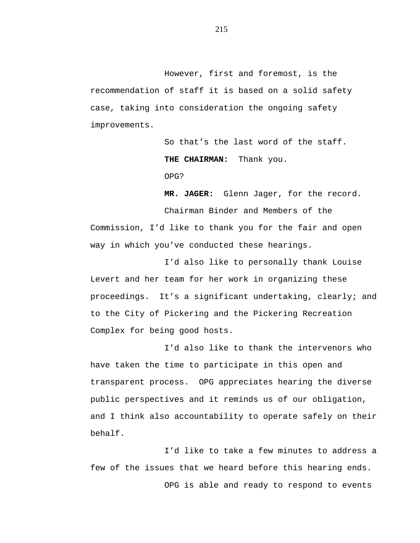However, first and foremost, is the recommendation of staff it is based on a solid safety case, taking into consideration the ongoing safety improvements.

> So that's the last word of the staff. **THE CHAIRMAN:** Thank you. OPG?

**MR. JAGER:** Glenn Jager, for the record.

Chairman Binder and Members of the Commission, I'd like to thank you for the fair and open way in which you've conducted these hearings.

I'd also like to personally thank Louise Levert and her team for her work in organizing these proceedings. It's a significant undertaking, clearly; and to the City of Pickering and the Pickering Recreation Complex for being good hosts.

I'd also like to thank the intervenors who have taken the time to participate in this open and transparent process. OPG appreciates hearing the diverse public perspectives and it reminds us of our obligation, and I think also accountability to operate safely on their behalf.

I'd like to take a few minutes to address a few of the issues that we heard before this hearing ends. OPG is able and ready to respond to events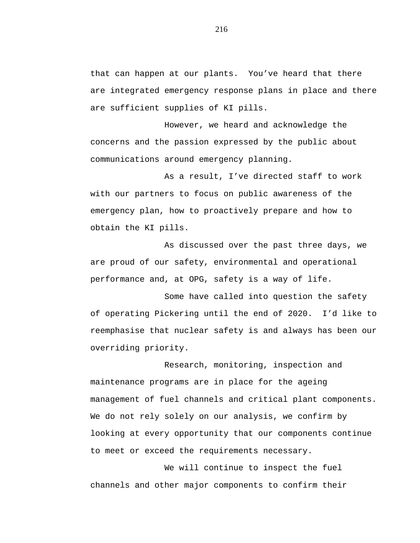that can happen at our plants. You've heard that there are integrated emergency response plans in place and there are sufficient supplies of KI pills.

However, we heard and acknowledge the concerns and the passion expressed by the public about communications around emergency planning.

As a result, I've directed staff to work with our partners to focus on public awareness of the emergency plan, how to proactively prepare and how to obtain the KI pills.

As discussed over the past three days, we are proud of our safety, environmental and operational performance and, at OPG, safety is a way of life.

Some have called into question the safety of operating Pickering until the end of 2020. I'd like to reemphasise that nuclear safety is and always has been our overriding priority.

Research, monitoring, inspection and maintenance programs are in place for the ageing management of fuel channels and critical plant components. We do not rely solely on our analysis, we confirm by looking at every opportunity that our components continue to meet or exceed the requirements necessary.

We will continue to inspect the fuel channels and other major components to confirm their

216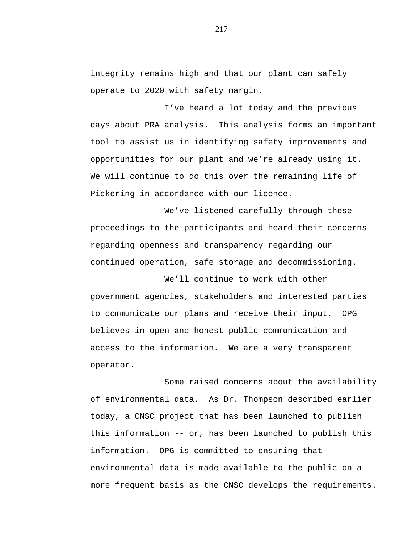integrity remains high and that our plant can safely operate to 2020 with safety margin.

I've heard a lot today and the previous days about PRA analysis. This analysis forms an important tool to assist us in identifying safety improvements and opportunities for our plant and we're already using it. We will continue to do this over the remaining life of Pickering in accordance with our licence.

We've listened carefully through these proceedings to the participants and heard their concerns regarding openness and transparency regarding our continued operation, safe storage and decommissioning.

We'll continue to work with other government agencies, stakeholders and interested parties to communicate our plans and receive their input. OPG believes in open and honest public communication and access to the information. We are a very transparent operator.

Some raised concerns about the availability of environmental data. As Dr. Thompson described earlier today, a CNSC project that has been launched to publish this information -- or, has been launched to publish this information. OPG is committed to ensuring that environmental data is made available to the public on a more frequent basis as the CNSC develops the requirements.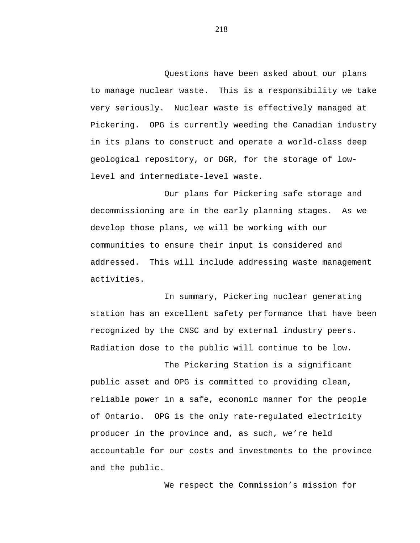Questions have been asked about our plans to manage nuclear waste. This is a responsibility we take very seriously. Nuclear waste is effectively managed at Pickering. OPG is currently weeding the Canadian industry in its plans to construct and operate a world-class deep geological repository, or DGR, for the storage of lowlevel and intermediate-level waste.

Our plans for Pickering safe storage and decommissioning are in the early planning stages. As we develop those plans, we will be working with our communities to ensure their input is considered and addressed. This will include addressing waste management activities.

In summary, Pickering nuclear generating station has an excellent safety performance that have been recognized by the CNSC and by external industry peers. Radiation dose to the public will continue to be low.

The Pickering Station is a significant public asset and OPG is committed to providing clean, reliable power in a safe, economic manner for the people of Ontario. OPG is the only rate-regulated electricity producer in the province and, as such, we're held accountable for our costs and investments to the province and the public.

We respect the Commission's mission for

218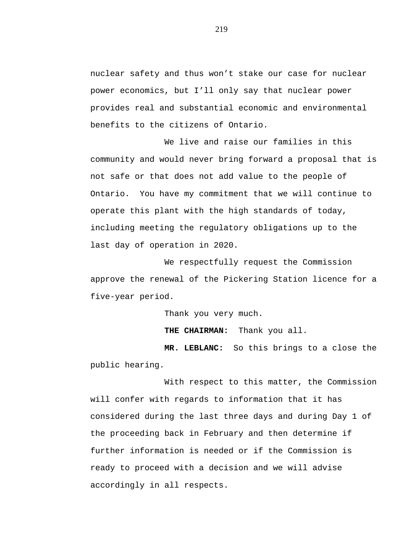nuclear safety and thus won't stake our case for nuclear power economics, but I'll only say that nuclear power provides real and substantial economic and environmental benefits to the citizens of Ontario.

We live and raise our families in this community and would never bring forward a proposal that is not safe or that does not add value to the people of Ontario. You have my commitment that we will continue to operate this plant with the high standards of today, including meeting the regulatory obligations up to the last day of operation in 2020.

We respectfully request the Commission approve the renewal of the Pickering Station licence for a five-year period.

Thank you very much.

**THE CHAIRMAN:** Thank you all.

**MR. LEBLANC:** So this brings to a close the public hearing.

With respect to this matter, the Commission will confer with regards to information that it has considered during the last three days and during Day 1 of the proceeding back in February and then determine if further information is needed or if the Commission is ready to proceed with a decision and we will advise accordingly in all respects.